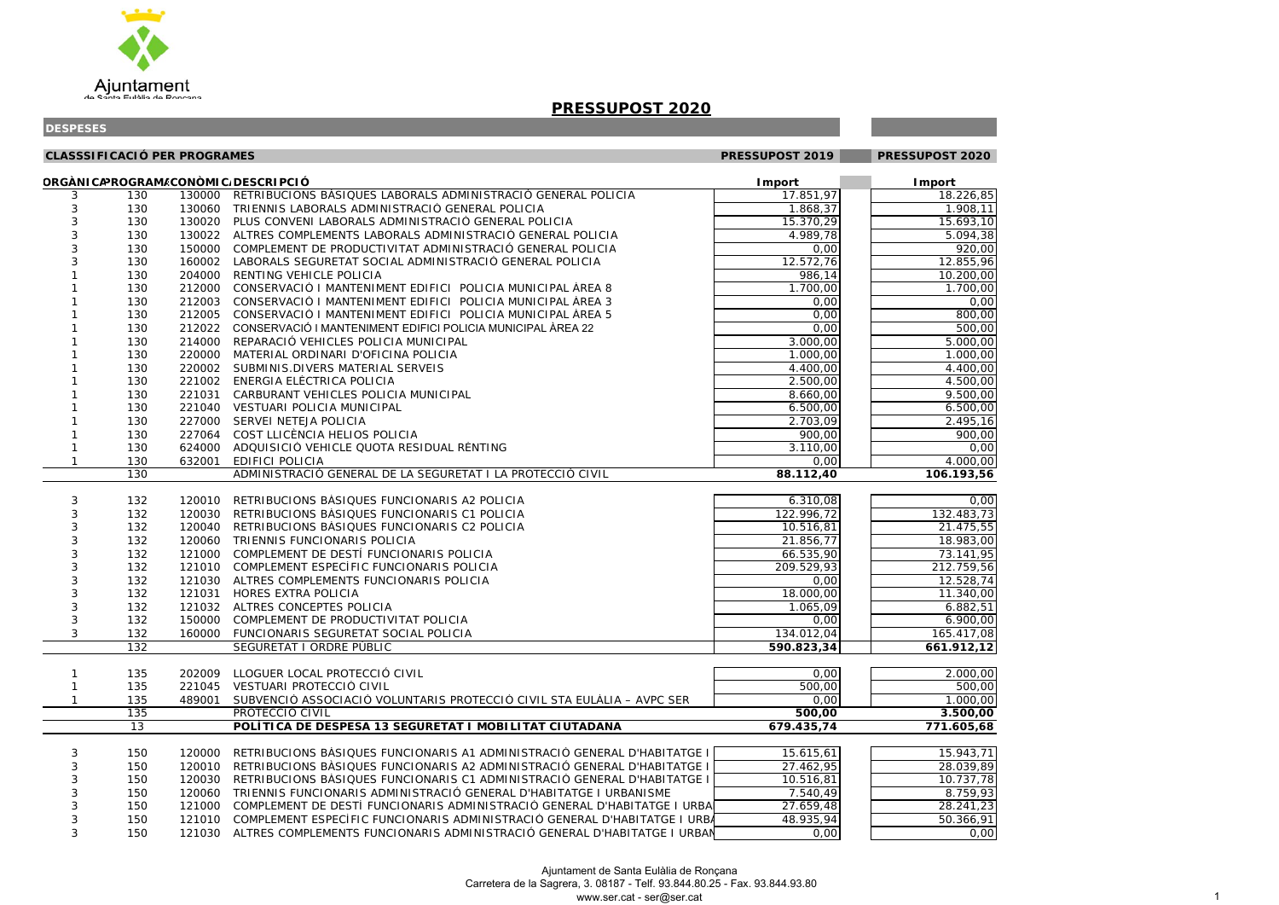

| <b>CLASSSIFICACIÓ PER PROGRAMES</b> |     |        | PRESSUPOST 2019                                                                  | PRESSUPOST 2020 |               |
|-------------------------------------|-----|--------|----------------------------------------------------------------------------------|-----------------|---------------|
|                                     |     |        | ORGÀNICAPROGRAM/CONÒMIC/DESCRIPCIÓ                                               | <b>I</b> mport  | <b>Import</b> |
| 3                                   | 130 |        | 130000 RETRIBUCIONS BÀSIQUES LABORALS ADMINISTRACIÓ GENERAL POLICIA              | 17.851,97       | 18.226,85     |
| 3                                   | 130 |        | 130060 TRIENNIS LABORALS ADMINISTRACIÓ GENERAL POLICIA                           | 1.868,37        | 1.908,11      |
| 3                                   | 130 |        | 130020 PLUS CONVENI LABORALS ADMINISTRACIÓ GENERAL POLICIA                       | 15.370,29       | 15.693,10     |
| 3                                   | 130 |        | 130022 ALTRES COMPLEMENTS LABORALS ADMINISTRACIÓ GENERAL POLICIA                 | 4.989,78        | 5.094,38      |
| 3                                   | 130 |        | 150000 COMPLEMENT DE PRODUCTIVITAT ADMINISTRACIÓ GENERAL POLICIA                 | 0,00            | 920,00        |
| 3                                   | 130 | 160002 | LABORALS SEGURETAT SOCIAL ADMINISTRACIÓ GENERAL POLICIA                          | 12.572,76       | 12.855,96     |
|                                     | 130 | 204000 | RENTING VEHICLE POLICIA                                                          | 986,14          | 10.200,00     |
|                                     | 130 | 212000 | CONSERVACIÓ I MANTENIMENT EDIFICI POLICIA MUNICIPAL ÀREA 8                       | 1.700,00        | 1.700,00      |
|                                     | 130 | 212003 | CONSERVACIÓ I MANTENIMENT EDIFICI POLICIA MUNICIPAL ÀREA 3                       | 0,00            | 0,00          |
|                                     | 130 | 212005 | CONSERVACIÓ I MANTENIMENT EDIFICI POLICIA MUNICIPAL ÀREA 5                       | 0,00            | 800,00        |
|                                     | 130 | 212022 | CONSERVACIÓ I MANTENIMENT EDIFICI POLICIA MUNICIPAL ÀREA 22                      | 0,00            | 500,00        |
|                                     | 130 | 214000 | REPARACIÓ VEHICLES POLICIA MUNICIPAL                                             | 3.000,00        | 5.000,00      |
|                                     | 130 | 220000 | MATERIAL ORDINARI D'OFICINA POLICIA                                              | 1.000,00        | 1.000,00      |
|                                     | 130 |        | 220002 SUBMINIS.DIVERS MATERIAL SERVEIS                                          | 4.400,00        | 4.400,00      |
|                                     | 130 | 221002 | ENERGIA ELÈCTRICA POLICIA                                                        | 2.500,00        | 4.500,00      |
|                                     | 130 |        | 221031 CARBURANT VEHICLES POLICIA MUNICIPAL                                      | 8.660,00        | 9.500,00      |
|                                     | 130 |        | 221040 VESTUARI POLICIA MUNICIPAL                                                | 6.500,00        | 6.500,00      |
|                                     | 130 |        | 227000 SERVEI NETEJA POLICIA                                                     | 2.703,09        | 2.495,16      |
|                                     | 130 |        | 227064 COST LLICÈNCIA HELIOS POLICIA                                             | 900,00          | 900,00        |
|                                     | 130 |        | 624000 ADQUISICIÓ VEHICLE QUOTA RESIDUAL RÈNTING                                 | 3.110,00        | 0,00          |
| $\mathbf{1}$                        | 130 | 632001 | <b>EDIFICI POLICIA</b>                                                           | 0,00            | 4.000,00      |
|                                     | 130 |        | ADMINISTRACIÓ GENERAL DE LA SEGURETAT I LA PROTECCIÓ CIVIL                       | 88.112,40       | 106.193,56    |
| 3                                   | 132 | 120010 | RETRIBUCIONS BÀSIQUES FUNCIONARIS A2 POLICIA                                     | 6.310,08        | 0,00          |
| 3                                   | 132 | 120030 | RETRIBUCIONS BÀSIQUES FUNCIONARIS C1 POLICIA                                     | 122.996,72      | 132.483,73    |
| 3                                   | 132 | 120040 | RETRIBUCIONS BÀSIQUES FUNCIONARIS C2 POLICIA                                     | 10.516,81       | 21.475,55     |
| 3                                   | 132 | 120060 | TRIENNIS FUNCIONARIS POLICIA                                                     | 21.856,77       | 18.983,00     |
| 3                                   | 132 |        | 121000 COMPLEMENT DE DESTÍ FUNCIONARIS POLICIA                                   | 66.535,90       | 73.141,95     |
| $\sqrt{3}$                          | 132 |        | 121010 COMPLEMENT ESPECÍFIC FUNCIONARIS POLICIA                                  | 209.529,93      | 212.759,56    |
| 3                                   | 132 |        | 121030 ALTRES COMPLEMENTS FUNCIONARIS POLICIA                                    | 0,00            | 12.528,74     |
| 3                                   | 132 | 121031 | <b>HORES EXTRA POLICIA</b>                                                       | 18.000,00       | 11.340,00     |
| 3                                   | 132 |        | 121032 ALTRES CONCEPTES POLICIA                                                  | 1.065,09        | 6.882,51      |
| 3                                   | 132 |        | 150000 COMPLEMENT DE PRODUCTIVITAT POLICIA                                       | 0,00            | 6.900,00      |
| 3                                   | 132 | 160000 | FUNCIONARIS SEGURETAT SOCIAL POLICIA                                             | 134.012,04      | 165.417,08    |
|                                     | 132 |        | SEGURETAT I ORDRE PÚBLIC                                                         | 590.823,34      | 661.912,12    |
|                                     |     |        |                                                                                  |                 |               |
|                                     | 135 | 202009 | LLOGUER LOCAL PROTECCIÓ CIVIL                                                    | 0,00            | 2.000,00      |
|                                     | 135 |        | 221045 VESTUARI PROTECCIÓ CIVIL                                                  | 500,00          | 500,00        |
| $\mathbf{1}$                        | 135 | 489001 | SUBVENCIÓ ASSOCIACIÓ VOLUNTARIS PROTECCIÓ CIVIL STA EULÀLIA - AVPC SER           | 0,00            | 1.000,00      |
|                                     | 135 |        | PROTECCIÓ CIVIL                                                                  | 500,00          | 3.500,00      |
|                                     | 13  |        | POLÍTICA DE DESPESA 13 SEGURETAT I MOBILITAT CIUTADANA                           | 679.435,74      | 771.605,68    |
| 3                                   | 150 | 120000 | RETRIBUCIONS BÀSIQUES FUNCIONARIS A1 ADMINISTRACIÓ GENERAL D'HABITATGE I         | 15.615,61       | 15.943,71     |
| 3                                   | 150 | 120010 | RETRIBUCIONS BASIQUES FUNCIONARIS A2 ADMINISTRACIÓ GENERAL D'HABITATGE I         | 27.462,95       | 28.039,89     |
| 3                                   | 150 | 120030 | RETRIBUCIONS BÀSIQUES FUNCIONARIS C1 ADMINISTRACIÓ GENERAL D'HABITATGE I         | 10.516,81       | 10.737,78     |
|                                     | 150 | 120060 | TRIENNIS FUNCIONARIS ADMINISTRACIÓ GENERAL D'HABITATGE I URBANISME               | 7.540,49        | 8.759,93      |
| 3                                   | 150 |        | 121000 COMPLEMENT DE DESTÍ FUNCIONARIS ADMINISTRACIÓ GENERAL D'HABITATGE I URBA  | 27.659,48       | 28.241,23     |
| 3                                   | 150 |        | 121010 COMPLEMENT ESPECÍFIC FUNCIONARIS ADMINISTRACIÓ GENERAL D'HABITATGE I URBA | 48.935,94       | 50.366,91     |
| 3                                   | 150 |        | 121030 ALTRES COMPLEMENTS FUNCIONARIS ADMINISTRACIÓ GENERAL D'HABITATGE I URBAN  | 0,00            | 0,00          |

| )                                        |                          |                | Š                   | Į        |
|------------------------------------------|--------------------------|----------------|---------------------|----------|
|                                          | Ć<br>)                   | l              | ξ                   | )        |
|                                          | Ś<br>١٤                  |                | 1                   | 1        |
|                                          |                          | l              |                     |          |
| 冫                                        | ļ                        | ı              | 1                   | )<br>(   |
| 2                                        | l                        |                | Ś                   | ۶<br>ì   |
|                                          |                          | ,              |                     |          |
| $\mathbf{r}$                             | )<br>(                   | l              | (                   | )<br>X   |
|                                          | ļ                        |                | Ó                   | ĕ        |
| ,                                        | )                        | l              |                     | )        |
| x                                        | )                        |                | )(<br>(             | )        |
|                                          |                          | $\overline{1}$ |                     |          |
| x                                        | )                        | $\overline{1}$ | )(<br>(             | )        |
|                                          | (<br>)                   |                | (                   | X<br>)   |
|                                          |                          | ı              |                     |          |
|                                          | x<br>)                   | ı              | (                   | X<br>)   |
| X                                        |                          |                |                     |          |
|                                          | )                        | $\overline{1}$ | (                   | x<br>)   |
|                                          | X<br>)                   | ,              | )(<br>(             | )        |
|                                          |                          |                |                     |          |
|                                          | X<br>)                   | l              | $\mathbf$           | X<br>)   |
|                                          | X<br>)                   |                | (                   | X<br>)   |
|                                          |                          | l              |                     |          |
|                                          | X<br>)                   |                | X<br>(              | )        |
|                                          |                          | $\overline{1}$ |                     |          |
| X                                        | )                        | ı              | (                   | X<br>)   |
| x                                        | )                        |                | $\mathfrak{z}$<br>( | )        |
|                                          |                          | ı              |                     |          |
| )                                        | ļ<br>;                   | l              | l                   | l<br>,   |
| $\mathfrak{z}$                           |                          |                |                     | X        |
|                                          | $\mathbf{I}$             | $\overline{1}$ | (                   | )        |
|                                          | (<br>)                   | ı              | (                   | X<br>)   |
|                                          |                          |                |                     |          |
|                                          | X<br>١                   | l              | (                   | х<br>)   |
| I                                        |                          |                | ŗ<br>$\frac{1}{2}$  |          |
|                                          |                          |                |                     |          |
|                                          |                          |                |                     |          |
|                                          |                          |                |                     |          |
|                                          |                          |                |                     |          |
|                                          | )<br>(                   | ı              | (                   | )(<br>)  |
|                                          |                          |                |                     |          |
| Ś                                        |                          | $\overline{ }$ |                     |          |
| ī                                        | ļ<br>)                   |                | Į<br>J              | Į        |
|                                          |                          | ı              |                     |          |
| 3                                        | í<br>j                   | $\overline{1}$ | (                   | X<br>)   |
|                                          | j<br>I                   |                | Ó                   | יִ       |
| 1                                        |                          | ,              |                     | J        |
| ;                                        | ¢<br>)                   |                | j                   |          |
|                                          |                          | l              |                     |          |
| $\overline{ }$                           | å<br>∖                   | l              |                     | l<br>l   |
|                                          | (<br>)                   |                | ) (<br>(            | )        |
| 1                                        |                          |                |                     |          |
| ş                                        | $\overline{\phantom{0}}$ | l              | ļ<br>J              | 1        |
|                                          |                          |                |                     |          |
|                                          | x<br>١                   | ı              | (                   | )<br>x   |
| Ī                                        |                          |                | (                   | l<br>) { |
|                                          |                          | l              |                     |          |
|                                          |                          |                | I<br>l              |          |
|                                          |                          |                |                     |          |
|                                          |                          |                |                     |          |
|                                          |                          |                |                     |          |
|                                          | $\overline{00,00}$       |                |                     |          |
|                                          |                          |                |                     | )        |
|                                          |                          |                |                     | )        |
|                                          |                          |                |                     |          |
| $\overline{\mathbf{c}}$                  | J                        |                | )<br>(              | )        |
|                                          |                          |                |                     |          |
| Į                                        | $\frac{1}{2}$            |                |                     | l        |
|                                          |                          |                |                     |          |
|                                          |                          |                |                     |          |
| ī                                        |                          |                |                     | ı        |
|                                          | ¢                        |                |                     | ¢        |
| $\overline{\mathbf{3}}$                  |                          | $\overline{ }$ |                     |          |
| 3                                        |                          | Ï              |                     |          |
|                                          |                          |                |                     |          |
|                                          |                          |                | )                   |          |
| $\frac{1}{2}$<br>$\overline{\mathbf{1}}$ | 1                        |                | $\overline{ }$      |          |

### **PRESSUPOST 2020**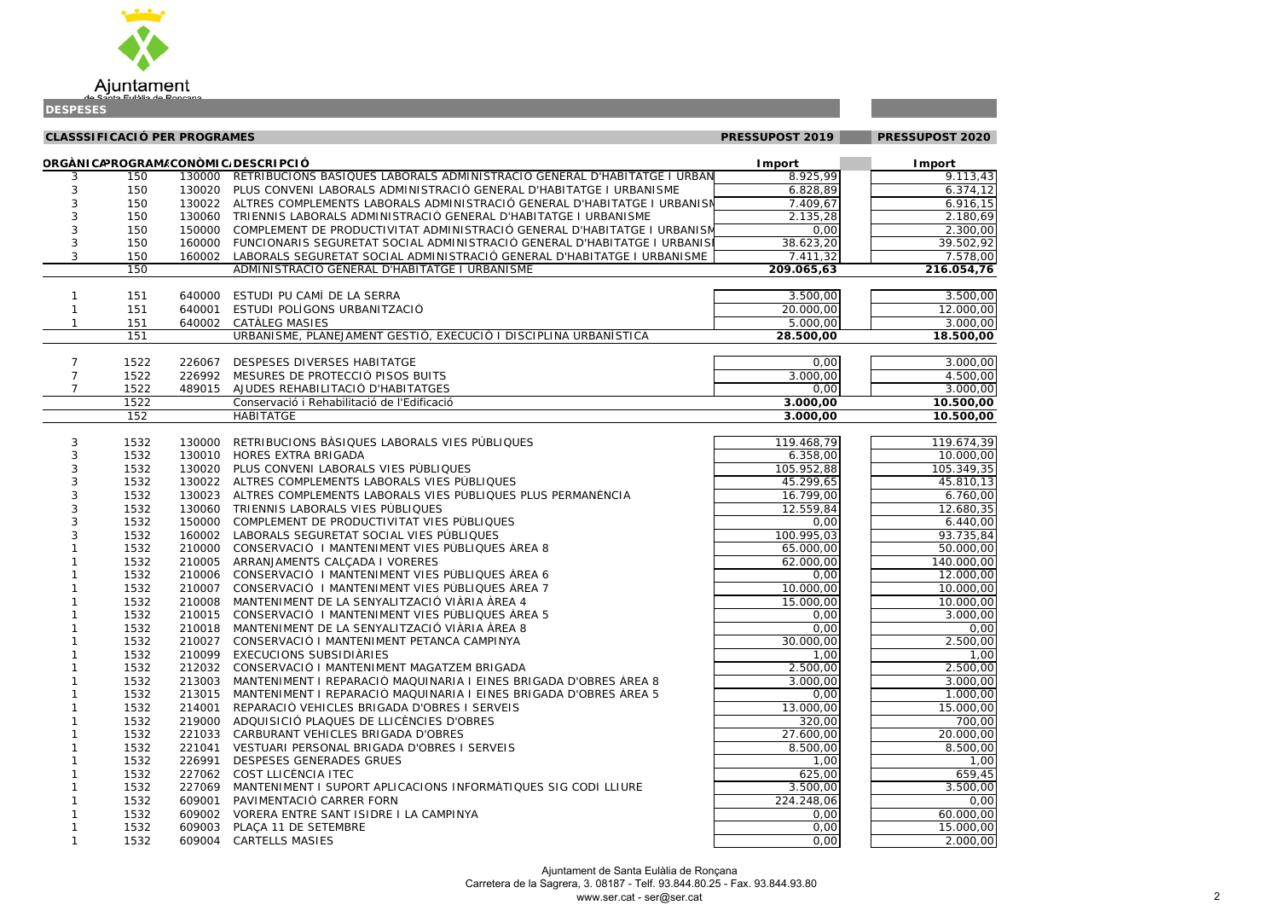

| 3,43              |
|-------------------|
| $\frac{74,12}{7}$ |
| 16, 15            |
| 80,69             |
| 00,00             |
| 02,92             |
| $\frac{1}{8,00}$  |
| $\overline{4,76}$ |
|                   |

| 00,00 |
|-------|
| 0,00  |
| 0,00  |
| 0,00  |
|       |

| 00,00<br>00,00<br>00,00 |
|-------------------------|
| 0,00                    |
| 0,00                    |
|                         |

| <b>CLASSSIFICACIÓ PER PROGRAMES</b><br>PRESSUPOST 2019<br>ORGÀNICAPROGRAM/CONÒMIC/DESCRIPCIÓ<br><b>Import</b> |      |        |                                                                                 |            | PRESSUPOST 2020            |  |
|---------------------------------------------------------------------------------------------------------------|------|--------|---------------------------------------------------------------------------------|------------|----------------------------|--|
|                                                                                                               |      |        |                                                                                 |            |                            |  |
| 3                                                                                                             | 150  |        | 130000 RETRIBUCIONS BASIQUES LABORALS ADMINISTRACIÓ GENERAL D'HABITATGE I URBAN | 8.925,99   | <b>I</b> mport<br>9.113,43 |  |
| 3                                                                                                             | 150  |        | 130020 PLUS CONVENI LABORALS ADMINISTRACIÓ GENERAL D'HABITATGE I URBANISME      | 6.828,89   | 6.374,12                   |  |
| 3                                                                                                             | 150  |        | 130022 ALTRES COMPLEMENTS LABORALS ADMINISTRACIÓ GENERAL D'HABITATGE I URBANISN | 7.409,67   | 6.916,15                   |  |
| 3                                                                                                             | 150  | 130060 | TRIENNIS LABORALS ADMINISTRACIÓ GENERAL D'HABITATGE I URBANISME                 | 2.135,28   | 2.180,69                   |  |
| 3                                                                                                             | 150  | 150000 | COMPLEMENT DE PRODUCTIVITAT ADMINISTRACIÓ GENERAL D'HABITATGE I URBANISM        | 0,00       | 2.300,00                   |  |
| 3                                                                                                             | 150  | 160000 | FUNCIONARIS SEGURETAT SOCIAL ADMINISTRACIÓ GENERAL D'HABITATGE I URBANISI       | 38.623,20  | 39.502,92                  |  |
| $\mathbf{3}$                                                                                                  | 150  | 160002 | LABORALS SEGURETAT SOCIAL ADMINISTRACIÓ GENERAL D'HABITATGE I URBANISME         | 7.411,32   | 7.578,00                   |  |
|                                                                                                               | 150  |        | ADMINISTRACIÓ GENERAL D'HABITATGE I URBANISME                                   | 209.065,63 | 216.054,76                 |  |
|                                                                                                               |      |        |                                                                                 |            |                            |  |
|                                                                                                               | 151  | 640000 | ESTUDI PU CAMÍ DE LA SERRA                                                      | 3.500,00   | 3.500,00                   |  |
|                                                                                                               | 151  |        | 640001 ESTUDI POLÍGONS URBANITZACIÓ                                             | 20.000,00  | 12.000,00                  |  |
|                                                                                                               | 151  |        | 640002 CATALEG MASIES                                                           | 5.000,00   | 3.000,00                   |  |
|                                                                                                               | 151  |        | URBANISME, PLANEJAMENT GESTIÓ, EXECUCIÓ I DISCIPLINA URBANÍSTICA                | 28.500,00  | 18.500,00                  |  |
|                                                                                                               |      |        |                                                                                 |            |                            |  |
| 7                                                                                                             | 1522 | 226067 | DESPESES DIVERSES HABITATGE                                                     | 0,00       | 3.000,00                   |  |
| 7                                                                                                             | 1522 |        | 226992 MESURES DE PROTECCIÓ PISOS BUITS                                         | 3.000,00   | 4.500,00                   |  |
| 7                                                                                                             | 1522 |        | 489015 AJUDES REHABILITACIÓ D'HABITATGES                                        | 0,00       | 3.000,00                   |  |
|                                                                                                               | 1522 |        | Conservació i Rehabilitació de l'Edificació                                     | 3.000,00   | 10.500,00                  |  |
|                                                                                                               | 152  |        | <b>HABITATGE</b>                                                                | 3.000,00   | 10.500,00                  |  |
|                                                                                                               |      |        |                                                                                 |            |                            |  |
| 3                                                                                                             | 1532 | 130000 | RETRIBUCIONS BÀSIQUES LABORALS VIES PÚBLIQUES                                   | 119.468,79 | 119.674,39                 |  |
| 3                                                                                                             | 1532 | 130010 | HORES EXTRA BRIGADA                                                             | 6.358,00   | 10.000,00                  |  |
| 3                                                                                                             | 1532 | 130020 | PLUS CONVENI LABORALS VIES PÚBLIQUES                                            | 105.952,88 | 105.349,35                 |  |
| 3                                                                                                             | 1532 |        | 130022 ALTRES COMPLEMENTS LABORALS VIES PÚBLIQUES                               | 45.299,65  | 45.810,13                  |  |
| 3                                                                                                             | 1532 | 130023 | ALTRES COMPLEMENTS LABORALS VIES PÚBLIQUES PLUS PERMANÈNCIA                     | 16.799,00  | 6.760,00                   |  |
| 3                                                                                                             | 1532 | 130060 | TRIENNIS LABORALS VIES PÚBLIQUES                                                | 12.559,84  | 12.680,35                  |  |
| 3                                                                                                             | 1532 | 150000 | COMPLEMENT DE PRODUCTIVITAT VIES PÚBLIQUES                                      | 0,00       | 6.440,00                   |  |
| 3                                                                                                             | 1532 |        | 160002 LABORALS SEGURETAT SOCIAL VIES PÚBLIQUES                                 | 100.995,03 | 93.735,84                  |  |
|                                                                                                               | 1532 |        | 210000 CONSERVACIÓ I MANTENIMENT VIES PÚBLIQUES ÀREA 8                          | 65.000,00  | 50.000,00                  |  |
|                                                                                                               | 1532 |        | 210005 ARRANJAMENTS CALCADA I VORERES                                           | 62.000,00  | 140.000,00                 |  |
|                                                                                                               | 1532 |        | 210006 CONSERVACIÓ I MANTENIMENT VIES PÚBLIQUES ÀREA 6                          | 0,00       | 12.000,00                  |  |
|                                                                                                               | 1532 |        | 210007 CONSERVACIÓ I MANTENIMENT VIES PÚBLIQUES ÀREA 7                          | 10.000,00  | 10.000,00                  |  |
|                                                                                                               | 1532 |        | 210008 MANTENIMENT DE LA SENYALITZACIÓ VIÀRIA ÀREA 4                            | 15.000,00  | 10.000,00                  |  |
|                                                                                                               | 1532 |        | 210015 CONSERVACIÓ I MANTENIMENT VIES PÚBLIQUES ÀREA 5                          | 0,00       | 3.000,00                   |  |
|                                                                                                               | 1532 |        | 210018 MANTENIMENT DE LA SENYALITZACIÓ VIÀRIA ÀREA 8                            | 0,00       | 0,00                       |  |
|                                                                                                               | 1532 |        | 210027 CONSERVACIÓ I MANTENIMENT PETANCA CAMPINYA                               | 30.000,00  | 2.500,00                   |  |
|                                                                                                               | 1532 |        | 210099 EXECUCIONS SUBSIDIÀRIES                                                  | 1,00       | 1,00                       |  |
|                                                                                                               | 1532 |        | 212032 CONSERVACIÓ I MANTENIMENT MAGATZEM BRIGADA                               | 2.500,00   | 2.500,00                   |  |
|                                                                                                               | 1532 |        | 213003 MANTENIMENT I REPARACIÓ MAQUINARIA I EINES BRIGADA D'OBRES ÀREA 8        | 3.000,00   | 3.000,00                   |  |
|                                                                                                               | 1532 |        | 213015 MANTENIMENT I REPARACIÓ MAQUINARIA I EINES BRIGADA D'OBRES ÀREA 5        | 0,00       | 1.000,00                   |  |
|                                                                                                               | 1532 |        | 214001 REPARACIÓ VEHICLES BRIGADA D'OBRES I SERVEIS                             | 13.000,00  | 15.000,00                  |  |
|                                                                                                               | 1532 |        | 219000 ADQUISICIÓ PLAQUES DE LLICÈNCIES D'OBRES                                 | 320,00     | 700,00                     |  |
|                                                                                                               | 1532 |        | 221033 CARBURANT VEHICLES BRIGADA D'OBRES                                       | 27.600,00  | 20.000,00                  |  |
|                                                                                                               | 1532 |        | 221041 VESTUARI PERSONAL BRIGADA D'OBRES I SERVEIS                              | 8.500,00   | 8.500,00                   |  |
|                                                                                                               | 1532 |        | 226991 DESPESES GENERADES GRUES                                                 | 1,00       | 1,00                       |  |
|                                                                                                               | 1532 |        | 227062 COST LLICÈNCIA ITEC                                                      | 625,00     | 659,45                     |  |
|                                                                                                               | 1532 |        | 227069 MANTENIMENT I SUPORT APLICACIONS INFORMATIQUES SIG CODI LLIURE           | 3.500,00   | 3.500,00                   |  |
|                                                                                                               | 1532 |        | 609001 PAVIMENTACIÓ CARRER FORN                                                 | 224.248,06 | 0,00                       |  |
|                                                                                                               | 1532 |        | 609002 VORERA ENTRE SANT ISIDRE I LA CAMPINYA                                   | 0,00       | 60.000,00                  |  |
|                                                                                                               | 1532 |        | 609003 PLAÇA 11 DE SETEMBRE                                                     | 0,00       | 15.000,00                  |  |
|                                                                                                               | 1532 |        | 609004 CARTELLS MASIES                                                          | 0,00       | 2.000,00                   |  |

| 7<br>4                                  | ξ<br>)<br>ι<br>l                      |
|-----------------------------------------|---------------------------------------|
| $\overline{\mathfrak{z}}$<br>١          | x<br>١<br>(<br>l                      |
| L<br>$\mathbf$<br>)                     | J<br>ì<br>J<br>l                      |
| $\overline{\phantom{a}}$<br>١<br>(      | ì<br>l                                |
| $\overline{\phantom{a}}$<br>(<br>١<br>l | )<br>ĺ<br>X                           |
| $\overline{\mathbf{3}}$<br>١            | ξ<br>Į<br>,<br>l                      |
| ŀ<br>(<br>)                             | (<br>)(<br>)<br>$\overline{1}$        |
| ξ<br>ļ<br>)                             | ξ<br>ì<br>ı<br>l                      |
| X<br>)                                  | )<br>(<br>)(<br>$\overline{ }$        |
| )(<br>١                                 | ١<br>(<br>X<br>l                      |
| )(<br>)                                 | X<br>١<br>(<br>$\overline{1}$         |
| $\mathfrak{z}$<br>١                     | X<br>)<br>(<br>l                      |
| $\overline{\mathfrak{z}}$<br>١          | X<br>١<br>(<br>l                      |
| $\lambda$<br>١                          | (<br>X<br>١<br>l                      |
| (<br>)                                  | ĺ<br>)<br>)<br>l                      |
|                                         |                                       |
| ١                                       | )<br>(<br>)(                          |
| $\mathfrak{z}$                          | l<br>X<br>)<br>(                      |
| $\mathcal{A}$<br>)                      | l<br>X<br>١<br>(                      |
| )(<br>)                                 | $\overline{1}$<br>X<br>)<br>(         |
| $\overline{\mathfrak{z}}$<br>)          | l<br>ĺ<br>X<br>)                      |
| $\lambda$<br>١                          | l<br>(<br>X<br>)                      |
| $\bar{\mathfrak{z}}$<br>)               | l<br>X<br>١<br>(                      |
| $\lambda$<br>١                          | l<br>١<br>(<br>X                      |
| $\overline{\chi}$<br>)                  | l<br>) (<br>(<br>)                    |
| I                                       | $\overline{1}$<br>X<br>)<br>$\mathbf$ |
| 5<br>$\mathbf$<br>)                     | l<br>ļ<br>)                           |
| ١                                       | $\overline{ }$<br>X<br>)<br>(         |
| $\frac{1}{2}$<br>(<br>١                 | $\overline{ }$<br>)<br>(<br>)<br>ı    |
| $\overline{\chi}$<br>١                  | X<br>)<br>(                           |
| $\bar{\mathfrak{z}}$<br>)<br>l          | l<br>(<br>$\mathfrak{g}$<br>١         |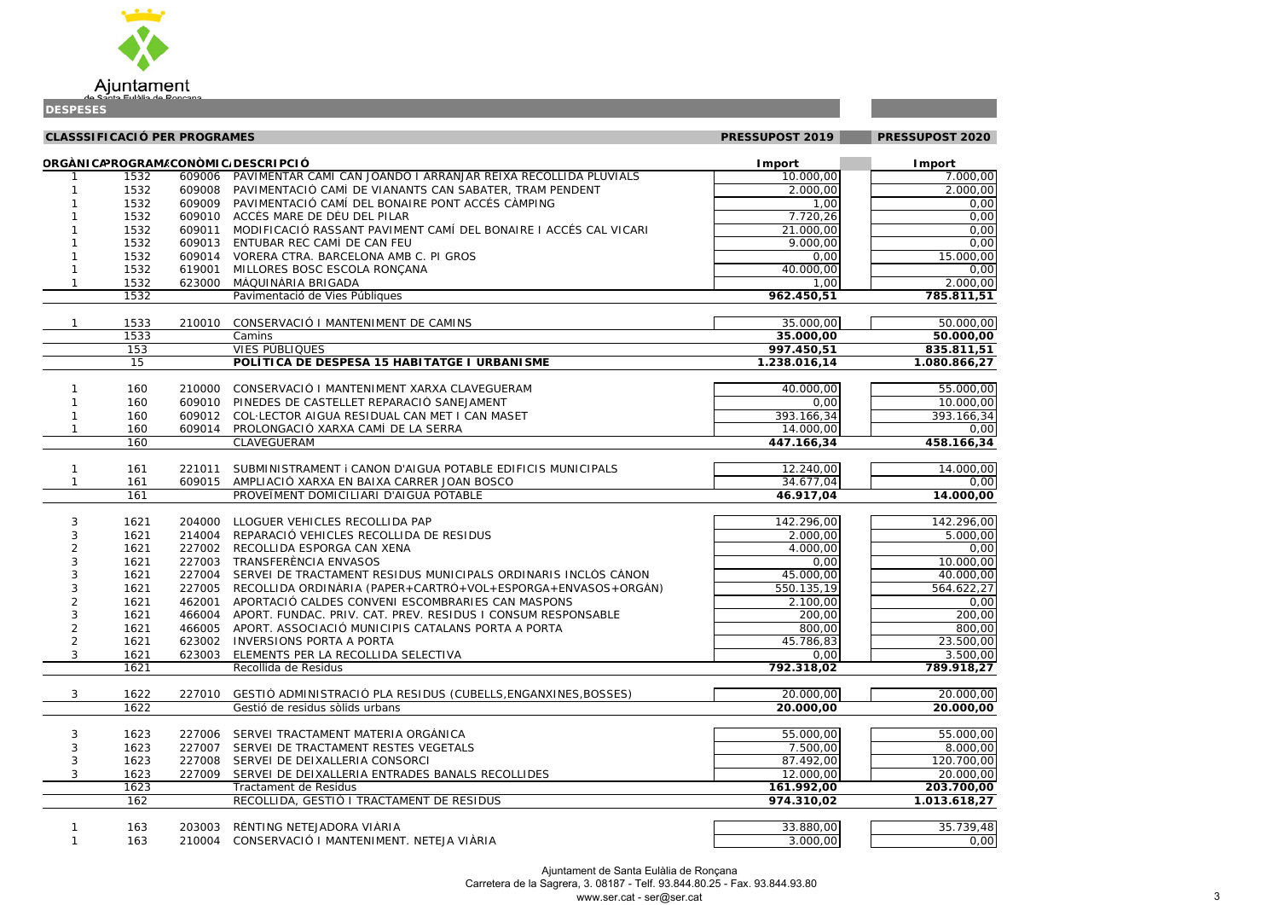

**CLASSSIFICACIÓ PER PROGRAMES PRESSUPOST 2019 PRESSUPOST 2020ORGÀNICAPROGRAMEACONÒMICADESCRIPCIÓ Import Import** 1 1532 609006 PAVIMENTAR CAMÍ CAN JOANDÓ I ARRANJAR REIXA RECOLLIDA PLUVIALS 10.000,00 16 10.000,00 16 17.00 1 1532 609008 PAVIMENTACIÓ CAMÍ DE VIANANTS CAN SABATER, TRAM PENDENT 1 2.000,00 2.000,00 2.00 1 1532 609009 PAVIMENTACIÓ CAMÍ DEL BONAIRE PONT ACCÉS CÀMPING 1,00 0,00 1 1532 609010 ACCÉS MARE DE DÉU DEL PILAR 7.720,26 0,00 1 1532 609011 MODIFICACIÓ RASSANT PAVIMENT CAMÍ DEL BONAIRE I ACCÉS CAL VICARI1 1532 609013 ENTUBAR REC CAMÍ DE CAN FEU 9.000,00 0,00 1 1532 609014 VORERA CTRA. BARCELONA AMB C. PI GROS 15.000 15.000 15.000 15.000 15.000 15.000 15.00 1 1532 619001 MILLORES BOSC ESCOLA RONÇANA 40.000,00 and 40.000,00 1 1532 623000 MÀQUINÀRIA BRIGADAA 1,00 2.000,00

1532 *Pavimentació de Vies Públiques* **962.450,51 785.811,51** 1 1533 210010 CONSERVACIÓ I MANTENIMENT DE CAMINS35.000,00 50.00 1533 *Camins* **35.000,00 50.000,00** 153 *VIES PÚBLIQUES***997.450,51 835.81** 15 **POLÍTICA DE DESPESA 15 HABITATGE I URBANISME 1.238.016,14 1.080.866,27** 1 160 210000 CONSERVACIÓ I MANTENIMENT XARXA CLAVEGUERAM 40.000,00 1 40.000,00 1 55.00 1 160 609010 PINEDES DE CASTELLET REPARACIÓ SANEJAMENTT 0,00 10.000,00 1 160 609012 COL·LECTOR AIGUA RESIDUAL CAN MET I CAN MASET393.166,34 393.16 1 160 609014 PROLONGACIÓ XARXA CAMÍ DE LA SERRA14.000,00 160 *CLAVEGUERAM* **447.166,34 458.166,34** 1 161 221011 SUBMINISTRAMENT i CANON D'AIGUA POTABLE EDIFICIS MUNICIPALS12.240,00 14.00 1 161 609015 AMPLIACIÓ XARXA EN BAIXA CARRER JOAN BOSCO 34.677,04 161 *PROVEÏMENT DOMICILIARI D'AIGUA POTABLE* **46.917,04 14.000,00** 3 1621 204000 LLOGUER VEHICLES RECOLLIDA PAP3 1621 214004 REPARACIÓ VEHICLES RECOLLIDA DE RESIDUS2 1621 227002 RECOLLIDA ESPORGA CAN XENA3 1621 227003 TRANSFERÈNCIA ENVASOS

| 00,00<br>00,00 |
|----------------|
|                |
| 0,00           |
| 0,00           |
| 0,00           |
| 0,00           |
| 00,00          |
| 0,00           |
| 00,00          |
| 1,51           |
|                |

21.000,00

| JO,OO |
|-------|
| 0,00  |
| 1,51  |
| 6,27  |
|       |

| 00,00 |
|-------|
| 00,00 |
| 56,34 |
| 0,00  |
| 6,34  |
|       |

| $\frac{00,00}{0,00}$ |
|----------------------|
|                      |
| <u>0,00</u>          |
|                      |

|   | 1621 | 204000 | LLOGUER VEHICLES RECOLLIDA PAP                                 | 142.296,00              | 142.296,00   |
|---|------|--------|----------------------------------------------------------------|-------------------------|--------------|
|   | 1621 | 214004 | REPARACIÓ VEHICLES RECOLLIDA DE RESIDUS                        | 2.000,00                | 5.000,00     |
|   | 1621 | 227002 | RECOLLIDA ESPORGA CAN XENA                                     | 4.000,00                | 0,00         |
|   | 1621 | 227003 | TRANSFERÈNCIA ENVASOS                                          | 0,00                    | 10.000,00    |
|   | 1621 | 227004 | SERVEI DE TRACTAMENT RESIDUS MUNICIPALS ORDINARIS INCLÒS CÀNON | 45.000,00               | 40.000,00    |
|   | 1621 | 227005 | RECOLLIDA ORDINÀRIA (PAPER+CARTRÓ+VOL+ESPORGA+ENVASOS+ORGÀN)   | 550.135,19              | 564.622,27   |
|   | 1621 | 462001 | APORTACIÓ CALDES CONVENI ESCOMBRARIES CAN MASPONS              | 2.100,00                | 0,00         |
|   | 1621 | 466004 | APORT. FUNDAC. PRIV. CAT. PREV. RESIDUS I CONSUM RESPONSABLE   | 200,00                  | 200,00       |
|   | 1621 | 466005 | APORT. ASSOCIACIÓ MUNICIPIS CATALANS PORTA A PORTA             | 800,00                  | 800,00       |
|   | 1621 | 623002 | <b>INVERSIONS PORTA A PORTA</b>                                | 45.786,83               | 23.500,00    |
| 3 | 1621 | 623003 | ELEMENTS PER LA RECOLLIDA SELECTIVA                            | 0,00                    | 3.500,00     |
|   | 1621 |        | Recollida de Residus                                           | 792.318,02              | 789.918,27   |
|   |      |        |                                                                |                         |              |
| 3 | 1622 | 227010 | GESTIÓ ADMINISTRACIÓ PLA RESIDUS (CUBELLS, ENGANXINES, BOSSES) | 20.000,00               | 20.000,00    |
|   | 1622 |        | Gestió de residus sòlids urbans                                | 20.000,00               | 20.000,00    |
|   |      |        |                                                                |                         |              |
|   | 1623 | 227006 | SERVEI TRACTAMENT MATERIA ORGÀNICA                             | 55.000,00               | 55.000,00    |
| 3 | 1623 | 227007 | SERVEI DE TRACTAMENT RESTES VEGETALS                           | 7.500,00                | 8.000,00     |
| 3 | 1623 | 227008 | SERVEI DE DEIXALLERIA CONSORCI                                 | 87.492,00               | 120.700,00   |
| 3 | 1623 | 227009 | SERVEI DE DEIXALLERIA ENTRADES BANALS RECOLLIDES               | 12.000,00               | 20.000,00    |
|   | 1623 |        | Tractament de Residus                                          | 161.992,00              | 203.700,00   |
|   | 162  |        | RECOLLIDA, GESTIÓ I TRACTAMENT DE RESIDUS                      | $\overline{974.3}10,02$ | 1.013.618,27 |
|   |      |        |                                                                |                         |              |
|   | 163  | 203003 | RÈNTING NETEJADORA VIÀRIA                                      | 33.880,00               | 35.739,48    |
|   | 163  | 210004 | CONSERVACIÓ I MANTENIMENT. NETEJA VIÀRIA                       | 3.000,00                | 0,00         |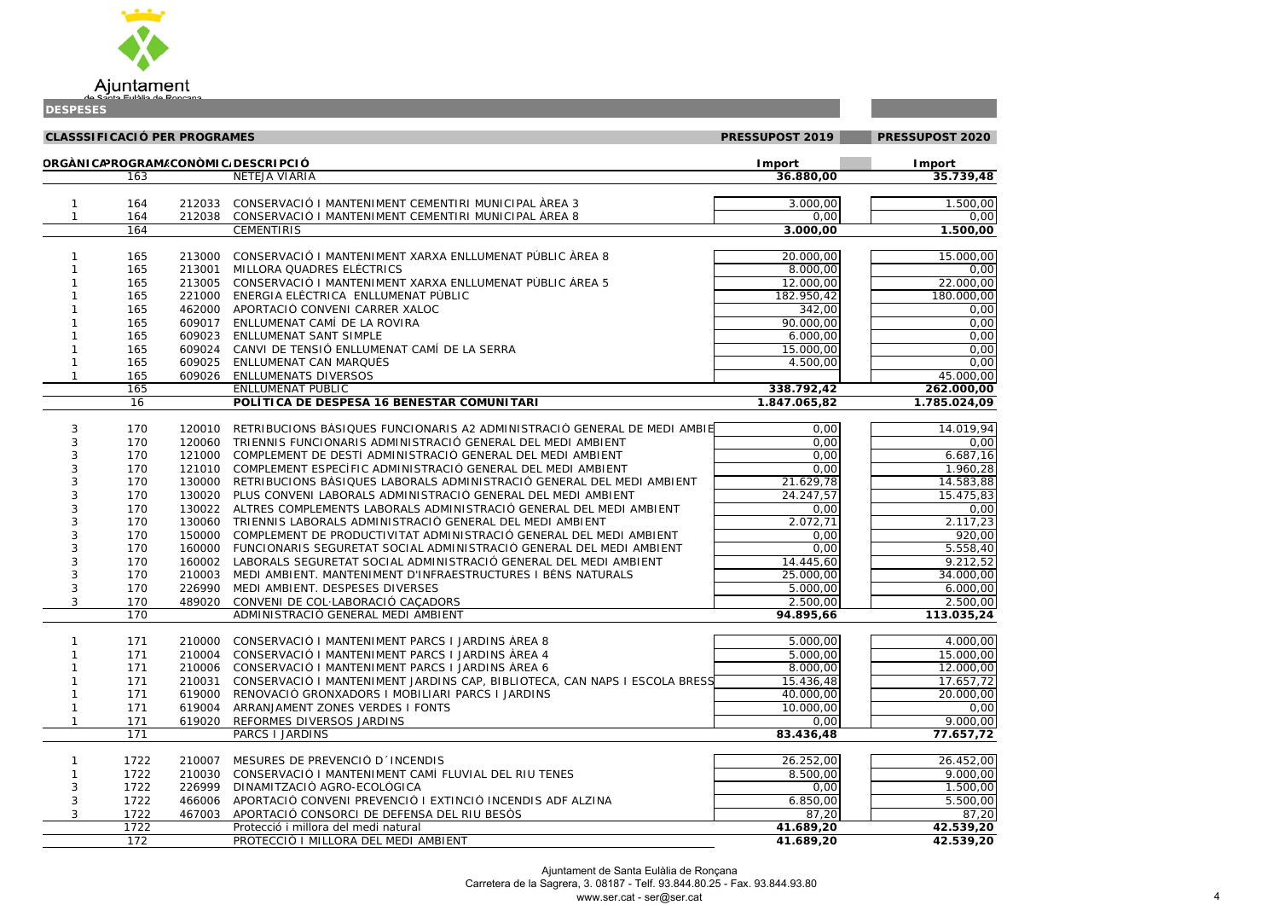

| 0,00 |
|------|
| 0,00 |
| 0,00 |
|      |

|                           | X<br>)                                                             | $\mathfrak{g}$<br>)<br>$\mathbf$<br>l                                                    |
|---------------------------|--------------------------------------------------------------------|------------------------------------------------------------------------------------------|
|                           | 0                                                                  | 00<br>$\overline{1}$                                                                     |
|                           | $\overline{)0}$                                                    | OO<br>$\overline{1}$                                                                     |
| ֧֖֖֚֚֚֚֬֝֬                | J<br>X                                                             | $\overline{0}$<br>5<br>ı                                                                 |
|                           | )<br>(                                                             | (<br>$\mathcal{C}$<br>$\mathfrak{c}$<br>$\overline{ }$                                   |
|                           | )<br>Ó                                                             | $\overline{\mathcal{C}}$<br>j<br>$\overline{\chi}$<br>$\overline{1}$                     |
|                           | $\overline{\mathcal{C}}$<br>J                                      | $\overline{\mathcal{C}}$<br>$\overline{\phantom{a}}$<br>$\bar{\alpha}$<br>$\overline{1}$ |
|                           | $\overline{\mathcal{C}}$<br>)                                      | $\overline{C}$<br>)<br>$\overline{\mathfrak{c}}$<br>$\overline{1}$                       |
| ֚֚֬                       | $\overline{\mathcal{C}}$<br>$\overline{\phantom{a}}$               | $\overline{O}$<br>$\overline{\phantom{a}}$<br>,                                          |
|                           |                                                                    | 00,00                                                                                    |
|                           | $\overline{\mathbf{0}}$                                            | $\frac{1}{00}$                                                                           |
|                           | $\overline{4}$                                                     | J<br>λŚ<br>C                                                                             |
|                           |                                                                    |                                                                                          |
|                           |                                                                    |                                                                                          |
|                           | 19                                                                 | 94                                                                                       |
|                           | $\bar{\rm o}$                                                      | l<br>$\mathcal{E}$                                                                       |
| $\overline{\mathbf{3}}$   | 7                                                                  | $\overline{0}$<br>$\overline{16}$                                                        |
|                           |                                                                    | $\overline{ }$<br>$\overline{28}$                                                        |
|                           |                                                                    | 3                                                                                        |
|                           |                                                                    | $\frac{1}{28}$<br>83<br>Ś                                                                |
|                           | $\frac{50}{33}$<br>$\frac{1}{75}$<br>$\overline{\mathcal{L}}$<br>J | $\overline{ }$<br>ງ<br>$\overline{\chi}$<br>$\mathcal{L}$                                |
| $\overline{\overline{1}}$ | 7                                                                  | $\overline{1}$<br>⋾<br>š                                                                 |
|                           | $\mathbf{)}$                                                       | $\overline{ }$<br>$\overline{\phantom{a}}$<br>$\overline{O}$<br>$\overline{1}$           |
|                           | $\frac{2}{1}$<br>$\overline{56}$                                   | J<br>$\overline{4}$                                                                      |
|                           | $\overline{)}$<br>$\overline{12}$                                  | $\frac{1}{2}$<br>$\overline{ }$<br>$\overline{1}$                                        |
|                           |                                                                    | 5 <sup>2</sup><br>$\overline{\phantom{a}}$<br>$\overline{\mathbf{C}}$<br>$\overline{1}$  |
|                           | $\frac{1}{100}$                                                    | $\mathfrak{c}$<br>$\overline{\mathcal{C}}$<br>$\mathfrak{c}$<br>)<br>,                   |

|            |      | <b>CLASSSIFICACIÓ PER PROGRAMES</b> |                                                                            | PRESSUPOST 2019 | PRESSUPOST 2020       |
|------------|------|-------------------------------------|----------------------------------------------------------------------------|-----------------|-----------------------|
|            |      |                                     | ORGÀNICAPROGRAM/CONÒMIC/DESCRIPCIÓ                                         | <b>I</b> mport  | Import                |
|            | 163  |                                     | NETEJA VIÀRIA                                                              | 36.880,00       | 35.739,48             |
|            | 164  | 212033                              | CONSERVACIÓ I MANTENIMENT CEMENTIRI MUNICIPAL ÀREA 3                       | 3.000,00        | 1.500,00              |
|            | 164  | 212038                              | CONSERVACIÓ I MANTENIMENT CEMENTIRI MUNICIPAL ÀREA 8                       | 0,00            | 0,00                  |
|            | 164  |                                     | <b>CEMENTIRIS</b>                                                          | 3.000,00        | 1.500,00              |
|            |      |                                     |                                                                            |                 |                       |
|            | 165  | 213000                              | CONSERVACIÓ I MANTENIMENT XARXA ENLLUMENAT PÚBLIC ÀREA 8                   | 20.000,00       | 15.000,00             |
|            | 165  | 213001                              | MILLORA QUADRES ELÈCTRICS                                                  | 8.000,00        | 0,00                  |
|            | 165  | 213005                              | CONSERVACIÓ I MANTENIMENT XARXA ENLLUMENAT PÚBLIC ÀREA 5                   | 12.000,00       | 22.000,00             |
|            | 165  | 221000                              | ENERGIA ELÈCTRICA ENLLUMENAT PÚBLIC                                        | 182.950,42      | 180.000,00            |
|            | 165  | 462000                              | APORTACIÓ CONVENI CARRER XALOC                                             | 342,00          | 0,00                  |
|            | 165  | 609017                              | ENLLUMENAT CAMÍ DE LA ROVIRA                                               | 90.000,00       | 0,00                  |
|            | 165  | 609023                              | ENLLUMENAT SANT SIMPLE                                                     | 6.000,00        | 0,00                  |
|            | 165  | 609024                              | CANVI DE TENSIÓ ENLLUMENAT CAMÍ DE LA SERRA                                | 15.000,00       | 0,00                  |
|            | 165  | 609025                              | ENLLUMENAT CAN MARQUÈS                                                     | 4.500,00        | 0,00                  |
|            | 165  | 609026                              | <b>ENLLUMENATS DIVERSOS</b>                                                |                 | 45.000,00             |
|            | 165  |                                     | ENLLUMENAT PÚBLIC                                                          | 338.792,42      | 262.000,00            |
|            | 16   |                                     | POLÍTICA DE DESPESA 16 BENESTAR COMUNITARI                                 | 1.847.065,82    | 1.785.024,09          |
|            |      |                                     |                                                                            |                 |                       |
| 3          | 170  | 120010                              | RETRIBUCIONS BÀSIQUES FUNCIONARIS A2 ADMINISTRACIÓ GENERAL DE MEDI AMBIE   | 0,00            | 14.019,94             |
|            | 170  | 120060                              | TRIENNIS FUNCIONARIS ADMINISTRACIÓ GENERAL DEL MEDI AMBIENT                | 0,00            | 0,00                  |
|            | 170  | 121000                              | COMPLEMENT DE DESTÍ ADMINISTRACIÓ GENERAL DEL MEDI AMBIENT                 | 0,00            | 6.687,16              |
| 3          | 170  | 121010                              | COMPLEMENT ESPECÍFIC ADMINISTRACIÓ GENERAL DEL MEDI AMBIENT                | 0,00            | 1.960,28              |
| 3          | 170  | 130000                              | RETRIBUCIONS BASIQUES LABORALS ADMINISTRACIÓ GENERAL DEL MEDI AMBIENT      | 21.629,78       | 14.583,88             |
| 3          | 170  | 130020                              | PLUS CONVENI LABORALS ADMINISTRACIÓ GENERAL DEL MEDI AMBIENT               | 24.247,57       | 15.475,83             |
| 3          | 170  | 130022                              | ALTRES COMPLEMENTS LABORALS ADMINISTRACIÓ GENERAL DEL MEDI AMBIENT         | 0,00            | 0,00                  |
| 3          | 170  | 130060                              | TRIENNIS LABORALS ADMINISTRACIÓ GENERAL DEL MEDI AMBIENT                   | 2.072,71        | 2.117,23              |
| 3          | 170  | 150000                              | COMPLEMENT DE PRODUCTIVITAT ADMINISTRACIÓ GENERAL DEL MEDI AMBIENT         | 0,00            | 920,00                |
| 3          | 170  | 160000                              | FUNCIONARIS SEGURETAT SOCIAL ADMINISTRACIÓ GENERAL DEL MEDI AMBIENT        | 0,00            | 5.558,40              |
|            | 170  | 160002                              | LABORALS SEGURETAT SOCIAL ADMINISTRACIÓ GENERAL DEL MEDI AMBIENT           | 14.445,60       | 9.212,52              |
|            | 170  | 210003                              | MEDI AMBIENT. MANTENIMENT D'INFRAESTRUCTURES I BÉNS NATURALS               | 25.000,00       | 34.000,00             |
| 3          | 170  | 226990                              | MEDI AMBIENT. DESPESES DIVERSES                                            | 5.000,00        | 6.000,00              |
| 3          | 170  |                                     | 489020 CONVENI DE COL·LABORACIÓ CAÇADORS                                   | 2.500,00        | 2.500,00              |
|            | 170  |                                     | ADMINISTRACIÓ GENERAL MEDI AMBIENT                                         | 94.895,66       | 113.035,24            |
|            | 171  |                                     | 210000 CONSERVACIÓ I MANTENIMENT PARCS I JARDINS ÀREA 8                    | 5.000,00        | 4.000,00              |
|            | 171  | 210004                              | CONSERVACIÓ I MANTENIMENT PARCS I JARDINS ÀREA 4                           | 5.000,00        | 15.000,00             |
|            | 171  | 210006                              | CONSERVACIÓ I MANTENIMENT PARCS I JARDINS ÀREA 6                           | 8.000,00        | 12.000,00             |
|            | 171  | 210031                              | CONSERVACIÓ I MANTENIMENT JARDINS CAP, BIBLIOTECA, CAN NAPS I ESCOLA BRESS | 15.436,48       | 17.657,72             |
|            | 171  |                                     | 619000 RENOVACIÓ GRONXADORS I MOBILIARI PARCS I JARDINS                    | 40.000,00       | 20.000,00             |
|            | 171  | 619004                              | ARRANJAMENT ZONES VERDES I FONTS                                           | 10.000,00       | 0,00                  |
|            | 171  | 619020                              | REFORMES DIVERSOS JARDINS                                                  | 0,00            | $\overline{9.000,00}$ |
|            | 171  |                                     | PARCS I JARDINS                                                            | 83.436,48       | 77.657,72             |
|            |      |                                     |                                                                            |                 |                       |
|            | 1722 | 210007                              | MESURES DE PREVENCIÓ D´INCENDIS                                            | 26.252,00       | 26.452,00             |
|            | 1722 | 210030                              | CONSERVACIÓ I MANTENIMENT CAMÍ FLUVIAL DEL RIU TENES                       | 8.500,00        | 9.000,00              |
|            | 1722 | 226999                              | DINAMITZACIÓ AGRO-ECOLÒGICA                                                | 0,00            | 1.500,00              |
| 3          | 1722 | 466006                              | APORTACIÓ CONVENI PREVENCIÓ I EXTINCIÓ INCENDIS ADF ALZINA                 | 6.850,00        | 5.500,00              |
| $\sqrt{3}$ | 1722 | 467003                              | APORTACIÓ CONSORCI DE DEFENSA DEL RIU BESÒS                                | 87,20           | 87,20                 |
|            | 1722 |                                     | Protecció i millora del medi natural                                       | 41.689,20       | 42.539,20             |
|            | 172  |                                     | PROTECCIÓ I MILLORA DEL MEDI AMBIENT                                       | 41.689,20       | 42.539,20             |

| 00,00                |
|----------------------|
| 00,00                |
| 00,00                |
| $\frac{1}{2}$ , 72   |
| $\frac{1}{00}$ ,00   |
| $\frac{0,00}{00,00}$ |
|                      |
| 57,72                |
|                      |
| $\frac{1}{2}$ ,00    |
| 00,00                |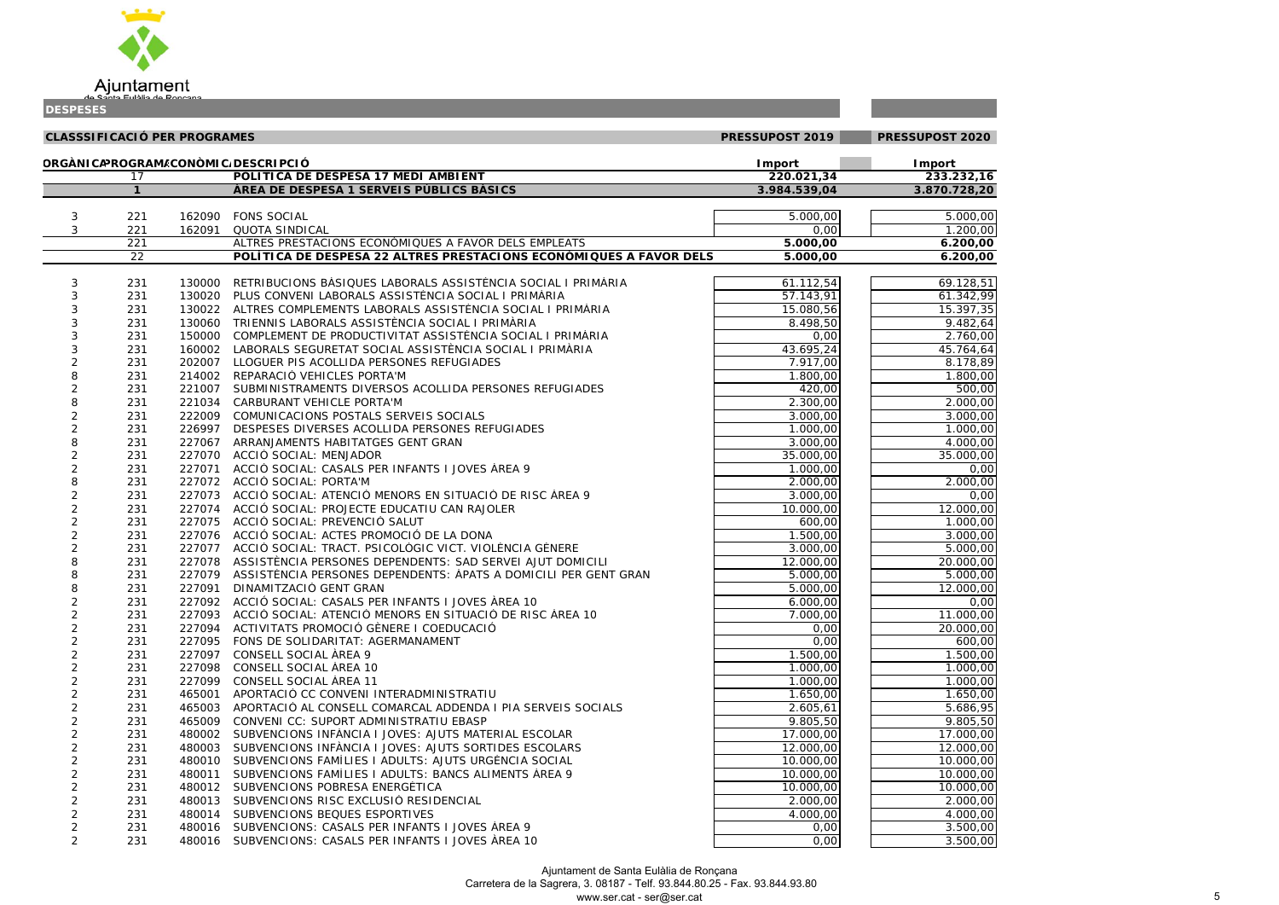

the control of the control of the

| טשטש וטשט           |                                     |                  |                                                                                                       |                        |                        |
|---------------------|-------------------------------------|------------------|-------------------------------------------------------------------------------------------------------|------------------------|------------------------|
|                     | <b>CLASSSIFICACIÓ PER PROGRAMES</b> |                  |                                                                                                       | PRESSUPOST 2019        | PRESSUPOST 2020        |
|                     |                                     |                  | ORGÀNICAPROGRAM/CONÒMIC/DESCRIPCIÓ                                                                    | <b>I</b> mport         | Import                 |
|                     | 17                                  |                  | POLÍTICA DE DESPESA 17 MEDI AMBIENT                                                                   | 220.021,34             | 233.232,16             |
|                     | $\mathbf{1}$                        |                  | ÀREA DE DESPESA 1 SERVEIS PÚBLICS BÀSICS                                                              | 3.984.539,04           | 3.870.728,20           |
|                     |                                     |                  |                                                                                                       |                        |                        |
| 3                   | 221                                 | 162090           | <b>FONS SOCIAL</b>                                                                                    | 5.000,00               | 5.000,00               |
| 3                   | 221                                 | 162091           | <b>QUOTA SINDICAL</b>                                                                                 | 0,00                   | 1.200,00               |
|                     | 221                                 |                  | ALTRES PRESTACIONS ECONÓMIQUES A FAVOR DELS EMPLEATS                                                  | 5.000,00               | 6.200,00               |
|                     | $\overline{22}$                     |                  | POLÍTICA DE DESPESA 22 ALTRES PRESTACIONS ECONÒMIQUES A FAVOR DELS                                    | 5.000,00               | 6.200,00               |
|                     |                                     |                  | RETRIBUCIONS BÀSIQUES LABORALS ASSISTÈNCIA SOCIAL I PRIMÀRIA                                          |                        |                        |
| 3<br>3              | 231<br>231                          | 130000<br>130020 | PLUS CONVENI LABORALS ASSISTÈNCIA SOCIAL I PRIMÀRIA                                                   | 61.112,54<br>57.143,91 | 69.128,51<br>61.342,99 |
| 3                   | 231                                 | 130022           | ALTRES COMPLEMENTS LABORALS ASSISTÈNCIA SOCIAL I PRIMÀRIA                                             | 15.080,56              | 15.397,35              |
| 3                   | 231                                 | 130060           | TRIENNIS LABORALS ASSISTÈNCIA SOCIAL I PRIMÀRIA                                                       | 8.498,50               | 9.482,64               |
| 3                   | 231                                 | 150000           | COMPLEMENT DE PRODUCTIVITAT ASSISTÈNCIA SOCIAL I PRIMÀRIA                                             | 0,00                   | 2.760,00               |
| 3                   | 231                                 | 160002           | LABORALS SEGURETAT SOCIAL ASSISTÈNCIA SOCIAL I PRIMÀRIA                                               | 43.695,24              | 45.764,64              |
| 2                   | 231                                 | 202007           | LLOGUER PIS ACOLLIDA PERSONES REFUGIADES                                                              | 7.917,00               | 8.178,89               |
| 8                   | 231                                 | 214002           | REPARACIÓ VEHICLES PORTA'M                                                                            | 1.800,00               | 1.800,00               |
| $\overline{c}$      | 231                                 | 221007           | SUBMINISTRAMENTS DIVERSOS ACOLLIDA PERSONES REFUGIADES                                                | 420,00                 | 500,00                 |
| 8                   | 231                                 | 221034           | CARBURANT VEHICLE PORTA'M                                                                             | 2.300,00               | $\overline{2.000,00}$  |
| $\overline{c}$      | 231                                 | 222009           | COMUNICACIONS POSTALS SERVEIS SOCIALS                                                                 | 3.000,00               | 3.000,00               |
| $\overline{c}$      | 231                                 | 226997           | DESPESES DIVERSES ACOLLIDA PERSONES REFUGIADES                                                        | 1.000,00               | 1.000,00               |
| 8                   | 231                                 | 227067           | ARRANJAMENTS HABITATGES GENT GRAN                                                                     | 3.000,00               | 4.000,00               |
| $\overline{2}$      | 231                                 | 227070           | ACCIÓ SOCIAL: MENJADOR                                                                                | 35.000,00              | 35.000,00              |
| $\overline{c}$      | 231                                 | 227071           | ACCIÓ SOCIAL: CASALS PER INFANTS I JOVES ÀREA 9                                                       | 1.000,00               | 0,00                   |
| 8                   | 231                                 | 227072           | ACCIÓ SOCIAL: PORTA'M                                                                                 | 2.000,00               | 2.000,00               |
| $\overline{2}$      | 231                                 | 227073           | ACCIÓ SOCIAL: ATENCIÓ MENORS EN SITUACIÓ DE RISC ÀREA 9                                               | 3.000,00               | 0,00                   |
| 2                   | 231                                 | 227074           | ACCIÓ SOCIAL: PROJECTE EDUCATIU CAN RAJOLER                                                           | 10.000,00              | 12.000,00              |
| $\overline{2}$      | 231                                 | 227075           | ACCIÓ SOCIAL: PREVENCIÓ SALUT                                                                         | 600,00                 | 1.000,00               |
| $\overline{c}$      | 231                                 | 227076           | ACCIÓ SOCIAL: ACTES PROMOCIÓ DE LA DONA                                                               | 1.500,00               | 3.000,00               |
| 2                   | 231                                 |                  | 227077 ACCIÓ SOCIAL: TRACT. PSICOLÒGIC VICT. VIOLÈNCIA GÈNERE                                         | 3.000,00               | 5.000,00               |
| 8                   | 231                                 |                  | 227078 ASSISTÈNCIA PERSONES DEPENDENTS: SAD SERVEI AJUT DOMICILI                                      | 12.000,00              | 20.000,00              |
| 8                   | 231                                 | 227079           | ASSISTÈNCIA PERSONES DEPENDENTS: ÀPATS A DOMICILI PER GENT GRAN                                       | 5.000,00               | 5.000,00               |
| 8                   | 231                                 | 227091           | DINAMITZACIÓ GENT GRAN                                                                                | 5.000,00               | 12.000,00              |
| 2                   | 231                                 |                  | 227092 ACCIÓ SOCIAL: CASALS PER INFANTS I JOVES ÀREA 10                                               | 6.000,00               | 0,00                   |
| $\overline{c}$      | 231                                 | 227093           | ACCIÓ SOCIAL: ATENCIÓ MENORS EN SITUACIÓ DE RISC ÀREA 10                                              | 7.000,00               | $\overline{11.000,00}$ |
| $\overline{c}$      | 231                                 | 227094           | ACTIVITATS PROMOCIÓ GÈNERE I COEDUCACIÓ                                                               | 0,00                   | 20.000,00              |
| $\overline{c}$      | 231                                 | 227095           | FONS DE SOLIDARITAT: AGERMANAMENT                                                                     | 0,00                   | 600,00                 |
| $\overline{2}$      | 231                                 | 227097           | CONSELL SOCIAL ÀREA 9                                                                                 | 1.500,00               | 1.500,00               |
| 2                   | 231                                 | 227098           | CONSELL SOCIAL AREA 10                                                                                | 1.000,00               | 1.000,00               |
| $\overline{2}$      | 231                                 | 227099           | CONSELL SOCIAL ÀREA 11                                                                                | 1.000,00               | 1.000,00               |
| 2                   | 231                                 | 465001           | APORTACIÓ CC CONVENI INTERADMINISTRATIU                                                               | 1.650,00               | 1.650,00               |
| 2                   | 231                                 | 465003           | APORTACIÓ AL CONSELL COMARCAL ADDENDA I PIA SERVEIS SOCIALS                                           | 2.605,61               | 5.686,95               |
| 2                   | 231<br>231                          | 465009           | CONVENI CC: SUPORT ADMINISTRATIU EBASP<br>480002 SUBVENCIONS INFANCIA I JOVES: AJUTS MATERIAL ESCOLAR | 9.805,50               | 9.805,50               |
| 2<br>$\overline{c}$ | 231                                 |                  | 480003 SUBVENCIONS INFÀNCIA I JOVES: AJUTS SORTIDES ESCOLARS                                          | 17.000,00<br>12.000,00 | 17.000,00<br>12.000,00 |
| 2                   | 231                                 |                  | 480010 SUBVENCIONS FAMÍLIES I ADULTS: AJUTS URGÈNCIA SOCIAL                                           | 10.000,00              | 10.000,00              |
| 2                   | 231                                 |                  | 480011 SUBVENCIONS FAMÍLIES I ADULTS: BANCS ALIMENTS ÀREA 9                                           | 10.000,00              | 10.000,00              |
| 2                   | 231                                 |                  | 480012 SUBVENCIONS POBRESA ENERGÈTICA                                                                 | 10.000,00              | 10.000,00              |
| $\overline{c}$      | 231                                 |                  | 480013 SUBVENCIONS RISC EXCLUSIÓ RESIDENCIAL                                                          | 2.000,00               | 2.000,00               |
| $\overline{2}$      | 231                                 | 480014           | SUBVENCIONS BEQUES ESPORTIVES                                                                         | 4.000,00               | 4.000,00               |
| $\overline{2}$      | 231                                 |                  | 480016 SUBVENCIONS: CASALS PER INFANTS I JOVES AREA 9                                                 | 0,00                   | 3.500,00               |
| $\overline{2}$      | 231                                 |                  | 480016 SUBVENCIONS: CASALS PER INFANTS I JOVES ÀREA 10                                                | 0,00                   | 3.500,00               |
|                     |                                     |                  |                                                                                                       |                        |                        |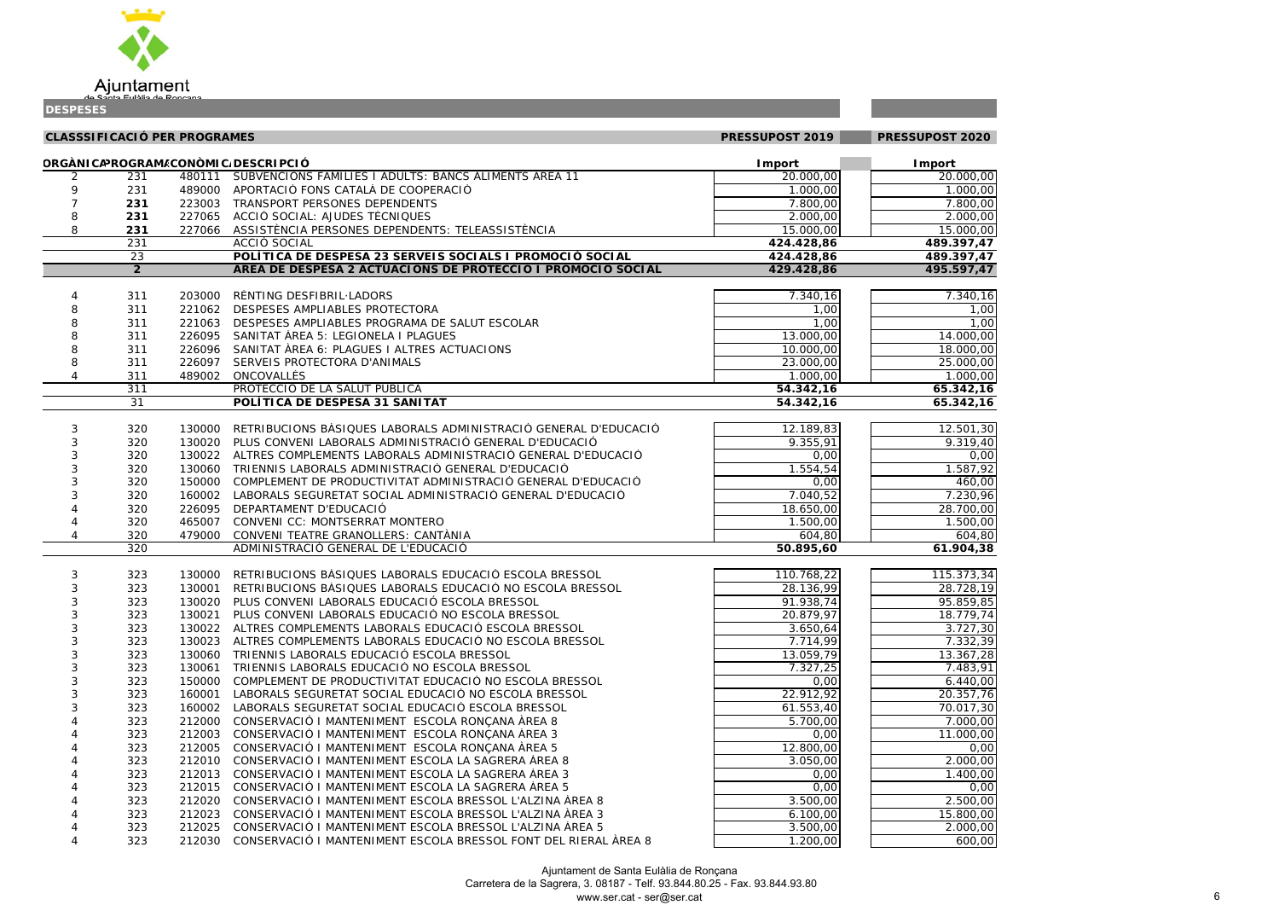

**CLASSSIFICACIÓ PER PROGRAMES PRESSUPOST 2019 PRESSUPOST 2020ORGÀNICAPROGRAMEACONÒMICADESCRIPCIÓ Import Import** 2 231 480111 SUBVENCIONS FAMÍLIES I ADULTS: BANCS ALIMENTS ÀREA 11 20.000,00 20.000,00 20.00 9 231 489000 APORTACIÓ FONS CATALÀ DE COOPERACIÓ 1.000,00 1.000,00 7 **231**223003 TRANSPORT PERSONES DEPENDENTS 7.800,00 7.800,00 7.800,00 7.800 7.800 7.800 7.800 7.800 7.800 7.800 7.80 8 **231**227065 ACCIÓ SOCIAL: AJUDES TÈCNIQUES 2.000 2.000 2.000 2.000 2.000 2.000 2.000 2.000 2.000 2.000 2.000 2.000 2.000 2.000 2.000 2.000 2.000 2.000 2.000 2.000 2.000 2.000 2.000 2.000 2.000 2.000 2.000 2.000 2.000 2.000 2.00 8 **231**227066 ASSISTÈNCIA PERSONES DEPENDENTS: TELEASSISTÈNCIA 1999 15.000,00 15.000,00 15.000 15.00 231 *ACCIÓ SOCIAL* **424.428,86 489.397,47** 23 **POLÍTICA DE DESPESA 23 SERVEIS SOCIALS I PROMOCIÓ SOCIAL 424.428,86 489.397,47 2 ÀREA DE DESPESA 2 ACTUACIONS DE PROTECCIÓ I PROMOCIÓ SOCIAL 429.428,86 495.597,47** 4 311 203000 RÈNTING DESFIBRIL·LADORSS 7.340,16 7.340,16 8 311 221062 DESPESES AMPLIABLES PROTECTORAA 1,00| | 1,00 8 311 221063 DESPESES AMPLIABLES PROGRAMA DE SALUT ESCOLAR 1,00 1,00 8 311 226095 SANITAT ÀREA 5: LEGIONELA I PLAGUES 13.000,00 1 13.000,00 1 14.00 8 311 226096 SANITAT ÀREA 6: PLAGUES I ALTRES ACTUACIONS 10.000,00 10.000,00 18.00 8 311 226097 SERVEIS PROTECTORA D'ANIMALS23.000,00 25.000,00 23.000,00 23.000,00 25.000,00 25.000,00 25.000,00 25.000,00 25.000,00 25.000,00 25.000,00 4 311 489002 ONCOVALLÈS 1.000,00 1.000,00 311 *PROTECCIÓ DE LA SALUT PÚBLICA* **54.342,16 65.342,16** 31 **POLÍTICA DE DESPESA 31 SANITAT 54.342,16 65.342,16** 3 320 130000 RETRIBUCIONS BÀSIQUES LABORALS ADMINISTRACIÓ GENERAL D'EDUCACIÓ 17 12.189,83 12.50 3 320 130020 PLUS CONVENI LABORALS ADMINISTRACIÓ GENERAL D'EDUCACIÓ **1999 - 1999, 1999 1999 1999**.31 3 320 130022 ALTRES COMPLEMENTS LABORALS ADMINISTRACIÓ GENERAL D'EDUCACIÓ 0,00 0,00 3 320 130060 TRIENNIS LABORALS ADMINISTRACIÓ GENERAL D'EDUCACIÓ 1. 1.1954,54 1.554,54 1.567,54 1.58 3 320 150000 COMPLEMENT DE PRODUCTIVITAT ADMINISTRACIÓ GENERAL D'EDUCACIÓ 0,00 460,00 3 320 160002 LABORALS SEGURETAT SOCIAL ADMINISTRACIÓ GENERAL D'EDUCACIÓ 7 1999 17040,52 17040,52 1707.23 4 320 226095 DEPARTAMENT D'EDUCACIÓ0 28.700,00 28.700,00 28.700,00 28.700,00 28.700,00 28.700,00 28.700,00 28.700,00 4 320 465007 CONVENI CC: MONTSERRAT MONTERO 1.500,00 1.500,00 4 320 479000 CONVENI TEATRE GRANOLLERS: CANTÀNIAA 604,80 604,80 320 *ADMINISTRACIÓ GENERAL DE L'EDUCACIÓ* **50.895,60 61.904,38** 3 323 130000 RETRIBUCIONS BÀSIQUES LABORALS EDUCACIÓ ESCOLA BRESSOL 110.768,22 110.768,22 115.373,34 3 323 130001 RETRIBUCIONS BÀSIQUES LABORALS EDUCACIÓ NO ESCOLA BRESSOL 28.136,99 28.728,19 3 323 130020 PLUS CONVENI LABORALS EDUCACIÓ ESCOLA BRESSOL **1992 - 1992 - 1992 - 19938,74 Plus** 95.859,85 3 323 130021 PLUS CONVENI LABORALS EDUCACIÓ NO ESCOLA BRESSOL 20.879.97| 18.779.74 3 323 130022 ALTRES COMPLEMENTS LABORALS EDUCACIÓ ESCOLA BRESSOL 6 6 1 3.650,64 130022 ALTRES COMPLEMENTS LABORALS EDUCACIÓ ESCOLA BRESSOL 3 323 130023 ALTRES COMPLEMENTS LABORALS EDUCACIÓ NO ESCOLA BRESSOL **1989 12.2006 12.332.39** 7.332.39 3 323 130060 TRIENNIS LABORALS EDUCACIÓ ESCOLA BRESSOL 13.059,09 13.059,79 13.367,28 3 323 130061 TRIENNIS LABORALS EDUCACIÓ NO ESCOLA BRESSOL 7.327,25 7.483,91 3 323 150000 COMPLEMENT DE PRODUCTIVITAT EDUCACIÓ NO ESCOLA BRESSOL 0,00 6.440,00 3 323 160001 LABORALS SEGURETAT SOCIAL EDUCACIÓ NO ESCOLA BRESSOL  $22.912,92$  20.312,92 20.357,76 3 323 160002 LABORALS SEGURETAT SOCIAL EDUCACIÓ ESCOLA BRESSOL 61.553,40 1 61.553,40 1 70.017,30 323 212000 CONSERVACIÓ I MANTENIMENT ESCOLA RONÇANA ÀREA 8 5.700,00 5.700,00 7.000,00 11.000,00 212003 CONSERVACIÓ I MANTENIMENT ESCOLA RONCANA ÀREA 3 323 212005 CONSERVACIÓ I MANTENIMENT ESCOLA RONCANA ÀREA 5 12.800,00 0,00 323 212010 CONSERVACIÓ I MANTENIMENT ESCOLA LA SAGRERA ÀREA 8 3.050,00 1 3.050,00 1 2.000,00 1.400,00 212013 CONSERVACIÓ I MANTENIMENT ESCOLA LA SAGRERA ÀREA 3 0.00  $\sqrt{0.00}$ 1 4 323 212015 CONSERVACIÓ I MANTENIMENT ESCOLA LA SAGRERA ÀREA 5 0,00 0,000 0,000 0,000 0,00 4 323 212020 CONSERVACIÓ I MANTENIMENT ESCOLA BRESSOL L'ALZINA ÀREA 8 3.500,00 2.500,00 4 323 212023 CONSERVACIÓ I MANTENIMENT ESCOLA BRESSOL L'ALZINA ÀREA 3 6.100,00 15.800,00 4 323 212025 CONSERVACIÓ I MANTENIMENT ESCOLA BRESSOL L'ALZINA ÀREA 53.500,00 2.000,00

| $\overline{50}$                                                          | $\overline{00}$                                                                             |  |
|--------------------------------------------------------------------------|---------------------------------------------------------------------------------------------|--|
| $\frac{1}{10}$                                                           | $\overline{.00}$                                                                            |  |
| $\overline{C}$<br>5                                                      | $\overline{O}$<br>j                                                                         |  |
|                                                                          | $\overline{00}$                                                                             |  |
| $\frac{1}{100}$                                                          | J                                                                                           |  |
|                                                                          | $\overline{00}$<br>$\overline{1}$                                                           |  |
|                                                                          |                                                                                             |  |
| $\frac{1}{7.4}$<br>$\frac{7.4}{7.4}$                                     |                                                                                             |  |
|                                                                          |                                                                                             |  |
|                                                                          |                                                                                             |  |
| $\frac{10}{4}$                                                           | 16                                                                                          |  |
| ı                                                                        | j<br>$\bar{\mathfrak{z}}$<br>$\overline{\mathcal{L}}$<br>l                                  |  |
| I<br>Ī                                                                   | $\overline{\mathcal{C}}$<br>$\overline{\chi}$<br>$\overline{\phantom{a}}$<br>$\overline{1}$ |  |
| $\overline{)0}$ ,                                                        | $\epsilon$<br>$\overline{\chi}$<br>ັ                                                        |  |
|                                                                          | $\overline{00}$                                                                             |  |
| $\frac{1}{100}$<br>$\frac{1}{100}$<br>$\frac{1}{200}$<br>$\frac{1}{200}$ | $\overline{00}$                                                                             |  |
|                                                                          | $\overline{00}$                                                                             |  |
|                                                                          | $\overline{\mathbf{1}}$<br>$\overline{\mathbf{6}}$                                          |  |
|                                                                          | 1<br>6                                                                                      |  |
|                                                                          |                                                                                             |  |
| $\overline{51}$                                                          |                                                                                             |  |
|                                                                          | $\overline{30}$<br>$\overline{1}$                                                           |  |
| $\frac{19}{0}$                                                           | 40<br>$\overline{\phantom{a}}$<br>$\overline{ }$                                            |  |
| ັງ<br>$\overline{\mathbf{C}}$                                            | $\overline{O}$<br>)<br>$\overline{1}$                                                       |  |
| $rac{c}{\sqrt{37}}$                                                      | $\overline{9}$<br>,<br>$\overline{1}$                                                       |  |
| $\frac{1}{20}$                                                           | $\overline{\mathfrak{z}}$<br>$\overline{)}$<br>$\overline{ }$                               |  |
| 30                                                                       | 96<br>5<br>$\overline{1}$                                                                   |  |
| $\overline{50}$                                                          | $\frac{1}{00}$                                                                              |  |
| $\overline{)0}$                                                          | $\overline{O}$<br>J                                                                         |  |
|                                                                          |                                                                                             |  |

4 323 212030 CONSERVACIÓ I MANTENIMENT ESCOLA BRESSOL FONT DEL RIERAL ÀREA 8

1.200,00 600,00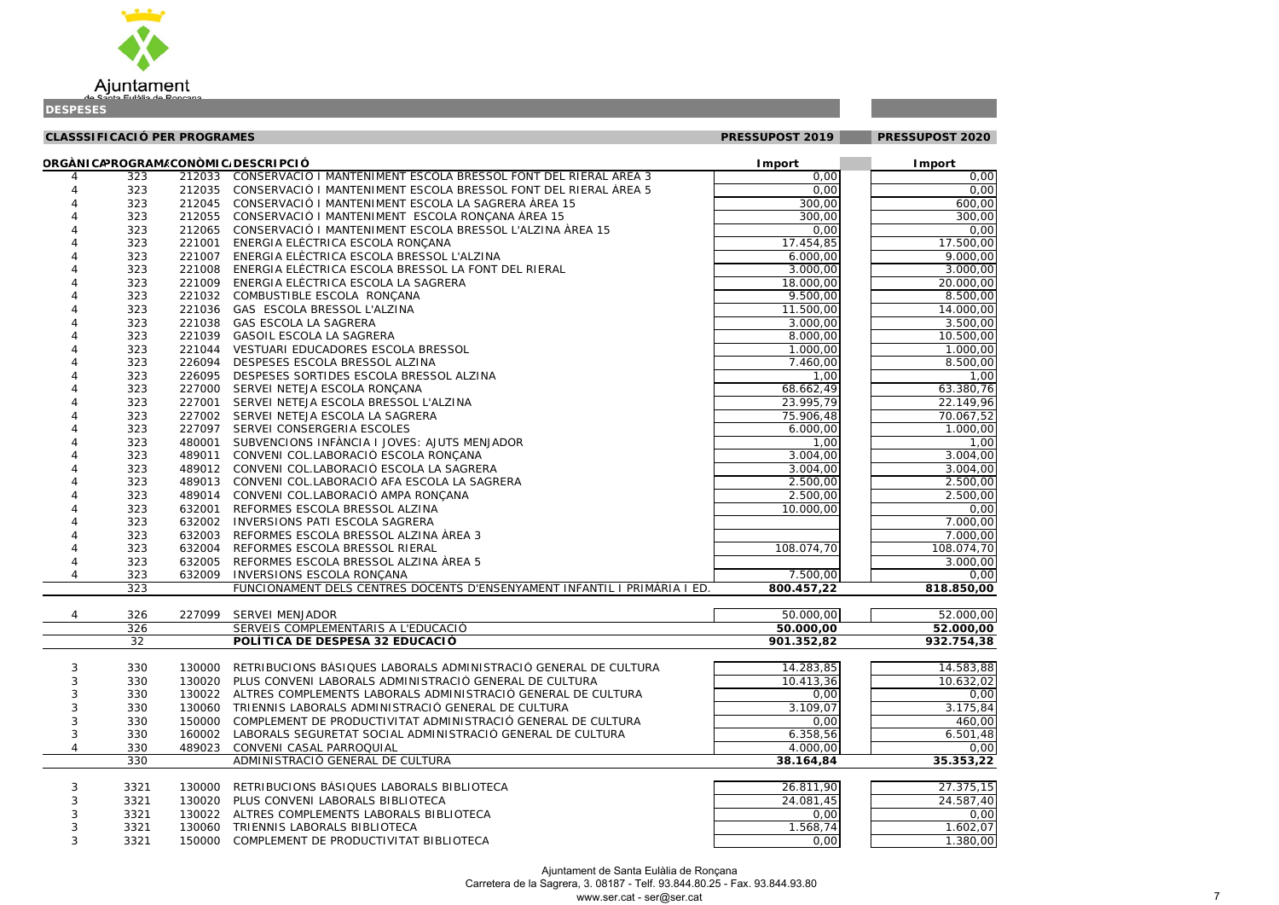

| l                                                   | )(<br>)<br>(                                    |
|-----------------------------------------------------|-------------------------------------------------|
| )<br>(<br>l                                         | (<br>)(<br>)                                    |
| X<br>)<br>$\overline{1}$                            | (<br>X<br>)                                     |
| X<br>)<br>,                                         | (<br>)<br>)(                                    |
| $\overline{\phantom{a}}$<br>)<br>l                  | (<br>X<br>)                                     |
| x<br>)                                              | (<br>X<br>)                                     |
| X<br>)<br>,                                         | (<br>)(<br>)                                    |
| X<br>)<br>,                                         | (<br>)(<br>)                                    |
| X<br>)<br>l                                         | (<br>X<br>)                                     |
| X<br>)<br>l                                         | )(<br>)<br>(                                    |
| X<br>)<br>l                                         | X<br>)<br>(                                     |
| X<br>)<br>$\mathbf{I}$                              | )<br>(<br>X                                     |
| x<br>)<br>$\overline{ }$                            | X<br>(<br>)                                     |
| $\overline{\mathfrak{z}}$<br>)<br>l                 | X<br>(<br>)                                     |
| X<br>)<br>֦֧֦֧֦֧֦֧֦֧֦֧֦֧֦֧֦֧֦֧֦֧֦֧֦֧֦֧֧֚֬֓֓֓֓֓֓֓֜֓֓ | X<br>)<br>(                                     |
| Ī<br>1<br>$\overline{1}$                            | )(<br>)<br>(                                    |
| $\overline{\mathbf{3}}$<br>)<br>ı                   | $\frac{1}{2}$<br>,                              |
| $\frac{19}{27}$<br>l                                | $\overline{\epsilon}$<br>¢<br>,                 |
| l                                                   | $\frac{1}{2}$<br>ļ<br>$\ddot{\phantom{0}}$      |
| )<br>)<br>l                                         | )<br>(<br>)(                                    |
| l<br>l                                              | $\overline{\mathbf{C}}$<br>)<br>$\mathfrak{z}$  |
| $\frac{1}{4}$<br>ı                                  | $\overline{\mathbf{C}}$<br>)<br>X               |
| $\overline{4}$<br>l                                 | (<br>$\mathfrak{g}$<br>)                        |
|                                                     |                                                 |
| )(<br>$\overline{\phantom{0}}$<br>,                 | X<br>)<br>(                                     |
| x<br>)<br>,                                         | )<br>(<br>X                                     |
| (<br>€<br>l                                         | )(<br>(<br>)                                    |
| x<br>)                                              | X<br>)<br>(                                     |
| x<br>)<br>$\overline{1}$                            | )<br>X<br>(                                     |
| 7<br>$\overline{\phantom{a}}$<br>ļ<br>ı             | $\overline{\mathcal{L}}$<br>)                   |
| )(<br>)                                             | X<br>)<br>(                                     |
| $\overline{\mathcal{L}}$<br>)                       | $\overline{\phantom{a}}$<br>X<br>)              |
| $\overline{\mathsf{o}}_t$                           | )<br>J<br>$\mathbf$                             |
|                                                     |                                                 |
|                                                     |                                                 |
| $\overline{\mathbf{o}}$                             | 0,00<br>ОĆ<br>)                                 |
| 4                                                   | $\overline{\mathbf{3}}$<br>ś                    |
|                                                     |                                                 |
|                                                     | Į<br>Ş                                          |
|                                                     | $\overline{\phantom{a}}$<br>):                  |
| )<br>(<br>,                                         | $\mathfrak{g}$<br>$\overline{\mathcal{L}}$<br>) |
| ļ                                                   | Ş<br>}.                                         |
| $\frac{1}{2}$<br>)<br>(<br>J                        | $\overline{\mathcal{L}}$<br>)<br>)(             |
| )<br>Ó<br>)                                         | l {<br>}<br>ō<br>$\overline{(}$<br>J            |

| $\overline{75,15}$ |
|--------------------|
| 37,40              |
| 0,00               |
| 02,07              |
| 30,00              |

| ORGÀNICAPROGRAM/CONÒMIC/DESCRIPCIÓ<br><b>I</b> mport<br><b>Import</b><br>212033 CONSERVACIÓ I MANTENIMENT ESCOLA BRESSOL FONT DEL RIERAL ÀREA 3<br>0,00<br>323<br>4<br>0,00<br>212035 CONSERVACIÓ I MANTENIMENT ESCOLA BRESSOL FONT DEL RIERAL ÀREA 5<br>323<br>212045 CONSERVACIÓ I MANTENIMENT ESCOLA LA SAGRERA ÀREA 15<br>300,00<br>323<br>212055 CONSERVACIÓ I MANTENIMENT ESCOLA RONÇANA ÀREA 15<br>323<br>300,00<br>212065 CONSERVACIÓ I MANTENIMENT ESCOLA BRESSOL L'ALZINA ÀREA 15<br>323<br>0,00<br>17.454,85<br>323<br>221001 ENERGIA ELÈCTRICA ESCOLA RONÇANA<br>323<br>221007 ENERGIA ELÈCTRICA ESCOLA BRESSOL L'ALZINA<br>6.000,00<br>3.000,00<br>323<br>221008 ENERGIA ELÈCTRICA ESCOLA BRESSOL LA FONT DEL RIERAL<br>323<br>221009 ENERGIA ELÈCTRICA ESCOLA LA SAGRERA<br>18.000,00<br>9.500,00<br>323<br>221032 COMBUSTIBLE ESCOLA RONÇANA<br>323<br>221036 GAS ESCOLA BRESSOL L'ALZINA<br>11.500,00<br>323<br>221038 GAS ESCOLA LA SAGRERA<br>3.000,00<br>323<br>221039 GASOIL ESCOLA LA SAGRERA<br>8.000,00<br>1.000,00<br>323<br>221044 VESTUARI EDUCADORES ESCOLA BRESSOL<br>323<br>226094 DESPESES ESCOLA BRESSOL ALZINA<br>7.460,00<br>323<br>226095<br>DESPESES SORTIDES ESCOLA BRESSOL ALZINA<br>1,00<br>68.662,49<br>323<br>227000 SERVEI NETEJA ESCOLA RONÇANA<br>23.995,79<br>323<br>227001 SERVEI NETEJA ESCOLA BRESSOL L'ALZINA<br>75.906,48<br>323<br>227002 SERVEI NETEJA ESCOLA LA SAGRERA<br>323<br>227097 SERVEI CONSERGERIA ESCOLES<br>6.000,00<br>323<br>480001 SUBVENCIONS INFÀNCIA I JOVES: AJUTS MENJADOR<br>1,00<br>3.004,00<br>489011 CONVENI COL.LABORACIÓ ESCOLA RONÇANA<br>3.004,00<br>323<br>3.004,00<br>323<br>489012 CONVENI COL.LABORACIÓ ESCOLA LA SAGRERA<br>2.500,00<br>323<br>489013 CONVENI COL.LABORACIÓ AFA ESCOLA LA SAGRERA<br>2.500,00<br>323<br>489014 CONVENI COL.LABORACIÓ AMPA RONÇANA<br>323<br>632001<br>REFORMES ESCOLA BRESSOL ALZINA<br>10.000,00<br>7.000,00<br>323<br>632002 INVERSIONS PATI ESCOLA SAGRERA<br>323<br>632003<br>REFORMES ESCOLA BRESSOL ALZINA ÀREA 3<br>323<br>108.074,70<br>632004 REFORMES ESCOLA BRESSOL RIERAL<br>108.074,70<br>323<br>632005<br>REFORMES ESCOLA BRESSOL ALZINA ÀREA 5<br>4<br>7.500,00<br>323<br><b>INVERSIONS ESCOLA RONÇANA</b><br>632009<br>4<br>323<br>FUNCIONAMENT DELS CENTRES DOCENTS D'ENSENYAMENT INFANTIL I PRIMÀRIA I ED.<br>800.457,22<br>818.850,00<br>50.000,00<br>SERVEI MENJADOR<br>326<br>227099<br>4<br>326<br>SERVEIS COMPLEMENTARIS A L'EDUCACIÓ<br>50.000,00<br>32<br>POLÍTICA DE DESPESA 32 EDUCACIÓ<br>901.352,82<br>RETRIBUCIONS BÀSIQUES LABORALS ADMINISTRACIÓ GENERAL DE CULTURA<br>14.283,85<br>3<br>330<br>130000<br>3<br>130020 PLUS CONVENI LABORALS ADMINISTRACIÓ GENERAL DE CULTURA<br>10.413,36<br>330<br>3<br>130022 ALTRES COMPLEMENTS LABORALS ADMINISTRACIÓ GENERAL DE CULTURA<br>330<br>0,00<br>3.109,07<br>130060 TRIENNIS LABORALS ADMINISTRACIÓ GENERAL DE CULTURA<br>3<br>330<br>3<br>330<br>150000 COMPLEMENT DE PRODUCTIVITAT ADMINISTRACIÓ GENERAL DE CULTURA<br>0,00<br>3<br>160002 LABORALS SEGURETAT SOCIAL ADMINISTRACIÓ GENERAL DE CULTURA<br>6.358,56<br>330<br>$\overline{4}$<br>330<br>489023<br>CONVENI CASAL PARROQUIAL<br>4.000,00<br>330<br>ADMINISTRACIÓ GENERAL DE CULTURA<br>38.164,84<br>27.375,15<br>26.811,90<br>3<br>RETRIBUCIONS BASIQUES LABORALS BIBLIOTECA<br>3321<br>130000<br>24.587,40<br>3<br>3321<br>130020<br>PLUS CONVENI LABORALS BIBLIOTECA<br>24.081,45<br>3<br>3321<br>130022<br>ALTRES COMPLEMENTS LABORALS BIBLIOTECA<br>0,00<br>0,00<br>3<br>3321<br>TRIENNIS LABORALS BIBLIOTECA<br>1.568,74<br>1.602,07<br>130060<br>3<br>3321<br>150000 COMPLEMENT DE PRODUCTIVITAT BIBLIOTECA<br>0,00 | <b>CLASSSIFICACIÓ PER PROGRAMES</b> |  | PRESSUPOST 2019 | PRESSUPOST 2020 |
|------------------------------------------------------------------------------------------------------------------------------------------------------------------------------------------------------------------------------------------------------------------------------------------------------------------------------------------------------------------------------------------------------------------------------------------------------------------------------------------------------------------------------------------------------------------------------------------------------------------------------------------------------------------------------------------------------------------------------------------------------------------------------------------------------------------------------------------------------------------------------------------------------------------------------------------------------------------------------------------------------------------------------------------------------------------------------------------------------------------------------------------------------------------------------------------------------------------------------------------------------------------------------------------------------------------------------------------------------------------------------------------------------------------------------------------------------------------------------------------------------------------------------------------------------------------------------------------------------------------------------------------------------------------------------------------------------------------------------------------------------------------------------------------------------------------------------------------------------------------------------------------------------------------------------------------------------------------------------------------------------------------------------------------------------------------------------------------------------------------------------------------------------------------------------------------------------------------------------------------------------------------------------------------------------------------------------------------------------------------------------------------------------------------------------------------------------------------------------------------------------------------------------------------------------------------------------------------------------------------------------------------------------------------------------------------------------------------------------------------------------------------------------------------------------------------------------------------------------------------------------------------------------------------------------------------------------------------------------------------------------------------------------------------------------------------------------------------------------------------------------------------------------------------------------------------------------------------------------------------------------------------------------------------------------------------------------------------------------------------------------------------------------------------------------------------------------------------------------------------------------------------------------------------------------------------------------------------------------------------------------------------------------------------------------------------|-------------------------------------|--|-----------------|-----------------|
|                                                                                                                                                                                                                                                                                                                                                                                                                                                                                                                                                                                                                                                                                                                                                                                                                                                                                                                                                                                                                                                                                                                                                                                                                                                                                                                                                                                                                                                                                                                                                                                                                                                                                                                                                                                                                                                                                                                                                                                                                                                                                                                                                                                                                                                                                                                                                                                                                                                                                                                                                                                                                                                                                                                                                                                                                                                                                                                                                                                                                                                                                                                                                                                                                                                                                                                                                                                                                                                                                                                                                                                                                                                                                          |                                     |  |                 |                 |
|                                                                                                                                                                                                                                                                                                                                                                                                                                                                                                                                                                                                                                                                                                                                                                                                                                                                                                                                                                                                                                                                                                                                                                                                                                                                                                                                                                                                                                                                                                                                                                                                                                                                                                                                                                                                                                                                                                                                                                                                                                                                                                                                                                                                                                                                                                                                                                                                                                                                                                                                                                                                                                                                                                                                                                                                                                                                                                                                                                                                                                                                                                                                                                                                                                                                                                                                                                                                                                                                                                                                                                                                                                                                                          |                                     |  |                 | 0,00            |
|                                                                                                                                                                                                                                                                                                                                                                                                                                                                                                                                                                                                                                                                                                                                                                                                                                                                                                                                                                                                                                                                                                                                                                                                                                                                                                                                                                                                                                                                                                                                                                                                                                                                                                                                                                                                                                                                                                                                                                                                                                                                                                                                                                                                                                                                                                                                                                                                                                                                                                                                                                                                                                                                                                                                                                                                                                                                                                                                                                                                                                                                                                                                                                                                                                                                                                                                                                                                                                                                                                                                                                                                                                                                                          |                                     |  |                 | 0,00            |
|                                                                                                                                                                                                                                                                                                                                                                                                                                                                                                                                                                                                                                                                                                                                                                                                                                                                                                                                                                                                                                                                                                                                                                                                                                                                                                                                                                                                                                                                                                                                                                                                                                                                                                                                                                                                                                                                                                                                                                                                                                                                                                                                                                                                                                                                                                                                                                                                                                                                                                                                                                                                                                                                                                                                                                                                                                                                                                                                                                                                                                                                                                                                                                                                                                                                                                                                                                                                                                                                                                                                                                                                                                                                                          |                                     |  |                 | 600,00          |
|                                                                                                                                                                                                                                                                                                                                                                                                                                                                                                                                                                                                                                                                                                                                                                                                                                                                                                                                                                                                                                                                                                                                                                                                                                                                                                                                                                                                                                                                                                                                                                                                                                                                                                                                                                                                                                                                                                                                                                                                                                                                                                                                                                                                                                                                                                                                                                                                                                                                                                                                                                                                                                                                                                                                                                                                                                                                                                                                                                                                                                                                                                                                                                                                                                                                                                                                                                                                                                                                                                                                                                                                                                                                                          |                                     |  |                 | 300,00          |
|                                                                                                                                                                                                                                                                                                                                                                                                                                                                                                                                                                                                                                                                                                                                                                                                                                                                                                                                                                                                                                                                                                                                                                                                                                                                                                                                                                                                                                                                                                                                                                                                                                                                                                                                                                                                                                                                                                                                                                                                                                                                                                                                                                                                                                                                                                                                                                                                                                                                                                                                                                                                                                                                                                                                                                                                                                                                                                                                                                                                                                                                                                                                                                                                                                                                                                                                                                                                                                                                                                                                                                                                                                                                                          |                                     |  |                 | 0,00            |
|                                                                                                                                                                                                                                                                                                                                                                                                                                                                                                                                                                                                                                                                                                                                                                                                                                                                                                                                                                                                                                                                                                                                                                                                                                                                                                                                                                                                                                                                                                                                                                                                                                                                                                                                                                                                                                                                                                                                                                                                                                                                                                                                                                                                                                                                                                                                                                                                                                                                                                                                                                                                                                                                                                                                                                                                                                                                                                                                                                                                                                                                                                                                                                                                                                                                                                                                                                                                                                                                                                                                                                                                                                                                                          |                                     |  |                 | 17.500,00       |
|                                                                                                                                                                                                                                                                                                                                                                                                                                                                                                                                                                                                                                                                                                                                                                                                                                                                                                                                                                                                                                                                                                                                                                                                                                                                                                                                                                                                                                                                                                                                                                                                                                                                                                                                                                                                                                                                                                                                                                                                                                                                                                                                                                                                                                                                                                                                                                                                                                                                                                                                                                                                                                                                                                                                                                                                                                                                                                                                                                                                                                                                                                                                                                                                                                                                                                                                                                                                                                                                                                                                                                                                                                                                                          |                                     |  |                 | 9.000,00        |
|                                                                                                                                                                                                                                                                                                                                                                                                                                                                                                                                                                                                                                                                                                                                                                                                                                                                                                                                                                                                                                                                                                                                                                                                                                                                                                                                                                                                                                                                                                                                                                                                                                                                                                                                                                                                                                                                                                                                                                                                                                                                                                                                                                                                                                                                                                                                                                                                                                                                                                                                                                                                                                                                                                                                                                                                                                                                                                                                                                                                                                                                                                                                                                                                                                                                                                                                                                                                                                                                                                                                                                                                                                                                                          |                                     |  |                 | 3.000,00        |
|                                                                                                                                                                                                                                                                                                                                                                                                                                                                                                                                                                                                                                                                                                                                                                                                                                                                                                                                                                                                                                                                                                                                                                                                                                                                                                                                                                                                                                                                                                                                                                                                                                                                                                                                                                                                                                                                                                                                                                                                                                                                                                                                                                                                                                                                                                                                                                                                                                                                                                                                                                                                                                                                                                                                                                                                                                                                                                                                                                                                                                                                                                                                                                                                                                                                                                                                                                                                                                                                                                                                                                                                                                                                                          |                                     |  |                 | 20.000,00       |
|                                                                                                                                                                                                                                                                                                                                                                                                                                                                                                                                                                                                                                                                                                                                                                                                                                                                                                                                                                                                                                                                                                                                                                                                                                                                                                                                                                                                                                                                                                                                                                                                                                                                                                                                                                                                                                                                                                                                                                                                                                                                                                                                                                                                                                                                                                                                                                                                                                                                                                                                                                                                                                                                                                                                                                                                                                                                                                                                                                                                                                                                                                                                                                                                                                                                                                                                                                                                                                                                                                                                                                                                                                                                                          |                                     |  |                 | 8.500,00        |
|                                                                                                                                                                                                                                                                                                                                                                                                                                                                                                                                                                                                                                                                                                                                                                                                                                                                                                                                                                                                                                                                                                                                                                                                                                                                                                                                                                                                                                                                                                                                                                                                                                                                                                                                                                                                                                                                                                                                                                                                                                                                                                                                                                                                                                                                                                                                                                                                                                                                                                                                                                                                                                                                                                                                                                                                                                                                                                                                                                                                                                                                                                                                                                                                                                                                                                                                                                                                                                                                                                                                                                                                                                                                                          |                                     |  |                 | 14.000,00       |
|                                                                                                                                                                                                                                                                                                                                                                                                                                                                                                                                                                                                                                                                                                                                                                                                                                                                                                                                                                                                                                                                                                                                                                                                                                                                                                                                                                                                                                                                                                                                                                                                                                                                                                                                                                                                                                                                                                                                                                                                                                                                                                                                                                                                                                                                                                                                                                                                                                                                                                                                                                                                                                                                                                                                                                                                                                                                                                                                                                                                                                                                                                                                                                                                                                                                                                                                                                                                                                                                                                                                                                                                                                                                                          |                                     |  |                 | 3.500,00        |
|                                                                                                                                                                                                                                                                                                                                                                                                                                                                                                                                                                                                                                                                                                                                                                                                                                                                                                                                                                                                                                                                                                                                                                                                                                                                                                                                                                                                                                                                                                                                                                                                                                                                                                                                                                                                                                                                                                                                                                                                                                                                                                                                                                                                                                                                                                                                                                                                                                                                                                                                                                                                                                                                                                                                                                                                                                                                                                                                                                                                                                                                                                                                                                                                                                                                                                                                                                                                                                                                                                                                                                                                                                                                                          |                                     |  |                 | 10.500,00       |
|                                                                                                                                                                                                                                                                                                                                                                                                                                                                                                                                                                                                                                                                                                                                                                                                                                                                                                                                                                                                                                                                                                                                                                                                                                                                                                                                                                                                                                                                                                                                                                                                                                                                                                                                                                                                                                                                                                                                                                                                                                                                                                                                                                                                                                                                                                                                                                                                                                                                                                                                                                                                                                                                                                                                                                                                                                                                                                                                                                                                                                                                                                                                                                                                                                                                                                                                                                                                                                                                                                                                                                                                                                                                                          |                                     |  |                 | 1.000,00        |
|                                                                                                                                                                                                                                                                                                                                                                                                                                                                                                                                                                                                                                                                                                                                                                                                                                                                                                                                                                                                                                                                                                                                                                                                                                                                                                                                                                                                                                                                                                                                                                                                                                                                                                                                                                                                                                                                                                                                                                                                                                                                                                                                                                                                                                                                                                                                                                                                                                                                                                                                                                                                                                                                                                                                                                                                                                                                                                                                                                                                                                                                                                                                                                                                                                                                                                                                                                                                                                                                                                                                                                                                                                                                                          |                                     |  |                 | 8.500,00        |
|                                                                                                                                                                                                                                                                                                                                                                                                                                                                                                                                                                                                                                                                                                                                                                                                                                                                                                                                                                                                                                                                                                                                                                                                                                                                                                                                                                                                                                                                                                                                                                                                                                                                                                                                                                                                                                                                                                                                                                                                                                                                                                                                                                                                                                                                                                                                                                                                                                                                                                                                                                                                                                                                                                                                                                                                                                                                                                                                                                                                                                                                                                                                                                                                                                                                                                                                                                                                                                                                                                                                                                                                                                                                                          |                                     |  |                 | 1,00            |
|                                                                                                                                                                                                                                                                                                                                                                                                                                                                                                                                                                                                                                                                                                                                                                                                                                                                                                                                                                                                                                                                                                                                                                                                                                                                                                                                                                                                                                                                                                                                                                                                                                                                                                                                                                                                                                                                                                                                                                                                                                                                                                                                                                                                                                                                                                                                                                                                                                                                                                                                                                                                                                                                                                                                                                                                                                                                                                                                                                                                                                                                                                                                                                                                                                                                                                                                                                                                                                                                                                                                                                                                                                                                                          |                                     |  |                 | 63.380,76       |
|                                                                                                                                                                                                                                                                                                                                                                                                                                                                                                                                                                                                                                                                                                                                                                                                                                                                                                                                                                                                                                                                                                                                                                                                                                                                                                                                                                                                                                                                                                                                                                                                                                                                                                                                                                                                                                                                                                                                                                                                                                                                                                                                                                                                                                                                                                                                                                                                                                                                                                                                                                                                                                                                                                                                                                                                                                                                                                                                                                                                                                                                                                                                                                                                                                                                                                                                                                                                                                                                                                                                                                                                                                                                                          |                                     |  |                 | 22.149,96       |
|                                                                                                                                                                                                                                                                                                                                                                                                                                                                                                                                                                                                                                                                                                                                                                                                                                                                                                                                                                                                                                                                                                                                                                                                                                                                                                                                                                                                                                                                                                                                                                                                                                                                                                                                                                                                                                                                                                                                                                                                                                                                                                                                                                                                                                                                                                                                                                                                                                                                                                                                                                                                                                                                                                                                                                                                                                                                                                                                                                                                                                                                                                                                                                                                                                                                                                                                                                                                                                                                                                                                                                                                                                                                                          |                                     |  |                 | 70.067,52       |
|                                                                                                                                                                                                                                                                                                                                                                                                                                                                                                                                                                                                                                                                                                                                                                                                                                                                                                                                                                                                                                                                                                                                                                                                                                                                                                                                                                                                                                                                                                                                                                                                                                                                                                                                                                                                                                                                                                                                                                                                                                                                                                                                                                                                                                                                                                                                                                                                                                                                                                                                                                                                                                                                                                                                                                                                                                                                                                                                                                                                                                                                                                                                                                                                                                                                                                                                                                                                                                                                                                                                                                                                                                                                                          |                                     |  |                 | 1.000,00        |
|                                                                                                                                                                                                                                                                                                                                                                                                                                                                                                                                                                                                                                                                                                                                                                                                                                                                                                                                                                                                                                                                                                                                                                                                                                                                                                                                                                                                                                                                                                                                                                                                                                                                                                                                                                                                                                                                                                                                                                                                                                                                                                                                                                                                                                                                                                                                                                                                                                                                                                                                                                                                                                                                                                                                                                                                                                                                                                                                                                                                                                                                                                                                                                                                                                                                                                                                                                                                                                                                                                                                                                                                                                                                                          |                                     |  |                 | 1,00            |
|                                                                                                                                                                                                                                                                                                                                                                                                                                                                                                                                                                                                                                                                                                                                                                                                                                                                                                                                                                                                                                                                                                                                                                                                                                                                                                                                                                                                                                                                                                                                                                                                                                                                                                                                                                                                                                                                                                                                                                                                                                                                                                                                                                                                                                                                                                                                                                                                                                                                                                                                                                                                                                                                                                                                                                                                                                                                                                                                                                                                                                                                                                                                                                                                                                                                                                                                                                                                                                                                                                                                                                                                                                                                                          |                                     |  |                 |                 |
|                                                                                                                                                                                                                                                                                                                                                                                                                                                                                                                                                                                                                                                                                                                                                                                                                                                                                                                                                                                                                                                                                                                                                                                                                                                                                                                                                                                                                                                                                                                                                                                                                                                                                                                                                                                                                                                                                                                                                                                                                                                                                                                                                                                                                                                                                                                                                                                                                                                                                                                                                                                                                                                                                                                                                                                                                                                                                                                                                                                                                                                                                                                                                                                                                                                                                                                                                                                                                                                                                                                                                                                                                                                                                          |                                     |  |                 | 3.004,00        |
|                                                                                                                                                                                                                                                                                                                                                                                                                                                                                                                                                                                                                                                                                                                                                                                                                                                                                                                                                                                                                                                                                                                                                                                                                                                                                                                                                                                                                                                                                                                                                                                                                                                                                                                                                                                                                                                                                                                                                                                                                                                                                                                                                                                                                                                                                                                                                                                                                                                                                                                                                                                                                                                                                                                                                                                                                                                                                                                                                                                                                                                                                                                                                                                                                                                                                                                                                                                                                                                                                                                                                                                                                                                                                          |                                     |  |                 | 2.500,00        |
|                                                                                                                                                                                                                                                                                                                                                                                                                                                                                                                                                                                                                                                                                                                                                                                                                                                                                                                                                                                                                                                                                                                                                                                                                                                                                                                                                                                                                                                                                                                                                                                                                                                                                                                                                                                                                                                                                                                                                                                                                                                                                                                                                                                                                                                                                                                                                                                                                                                                                                                                                                                                                                                                                                                                                                                                                                                                                                                                                                                                                                                                                                                                                                                                                                                                                                                                                                                                                                                                                                                                                                                                                                                                                          |                                     |  |                 | 2.500,00        |
|                                                                                                                                                                                                                                                                                                                                                                                                                                                                                                                                                                                                                                                                                                                                                                                                                                                                                                                                                                                                                                                                                                                                                                                                                                                                                                                                                                                                                                                                                                                                                                                                                                                                                                                                                                                                                                                                                                                                                                                                                                                                                                                                                                                                                                                                                                                                                                                                                                                                                                                                                                                                                                                                                                                                                                                                                                                                                                                                                                                                                                                                                                                                                                                                                                                                                                                                                                                                                                                                                                                                                                                                                                                                                          |                                     |  |                 | 0,00            |
|                                                                                                                                                                                                                                                                                                                                                                                                                                                                                                                                                                                                                                                                                                                                                                                                                                                                                                                                                                                                                                                                                                                                                                                                                                                                                                                                                                                                                                                                                                                                                                                                                                                                                                                                                                                                                                                                                                                                                                                                                                                                                                                                                                                                                                                                                                                                                                                                                                                                                                                                                                                                                                                                                                                                                                                                                                                                                                                                                                                                                                                                                                                                                                                                                                                                                                                                                                                                                                                                                                                                                                                                                                                                                          |                                     |  |                 |                 |
|                                                                                                                                                                                                                                                                                                                                                                                                                                                                                                                                                                                                                                                                                                                                                                                                                                                                                                                                                                                                                                                                                                                                                                                                                                                                                                                                                                                                                                                                                                                                                                                                                                                                                                                                                                                                                                                                                                                                                                                                                                                                                                                                                                                                                                                                                                                                                                                                                                                                                                                                                                                                                                                                                                                                                                                                                                                                                                                                                                                                                                                                                                                                                                                                                                                                                                                                                                                                                                                                                                                                                                                                                                                                                          |                                     |  |                 | 7.000,00        |
|                                                                                                                                                                                                                                                                                                                                                                                                                                                                                                                                                                                                                                                                                                                                                                                                                                                                                                                                                                                                                                                                                                                                                                                                                                                                                                                                                                                                                                                                                                                                                                                                                                                                                                                                                                                                                                                                                                                                                                                                                                                                                                                                                                                                                                                                                                                                                                                                                                                                                                                                                                                                                                                                                                                                                                                                                                                                                                                                                                                                                                                                                                                                                                                                                                                                                                                                                                                                                                                                                                                                                                                                                                                                                          |                                     |  |                 |                 |
|                                                                                                                                                                                                                                                                                                                                                                                                                                                                                                                                                                                                                                                                                                                                                                                                                                                                                                                                                                                                                                                                                                                                                                                                                                                                                                                                                                                                                                                                                                                                                                                                                                                                                                                                                                                                                                                                                                                                                                                                                                                                                                                                                                                                                                                                                                                                                                                                                                                                                                                                                                                                                                                                                                                                                                                                                                                                                                                                                                                                                                                                                                                                                                                                                                                                                                                                                                                                                                                                                                                                                                                                                                                                                          |                                     |  |                 | 3.000,00        |
|                                                                                                                                                                                                                                                                                                                                                                                                                                                                                                                                                                                                                                                                                                                                                                                                                                                                                                                                                                                                                                                                                                                                                                                                                                                                                                                                                                                                                                                                                                                                                                                                                                                                                                                                                                                                                                                                                                                                                                                                                                                                                                                                                                                                                                                                                                                                                                                                                                                                                                                                                                                                                                                                                                                                                                                                                                                                                                                                                                                                                                                                                                                                                                                                                                                                                                                                                                                                                                                                                                                                                                                                                                                                                          |                                     |  |                 | 0,00            |
|                                                                                                                                                                                                                                                                                                                                                                                                                                                                                                                                                                                                                                                                                                                                                                                                                                                                                                                                                                                                                                                                                                                                                                                                                                                                                                                                                                                                                                                                                                                                                                                                                                                                                                                                                                                                                                                                                                                                                                                                                                                                                                                                                                                                                                                                                                                                                                                                                                                                                                                                                                                                                                                                                                                                                                                                                                                                                                                                                                                                                                                                                                                                                                                                                                                                                                                                                                                                                                                                                                                                                                                                                                                                                          |                                     |  |                 |                 |
|                                                                                                                                                                                                                                                                                                                                                                                                                                                                                                                                                                                                                                                                                                                                                                                                                                                                                                                                                                                                                                                                                                                                                                                                                                                                                                                                                                                                                                                                                                                                                                                                                                                                                                                                                                                                                                                                                                                                                                                                                                                                                                                                                                                                                                                                                                                                                                                                                                                                                                                                                                                                                                                                                                                                                                                                                                                                                                                                                                                                                                                                                                                                                                                                                                                                                                                                                                                                                                                                                                                                                                                                                                                                                          |                                     |  |                 | 52.000,00       |
|                                                                                                                                                                                                                                                                                                                                                                                                                                                                                                                                                                                                                                                                                                                                                                                                                                                                                                                                                                                                                                                                                                                                                                                                                                                                                                                                                                                                                                                                                                                                                                                                                                                                                                                                                                                                                                                                                                                                                                                                                                                                                                                                                                                                                                                                                                                                                                                                                                                                                                                                                                                                                                                                                                                                                                                                                                                                                                                                                                                                                                                                                                                                                                                                                                                                                                                                                                                                                                                                                                                                                                                                                                                                                          |                                     |  |                 | 52.000,00       |
|                                                                                                                                                                                                                                                                                                                                                                                                                                                                                                                                                                                                                                                                                                                                                                                                                                                                                                                                                                                                                                                                                                                                                                                                                                                                                                                                                                                                                                                                                                                                                                                                                                                                                                                                                                                                                                                                                                                                                                                                                                                                                                                                                                                                                                                                                                                                                                                                                                                                                                                                                                                                                                                                                                                                                                                                                                                                                                                                                                                                                                                                                                                                                                                                                                                                                                                                                                                                                                                                                                                                                                                                                                                                                          |                                     |  |                 | 932.754,38      |
|                                                                                                                                                                                                                                                                                                                                                                                                                                                                                                                                                                                                                                                                                                                                                                                                                                                                                                                                                                                                                                                                                                                                                                                                                                                                                                                                                                                                                                                                                                                                                                                                                                                                                                                                                                                                                                                                                                                                                                                                                                                                                                                                                                                                                                                                                                                                                                                                                                                                                                                                                                                                                                                                                                                                                                                                                                                                                                                                                                                                                                                                                                                                                                                                                                                                                                                                                                                                                                                                                                                                                                                                                                                                                          |                                     |  |                 | 14.583,88       |
|                                                                                                                                                                                                                                                                                                                                                                                                                                                                                                                                                                                                                                                                                                                                                                                                                                                                                                                                                                                                                                                                                                                                                                                                                                                                                                                                                                                                                                                                                                                                                                                                                                                                                                                                                                                                                                                                                                                                                                                                                                                                                                                                                                                                                                                                                                                                                                                                                                                                                                                                                                                                                                                                                                                                                                                                                                                                                                                                                                                                                                                                                                                                                                                                                                                                                                                                                                                                                                                                                                                                                                                                                                                                                          |                                     |  |                 | 10.632,02       |
|                                                                                                                                                                                                                                                                                                                                                                                                                                                                                                                                                                                                                                                                                                                                                                                                                                                                                                                                                                                                                                                                                                                                                                                                                                                                                                                                                                                                                                                                                                                                                                                                                                                                                                                                                                                                                                                                                                                                                                                                                                                                                                                                                                                                                                                                                                                                                                                                                                                                                                                                                                                                                                                                                                                                                                                                                                                                                                                                                                                                                                                                                                                                                                                                                                                                                                                                                                                                                                                                                                                                                                                                                                                                                          |                                     |  |                 | 0,00            |
|                                                                                                                                                                                                                                                                                                                                                                                                                                                                                                                                                                                                                                                                                                                                                                                                                                                                                                                                                                                                                                                                                                                                                                                                                                                                                                                                                                                                                                                                                                                                                                                                                                                                                                                                                                                                                                                                                                                                                                                                                                                                                                                                                                                                                                                                                                                                                                                                                                                                                                                                                                                                                                                                                                                                                                                                                                                                                                                                                                                                                                                                                                                                                                                                                                                                                                                                                                                                                                                                                                                                                                                                                                                                                          |                                     |  |                 | 3.175,84        |
|                                                                                                                                                                                                                                                                                                                                                                                                                                                                                                                                                                                                                                                                                                                                                                                                                                                                                                                                                                                                                                                                                                                                                                                                                                                                                                                                                                                                                                                                                                                                                                                                                                                                                                                                                                                                                                                                                                                                                                                                                                                                                                                                                                                                                                                                                                                                                                                                                                                                                                                                                                                                                                                                                                                                                                                                                                                                                                                                                                                                                                                                                                                                                                                                                                                                                                                                                                                                                                                                                                                                                                                                                                                                                          |                                     |  |                 | 460,00          |
|                                                                                                                                                                                                                                                                                                                                                                                                                                                                                                                                                                                                                                                                                                                                                                                                                                                                                                                                                                                                                                                                                                                                                                                                                                                                                                                                                                                                                                                                                                                                                                                                                                                                                                                                                                                                                                                                                                                                                                                                                                                                                                                                                                                                                                                                                                                                                                                                                                                                                                                                                                                                                                                                                                                                                                                                                                                                                                                                                                                                                                                                                                                                                                                                                                                                                                                                                                                                                                                                                                                                                                                                                                                                                          |                                     |  |                 | 6.501,48        |
|                                                                                                                                                                                                                                                                                                                                                                                                                                                                                                                                                                                                                                                                                                                                                                                                                                                                                                                                                                                                                                                                                                                                                                                                                                                                                                                                                                                                                                                                                                                                                                                                                                                                                                                                                                                                                                                                                                                                                                                                                                                                                                                                                                                                                                                                                                                                                                                                                                                                                                                                                                                                                                                                                                                                                                                                                                                                                                                                                                                                                                                                                                                                                                                                                                                                                                                                                                                                                                                                                                                                                                                                                                                                                          |                                     |  |                 | 0,00            |
|                                                                                                                                                                                                                                                                                                                                                                                                                                                                                                                                                                                                                                                                                                                                                                                                                                                                                                                                                                                                                                                                                                                                                                                                                                                                                                                                                                                                                                                                                                                                                                                                                                                                                                                                                                                                                                                                                                                                                                                                                                                                                                                                                                                                                                                                                                                                                                                                                                                                                                                                                                                                                                                                                                                                                                                                                                                                                                                                                                                                                                                                                                                                                                                                                                                                                                                                                                                                                                                                                                                                                                                                                                                                                          |                                     |  |                 | 35.353,22       |
|                                                                                                                                                                                                                                                                                                                                                                                                                                                                                                                                                                                                                                                                                                                                                                                                                                                                                                                                                                                                                                                                                                                                                                                                                                                                                                                                                                                                                                                                                                                                                                                                                                                                                                                                                                                                                                                                                                                                                                                                                                                                                                                                                                                                                                                                                                                                                                                                                                                                                                                                                                                                                                                                                                                                                                                                                                                                                                                                                                                                                                                                                                                                                                                                                                                                                                                                                                                                                                                                                                                                                                                                                                                                                          |                                     |  |                 |                 |
|                                                                                                                                                                                                                                                                                                                                                                                                                                                                                                                                                                                                                                                                                                                                                                                                                                                                                                                                                                                                                                                                                                                                                                                                                                                                                                                                                                                                                                                                                                                                                                                                                                                                                                                                                                                                                                                                                                                                                                                                                                                                                                                                                                                                                                                                                                                                                                                                                                                                                                                                                                                                                                                                                                                                                                                                                                                                                                                                                                                                                                                                                                                                                                                                                                                                                                                                                                                                                                                                                                                                                                                                                                                                                          |                                     |  |                 |                 |
|                                                                                                                                                                                                                                                                                                                                                                                                                                                                                                                                                                                                                                                                                                                                                                                                                                                                                                                                                                                                                                                                                                                                                                                                                                                                                                                                                                                                                                                                                                                                                                                                                                                                                                                                                                                                                                                                                                                                                                                                                                                                                                                                                                                                                                                                                                                                                                                                                                                                                                                                                                                                                                                                                                                                                                                                                                                                                                                                                                                                                                                                                                                                                                                                                                                                                                                                                                                                                                                                                                                                                                                                                                                                                          |                                     |  |                 |                 |
|                                                                                                                                                                                                                                                                                                                                                                                                                                                                                                                                                                                                                                                                                                                                                                                                                                                                                                                                                                                                                                                                                                                                                                                                                                                                                                                                                                                                                                                                                                                                                                                                                                                                                                                                                                                                                                                                                                                                                                                                                                                                                                                                                                                                                                                                                                                                                                                                                                                                                                                                                                                                                                                                                                                                                                                                                                                                                                                                                                                                                                                                                                                                                                                                                                                                                                                                                                                                                                                                                                                                                                                                                                                                                          |                                     |  |                 |                 |
|                                                                                                                                                                                                                                                                                                                                                                                                                                                                                                                                                                                                                                                                                                                                                                                                                                                                                                                                                                                                                                                                                                                                                                                                                                                                                                                                                                                                                                                                                                                                                                                                                                                                                                                                                                                                                                                                                                                                                                                                                                                                                                                                                                                                                                                                                                                                                                                                                                                                                                                                                                                                                                                                                                                                                                                                                                                                                                                                                                                                                                                                                                                                                                                                                                                                                                                                                                                                                                                                                                                                                                                                                                                                                          |                                     |  |                 | 1.380,00        |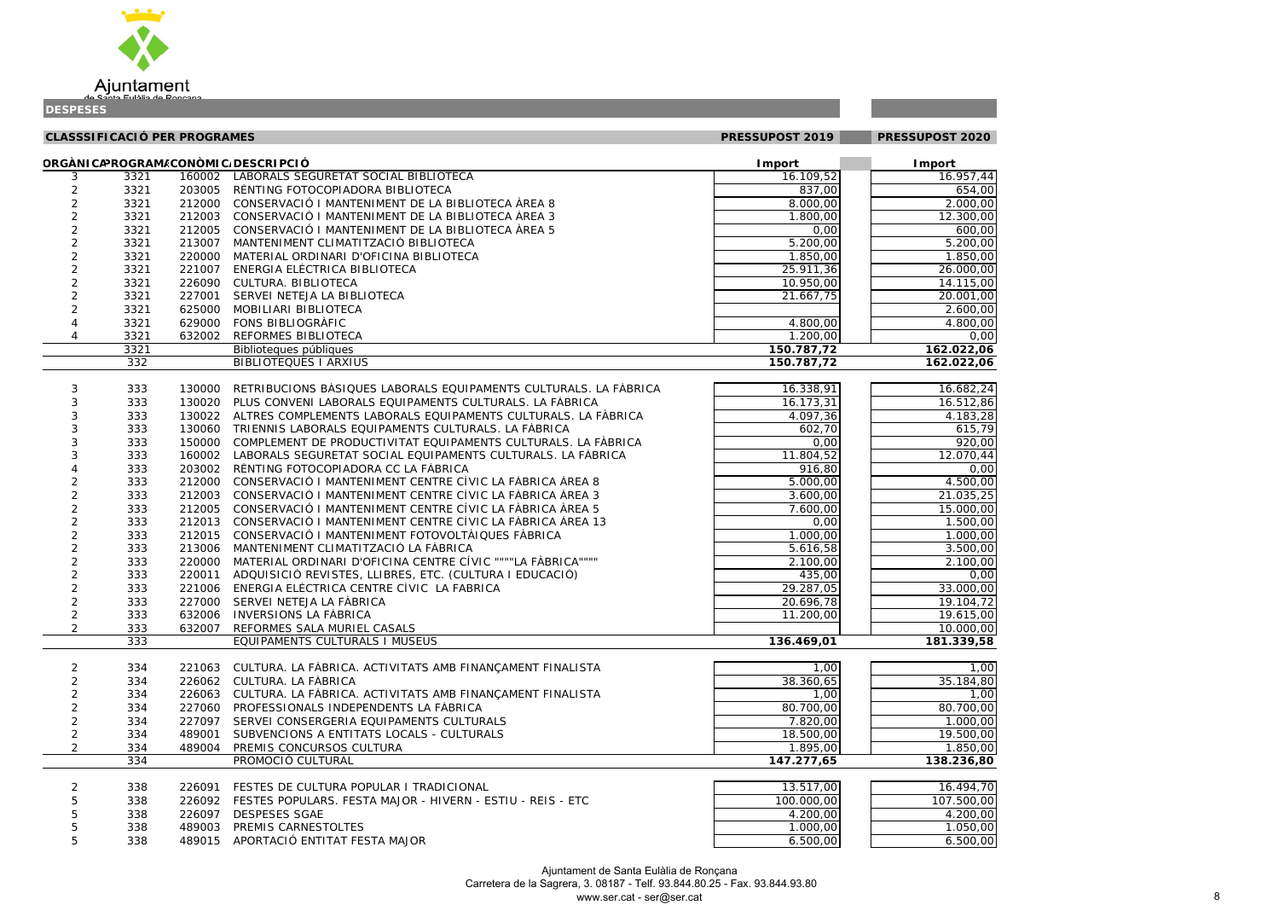

| $\overline{57}$<br>l                                  | ١۷<br>1<br>$\overline{\phantom{a}}$ |
|-------------------------------------------------------|-------------------------------------|
| $\frac{1}{2}$                                         | )<br>x<br>(                         |
| $\mathfrak{z}$<br>)<br>,                              | )(<br>)<br>(                        |
| $\mathfrak{z}$<br>)<br>,                              | X<br>)<br>(                         |
| $\mathfrak{z}$<br>)                                   | (<br>X<br>)                         |
| l<br>$\frac{1}{2}$<br>)                               | (<br>)(<br>)                        |
| l<br>$\frac{1}{2}$<br>)                               | X<br>)<br>(                         |
| $\overline{ }$<br>$\overline{\mathfrak{z}}$<br>)      | )(<br>)<br>(                        |
| $\overline{1}$<br>ļ<br>$\overline{\phantom{a}}$<br>,  | (<br>)(<br>)                        |
| l<br>$\mathbf{)}$<br>l                                | (<br>)(<br>)                        |
| l<br>$\frac{1}{2}$<br>)                               | X<br>)<br>(                         |
| $\frac{1}{2}$<br>)                                    | (<br>X<br>)                         |
| ı<br>$\overline{\mathbf{C}}$<br>)                     | (<br>X<br>)                         |
| ı<br>$\overline{\mathbf{2}}$                          | $\overline{6}$                      |
| $\overline{2}$                                        | C<br>$\blacksquare$                 |
|                                                       | $\overline{\mathbf{6}}$             |
|                                                       |                                     |
| į<br>)                                                | ı                                   |
| ,<br>I                                                | ₹<br>Ć<br>,                         |
| $\overline{\mathbf{3}}$<br>ļ                          | $\overline{ }$<br>Ş<br>₿            |
| ŗ<br>I<br>)<br>,                                      | ¢<br>冫                              |
| $\overline{\mathbf{r}}$<br>)                          | (<br>x<br>)                         |
| $\overline{\mathcal{U}}$<br>)                         | Z<br>ŀ<br>L                         |
| (<br>)                                                | X<br>)<br>(                         |
| $\overline{\mathfrak{z}}$<br>)<br>l                   | x<br>)<br>(                         |
| $\overline{\mathfrak{z}}$<br>;                        | ;<br>)                              |
| $\overline{1}$<br>$\overline{\mathfrak{z}}$<br>)<br>ļ | X<br>(<br>)                         |
| $\frac{1}{2}$<br>)                                    | (<br>)<br>)(                        |
| l<br>$\frac{1}{2}$<br>)                               | X<br>(<br>)                         |
| ı<br>$\mathfrak{z}$<br>)                              | )<br>(<br>X                         |
| ı<br>X<br>)                                           | (<br>X<br>)                         |
| l                                                     |                                     |
| (<br>)<br>$\overline{\chi}$                           | (<br>)<br>1                         |
| )                                                     | (<br>X<br>)                         |
| ),                                                    | $\overline{ }$                      |
| ļ<br>$\overline{\phantom{a}}$<br>$\overline{ }$<br>ļ  | )<br>x<br>(                         |
| $\mathfrak{z}$<br>)                                   | (<br>)<br>)(                        |
| ç<br>$\overline{ }$                                   | Į<br>l                              |
|                                                       |                                     |
| I                                                     | (<br>$\mathfrak{g}$<br>)            |
| ļ                                                     | å<br>)<br>)                         |
| 1                                                     | X<br>١<br>(                         |
| $\frac{1}{2}$<br>)                                    | )(<br>)<br>(                        |
| $\overline{\mathfrak{z}}$<br>)                        | X<br>(<br>)                         |
| X<br>)                                                | )<br>(<br>)                         |
| $\frac{1}{2}$<br>)                                    | )<br>(<br>)                         |
| ī                                                     | ٤<br>۱Ì<br>١                        |
|                                                       |                                     |
|                                                       |                                     |

|                | <b>CLASSSIFICACIÓ PER PROGRAMES</b> |        |                                                                   | PRESSUPOST 2019        | PRESSUPOST 2020        |
|----------------|-------------------------------------|--------|-------------------------------------------------------------------|------------------------|------------------------|
|                |                                     |        | ORGÀNICAPROGRAM/CONÒMIC/DESCRIPCIÓ                                | <b>I</b> mport         | <b>Import</b>          |
| 3              | 3321                                | 160002 | LABORALS SEGURETAT SOCIAL BIBLIOTECA                              | 16.109,52              | 16.957,44              |
| 2              | 3321                                | 203005 | RÈNTING FOTOCOPIADORA BIBLIOTECA                                  | $\overline{837}$ ,00   | 654,00                 |
| 2              | 3321                                | 212000 | CONSERVACIÓ I MANTENIMENT DE LA BIBLIOTECA ÀREA 8                 | 8.000,00               | 2.000,00               |
| $\overline{c}$ | 3321                                | 212003 | CONSERVACIÓ I MANTENIMENT DE LA BIBLIOTECA ÀREA 3                 | 1.800,00               | 12.300,00              |
| $\overline{c}$ | 3321                                | 212005 | CONSERVACIÓ I MANTENIMENT DE LA BIBLIOTECA ÀREA 5                 | 0,00                   | 600,00                 |
| $\overline{c}$ | 3321                                | 213007 | MANTENIMENT CLIMATITZACIÓ BIBLIOTECA                              | 5.200,00               | 5.200,00               |
| $\overline{c}$ | 3321                                | 220000 | MATERIAL ORDINARI D'OFICINA BIBLIOTECA                            | 1.850,00               | 1.850,00               |
| $\overline{c}$ | 3321                                | 221007 | ENERGIA ELÈCTRICA BIBLIOTECA                                      | 25.911,36              | 26.000,00              |
| $\overline{c}$ | 3321                                | 226090 | CULTURA. BIBLIOTECA                                               | 10.950,00              | 14.115,00              |
| $\overline{c}$ | 3321                                | 227001 | SERVEI NETEJA LA BIBLIOTECA                                       | 21.667,75              | 20.001,00              |
| $\overline{c}$ | 3321                                | 625000 | MOBILIARI BIBLIOTECA                                              |                        | 2.600,00               |
| 4              | 3321                                | 629000 | <b>FONS BIBLIOGRÀFIC</b>                                          | 4.800,00               | 4.800,00               |
| 4              | 3321                                | 632002 | REFORMES BIBLIOTECA                                               | 1.200,00               | 0,00                   |
|                | 3321                                |        | Biblioteques públiques                                            | 150.787,72             | 162.022,06             |
|                | 332                                 |        | <b>BIBLIOTEQUES I ARXIUS</b>                                      | 150.787,72             | 162.022,06             |
| 3              | 333                                 | 130000 | RETRIBUCIONS BASIQUES LABORALS EQUIPAMENTS CULTURALS. LA FÀBRICA  | 16.338,91              | 16.682,24              |
| 3              | 333                                 | 130020 | PLUS CONVENI LABORALS EQUIPAMENTS CULTURALS. LA FÀBRICA           | 16.173,31              | 16.512,86              |
| 3              | 333                                 | 130022 | ALTRES COMPLEMENTS LABORALS EQUIPAMENTS CULTURALS. LA FÀBRICA     | 4.097,36               | 4.183,28               |
| 3              | 333                                 | 130060 | TRIENNIS LABORALS EQUIPAMENTS CULTURALS. LA FÀBRICA               | 602,70                 | 615,79                 |
| 3              | 333                                 | 150000 | COMPLEMENT DE PRODUCTIVITAT EQUIPAMENTS CULTURALS. LA FÀBRICA     | 0,00                   | 920,00                 |
| 3              | 333                                 | 160002 | LABORALS SEGURETAT SOCIAL EQUIPAMENTS CULTURALS. LA FÀBRICA       | 11.804,52              | 12.070,44              |
|                | 333                                 | 203002 | RÈNTING FOTOCOPIADORA CC LA FÀBRICA                               | 916,80                 | 0,00                   |
| 2              | 333                                 | 212000 | CONSERVACIÓ I MANTENIMENT CENTRE CÍVIC LA FÀBRICA ÀREA 8          | 5.000,00               | 4.500,00               |
| $\overline{c}$ | 333                                 | 212003 | CONSERVACIÓ I MANTENIMENT CENTRE CÍVIC LA FÀBRICA ÀREA 3          | 3.600,00               | 21.035,25              |
| $\overline{2}$ | 333                                 | 212005 | CONSERVACIÓ I MANTENIMENT CENTRE CÍVIC LA FÀBRICA ÀREA 5          | 7.600,00               | 15.000,00              |
| 2              | 333                                 | 212013 | CONSERVACIÓ I MANTENIMENT CENTRE CÍVIC LA FÀBRICA ÀREA 13         | 0,00                   | 1.500,00               |
| 2              | 333                                 | 212015 | CONSERVACIÓ I MANTENIMENT FOTOVOLTÀIQUES FÀBRICA                  | 1.000,00               | 1.000,00               |
| $\overline{2}$ | 333                                 | 213006 | MANTENIMENT CLIMATITZACIÓ LA FÀBRICA                              | $\overline{5.61}$ 6,58 | 3.500,00               |
| $\overline{2}$ | 333                                 | 220000 | MATERIAL ORDINARI D'OFICINA CENTRE CÍVIC """"LA FÀBRICA""""       | 2.100,00               | 2.100,00               |
| 2              | 333                                 | 220011 | ADQUISICIÓ REVISTES, LLIBRES, ETC. (CULTURA I EDUCACIÓ)           | 435,00                 | 0,00                   |
| $\overline{c}$ | 333                                 | 221006 | ENERGIA ELÈCTRICA CENTRE CÍVIC LA FABRICA                         | 29.287,05              | 33.000,00              |
| $\sqrt{2}$     | 333                                 |        | 227000 SERVEI NETEJA LA FÀBRICA                                   | 20.696,78              | 19.104,72              |
| $\overline{2}$ | 333                                 |        | 632006 INVERSIONS LA FÀBRICA                                      | 11.200,00              | 19.615,00              |
| $\overline{2}$ | 333                                 | 632007 | REFORMES SALA MURIEL CASALS                                       |                        | 10.000,00              |
|                | 333                                 |        | EQUIPAMENTS CULTURALS I MUSEUS                                    | 136.469,01             | 181.339,58             |
|                |                                     |        |                                                                   |                        |                        |
| $\overline{2}$ | 334                                 |        | 221063 CULTURA. LA FÀBRICA. ACTIVITATS AMB FINANÇAMENT FINALISTA  | 1,00                   | 1,00                   |
| $\overline{c}$ | 334                                 |        | 226062 CULTURA. LA FÀBRICA                                        | 38.360,65              | 35.184,80              |
| 2              | 334                                 | 226063 | CULTURA. LA FÀBRICA. ACTIVITATS AMB FINANÇAMENT FINALISTA         | 1,00                   | 1,00                   |
| 2              | 334                                 | 227060 | PROFESSIONALS INDEPENDENTS LA FÀBRICA                             | 80.700,00              | 80.700,00              |
| $\overline{c}$ | 334                                 | 227097 | SERVEI CONSERGERIA EQUIPAMENTS CULTURALS                          | 7.820,00               | 1.000,00               |
| $\overline{c}$ | 334                                 | 489001 | SUBVENCIONS A ENTITATS LOCALS - CULTURALS                         | 18.500,00              | 19.500,00              |
| $\overline{2}$ | 334<br>334                          | 489004 | PREMIS CONCURSOS CULTURA<br>PROMOCIÓ CULTURAL                     | 1.895,00<br>147.277,65 | 1.850,00<br>138.236,80 |
|                |                                     |        |                                                                   |                        |                        |
| 2              | 338                                 | 226091 | FESTES DE CULTURA POPULAR I TRADICIONAL                           | 13.517,00              | 16.494,70              |
| 5              | 338                                 |        | 226092 FESTES POPULARS. FESTA MAJOR - HIVERN - ESTIU - REIS - ETC | 100.000,00             | 107.500,00             |
|                | 338                                 | 226097 | <b>DESPESES SGAE</b>                                              | 4.200,00               | 4.200,00               |
| 5              | 338                                 | 489003 | PREMIS CARNESTOLTES                                               | 1.000,00               | 1.050,00               |
| 5              | 338                                 |        | 489015 APORTACIÓ ENTITAT FESTA MAJOR                              | 6.500,00               | 6.500,00               |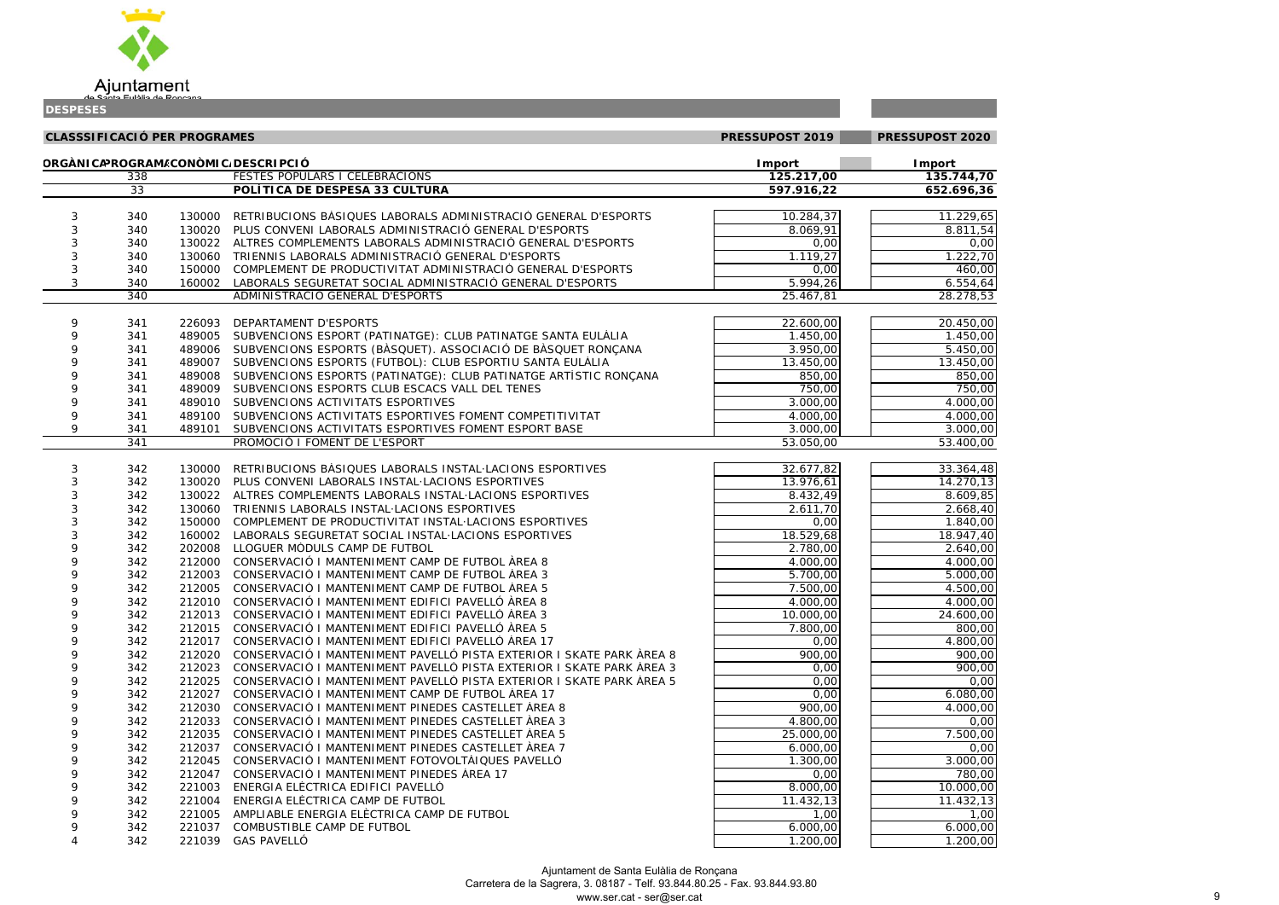

| .229,65              |
|----------------------|
| .811,54              |
| 0,00                 |
| .222,70              |
| 460,00               |
| .554,64              |
| $\overline{.2}78,53$ |
|                      |
| .450,00              |
| .450,00              |
| .450,00              |
| .450,00              |
| 850,00               |
| 750,00               |
| .000,00              |
| .000,00              |
| .000,00              |
| .400,00              |

| $\overline{C}$<br>)                       | )<br>O0                                              |
|-------------------------------------------|------------------------------------------------------|
|                                           |                                                      |
| ֚֚֬<br>1<br>J<br>$\overline{\phantom{a}}$ | ξ<br>1<br>٤<br>l                                     |
| 7<br>J<br>(                               | 1<br>$\overline{1}$                                  |
| ງເ<br>J                                   | Ş<br>∖<br>ļ<br>)<br>l                                |
| $\overline{\mathbf{5}}$<br>ś              | 10<br>)<br>l                                         |
| $\overline{1}$<br>١                       | $\lambda$<br>)<br>(<br>l                             |
| 7<br>ī                                    | )<br>10<br>l                                         |
| $\frac{1}{2}$<br>)                        | X<br>١<br>(<br>$\overline{1}$                        |
| $\overline{\chi}$<br>)                    | )<br>(<br>X<br>ı                                     |
| $\overline{\mathfrak{z}}$<br>١            | (<br>X<br>١<br>$\overline{1}$                        |
| X<br>)                                    | X<br>)<br>(<br>l                                     |
| $\mathfrak{z}$<br>١                       | X<br>١<br>(<br>l                                     |
| $\mathfrak{z}$<br>)                       | J<br>X<br>(<br>l                                     |
| $\mathfrak{c}$<br>)                       | X<br>J<br>(<br>ı                                     |
| $\lambda$<br>)                            | $\mathfrak{z}$<br>)<br>(<br>l                        |
| X<br>١                                    | (<br>X<br>)<br>$\overline{1}$                        |
| x<br>١                                    | )<br>X<br>(<br>$\overline{1}$                        |
| )<br>(                                    | $\mathcal{E}$<br>)(<br>(<br>ı                        |
| $\overline{\mathbf{3}}$<br>١              | (<br>X<br>١<br>l                                     |
| )<br>)                                    | X<br>)<br>(                                          |
| (<br>١                                    | $\overline{ }$<br>)<br>J<br>$\overline{\mathcal{L}}$ |
| X<br>١                                    | l<br>J<br>X<br>$\overline{\phantom{a}}$              |
| $\overline{\mathcal{L}}$<br>)             | $\overline{1}$<br>(<br>X<br>)<br>,                   |
| X<br>)                                    | $\overline{\mathbf{C}}$<br>)<br>)                    |
| 3<br>١                                    | $\overline{ }$<br>J<br>(<br>X                        |
| X<br>١                                    | $\overline{1}$<br>J<br>)<br>(                        |
| ,<br>Ś                                    | $\overline{1}$<br>Š<br>1                             |
| 1                                         | )<br>0<br>X                                          |
| $\mathfrak{c}$<br>١                       | $\overline{1}$<br>)<br>(<br>X                        |
| ١í<br>١                                   | $\overline{1}$<br>١<br>١í<br>í                       |

| ٠ |  |  |
|---|--|--|
|   |  |  |

**Contract Contract** 

|  |  | 4,70 |
|--|--|------|
|  |  | 6,36 |
|  |  |      |

| <b>IDESPESES</b> |                                     |        |                                                                                                                                       |                       |                       |  |
|------------------|-------------------------------------|--------|---------------------------------------------------------------------------------------------------------------------------------------|-----------------------|-----------------------|--|
|                  | <b>CLASSSIFICACIÓ PER PROGRAMES</b> |        |                                                                                                                                       | PRESSUPOST 2019       | PRESSUPOST 2020       |  |
|                  |                                     |        | ORGÀNICAPROGRAM/CONÒMIC/DESCRIPCIÓ                                                                                                    | <b>I</b> mport        | <b>Import</b>         |  |
|                  | 338                                 |        | <b>FESTES POPULARS I CELEBRACIONS</b>                                                                                                 | 125.217,00            | 135.744,70            |  |
|                  | $\overline{33}$                     |        | POLÍTICA DE DESPESA 33 CULTURA                                                                                                        | 597.916,22            | 652.696,36            |  |
|                  |                                     |        |                                                                                                                                       |                       |                       |  |
| 3                | 340<br>340                          |        | 130000 RETRIBUCIONS BASIQUES LABORALS ADMINISTRACIÓ GENERAL D'ESPORTS<br>130020 PLUS CONVENI LABORALS ADMINISTRACIÓ GENERAL D'ESPORTS | 10.284,37<br>8.069,91 | 11.229,65<br>8.811,54 |  |
|                  | 340                                 |        | 130022 ALTRES COMPLEMENTS LABORALS ADMINISTRACIÓ GENERAL D'ESPORTS                                                                    |                       | 0,00                  |  |
| 3<br>3           | 340                                 |        | 130060 TRIENNIS LABORALS ADMINISTRACIÓ GENERAL D'ESPORTS                                                                              | 0,00<br>1.119,27      | 1.222,70              |  |
| $\sqrt{3}$       | 340                                 |        | 150000 COMPLEMENT DE PRODUCTIVITAT ADMINISTRACIÓ GENERAL D'ESPORTS                                                                    | 0,00                  | 460,00                |  |
| 3                | 340                                 |        | 160002 LABORALS SEGURETAT SOCIAL ADMINISTRACIÓ GENERAL D'ESPORTS                                                                      | 5.994,26              | 6.554,64              |  |
|                  | 340                                 |        | ADMINISTRACIÓ GENERAL D'ESPORTS                                                                                                       | 25.467,81             | 28.278,53             |  |
|                  |                                     |        |                                                                                                                                       |                       |                       |  |
| 9                | 341                                 | 226093 | DEPARTAMENT D'ESPORTS                                                                                                                 | 22.600,00             | 20.450,00             |  |
| 9                | 341                                 | 489005 | SUBVENCIONS ESPORT (PATINATGE): CLUB PATINATGE SANTA EULÀLIA                                                                          | 1.450,00              | 1.450,00              |  |
| 9                | 341                                 |        | 489006 SUBVENCIONS ESPORTS (BASQUET). ASSOCIACIÓ DE BASQUET RONÇANA                                                                   | 3.950,00              | 5.450,00              |  |
| 9                | 341                                 |        | 489007 SUBVENCIONS ESPORTS (FUTBOL): CLUB ESPORTIU SANTA EULÀLIA                                                                      | 13.450,00             | 13.450,00             |  |
| 9                | 341                                 |        | 489008 SUBVENCIONS ESPORTS (PATINATGE): CLUB PATINATGE ARTÍSTIC RONÇANA                                                               | 850,00                | 850,00                |  |
| 9                | 341                                 |        | 489009 SUBVENCIONS ESPORTS CLUB ESCACS VALL DEL TENES                                                                                 | 750,00                | 750,00                |  |
| 9                | 341                                 |        | 489010 SUBVENCIONS ACTIVITATS ESPORTIVES                                                                                              | 3.000,00              | 4.000,00              |  |
| 9                | 341                                 |        | 489100 SUBVENCIONS ACTIVITATS ESPORTIVES FOMENT COMPETITIVITAT                                                                        | 4.000,00              | 4.000,00              |  |
| 9                | 341                                 | 489101 | SUBVENCIONS ACTIVITATS ESPORTIVES FOMENT ESPORT BASE                                                                                  | 3.000,00              | 3.000,00              |  |
|                  | 341                                 |        | PROMOCIÓ I FOMENT DE L'ESPORT                                                                                                         | 53.050,00             | 53.400,00             |  |
| 3                | 342                                 |        | 130000 RETRIBUCIONS BASIQUES LABORALS INSTAL LACIONS ESPORTIVES                                                                       | 32.677,82             | 33.364,48             |  |
| 3                | 342                                 |        | 130020 PLUS CONVENI LABORALS INSTAL LACIONS ESPORTIVES                                                                                | 13.976,61             | 14.270,13             |  |
| 3                | 342                                 | 130022 | ALTRES COMPLEMENTS LABORALS INSTAL LACIONS ESPORTIVES                                                                                 | 8.432,49              | 8.609,85              |  |
| 3                | 342                                 | 130060 | TRIENNIS LABORALS INSTAL·LACIONS ESPORTIVES                                                                                           | 2.611,70              | 2.668,40              |  |
| 3                | 342                                 | 150000 | COMPLEMENT DE PRODUCTIVITAT INSTAL LACIONS ESPORTIVES                                                                                 | 0,00                  | 1.840,00              |  |
| 3                | 342                                 | 160002 | LABORALS SEGURETAT SOCIAL INSTAL·LACIONS ESPORTIVES                                                                                   | 18.529,68             | 18.947,40             |  |
| 9                | 342                                 | 202008 | LLOGUER MÒDULS CAMP DE FUTBOL                                                                                                         | 2.780,00              | 2.640,00              |  |
| 9                | 342                                 |        | 212000 CONSERVACIÓ I MANTENIMENT CAMP DE FUTBOL ÀREA 8                                                                                | 4.000,00              | 4.000,00              |  |
| 9                | 342                                 |        | 212003 CONSERVACIÓ I MANTENIMENT CAMP DE FUTBOL ÀREA 3                                                                                | 5.700,00              | 5.000,00              |  |
| Q                | 342                                 |        | 212005 CONSERVACIÓ I MANTENIMENT CAMP DE FUTBOL ÀREA 5                                                                                | 7.500,00              | 4.500,00              |  |
| 9                | 342                                 |        | 212010 CONSERVACIÓ I MANTENIMENT EDIFICI PAVELLÓ ÀREA 8                                                                               | 4.000,00              | 4.000,00              |  |
| 9                | 342                                 |        | 212013 CONSERVACIÓ I MANTENIMENT EDIFICI PAVELLÓ ÀREA 3                                                                               | 10.000,00             | 24.600,00             |  |
| 9                | 342                                 |        | 212015 CONSERVACIÓ I MANTENIMENT EDIFICI PAVELLÓ ÀREA 5                                                                               | 7.800,00              | 800,00                |  |
| 9                | 342                                 |        | 212017 CONSERVACIÓ I MANTENIMENT EDIFICI PAVELLÓ ÀREA 17                                                                              | 0,00                  | $\overline{4.800,00}$ |  |
|                  | 342                                 |        | 212020 CONSERVACIÓ I MANTENIMENT PAVELLÓ PISTA EXTERIOR I SKATE PARK ÀREA 8                                                           | 900,00                | 900,00                |  |
|                  | 342                                 | 212023 | CONSERVACIÓ I MANTENIMENT PAVELLÓ PISTA EXTERIOR I SKATE PARK ÀREA 3                                                                  | 0,00                  | 900,00                |  |
|                  | 342                                 | 212025 | CONSERVACIÓ I MANTENIMENT PAVELLÓ PISTA EXTERIOR I SKATE PARK ÀREA 5                                                                  | 0,00                  | 0,00                  |  |
|                  | 342                                 | 212027 | CONSERVACIÓ I MANTENIMENT CAMP DE FUTBOL ÀREA 17                                                                                      | 0,00                  | 6.080,00              |  |
|                  | 342                                 | 212030 | CONSERVACIÓ I MANTENIMENT PINEDES CASTELLET ÀREA 8                                                                                    | 900,00                | 4.000,00              |  |
|                  | 342                                 | 212033 | CONSERVACIÓ I MANTENIMENT PINEDES CASTELLET ÀREA 3                                                                                    | 4.800,00              | 0,00                  |  |
|                  | 342                                 | 212035 | CONSERVACIÓ I MANTENIMENT PINEDES CASTELLET ÀREA 5                                                                                    | 25.000,00             | 7.500,00              |  |
|                  | 342                                 | 212037 | CONSERVACIÓ I MANTENIMENT PINEDES CASTELLET ÀREA 7                                                                                    | 6.000,00              | 0,00                  |  |
| 9                | 342                                 | 212045 | CONSERVACIÓ I MANTENIMENT FOTOVOLTÀIQUES PAVELLÓ                                                                                      | 1.300,00              | 3.000,00              |  |
| 9                | 342                                 | 212047 | CONSERVACIÓ I MANTENIMENT PINEDES ÀREA 17                                                                                             | 0,00                  | 780,00                |  |
| 9                | 342                                 | 221003 | ENERGIA ELÈCTRICA EDIFICI PAVELLÓ                                                                                                     | 8.000,00              | 10.000,00             |  |
|                  | 342                                 | 221004 | ENERGIA ELÈCTRICA CAMP DE FUTBOL                                                                                                      | 11.432,13             | 11.432,13             |  |
| 9                | 342                                 | 221005 | AMPLIABLE ENERGIA ELÈCTRICA CAMP DE FUTBOL                                                                                            | 1,00                  | 1,00                  |  |
| 9                | 342                                 | 221037 | COMBUSTIBLE CAMP DE FUTBOL                                                                                                            | 6.000,00              | 6.000,00              |  |
|                  | 342                                 | 221039 | <b>GAS PAVELLÓ</b>                                                                                                                    | 1.200,00              | 1.200,00              |  |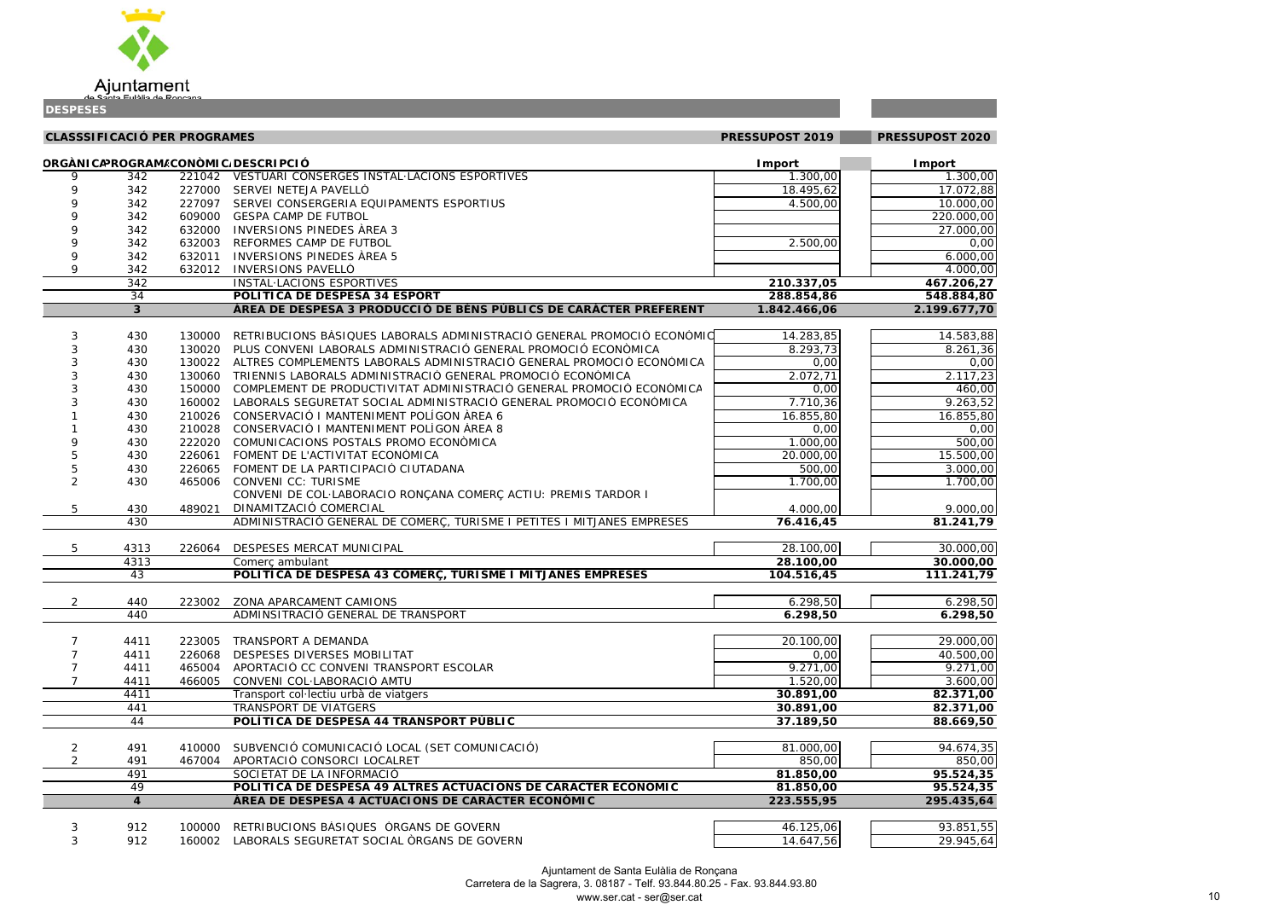

| )U                                             | <u>,00</u>               |
|------------------------------------------------|--------------------------|
| $\overline{r}$                                 | $\frac{1}{2,88}$         |
|                                                |                          |
| $\frac{00,00}{00,00}$                          | $\overline{00}$          |
|                                                |                          |
|                                                |                          |
| $\frac{100,000}{0,000}$ $\frac{0,000}{0,000}$  |                          |
|                                                |                          |
| $\frac{6}{6,27}$                               |                          |
|                                                | $\mathbf{\dot{}}$        |
| $\frac{8}{4}$ ,80<br>7,70                      | j                        |
|                                                |                          |
| $\frac{33,88}{51,36}$<br>0,00<br>17,23         |                          |
|                                                |                          |
|                                                |                          |
| $\overline{ }$                                 | $\frac{3}{2}$            |
| $\frac{6.623}{50,00}$<br>$\frac{6.623}{55,80}$ |                          |
|                                                |                          |
|                                                |                          |
| 0,00                                           |                          |
| $\frac{1}{00,00}$                              |                          |
| $\overline{0}$                                 | $\frac{1}{00}$           |
| $\overline{0}$                                 |                          |
| $\overline{0}$<br>$\overline{\mathcal{C}}$     | Ю                        |
|                                                |                          |
|                                                | )                        |
| )0,00<br><mark>1,79</mark>                     |                          |
|                                                |                          |
|                                                | $\frac{10,00}{0,00}$     |
|                                                |                          |
| $\frac{1}{1}$<br>$\overline{ }$                | $\overline{79}$          |
| í                                              |                          |
|                                                | <sup>98,50</sup><br>8,50 |
|                                                |                          |
|                                                |                          |
|                                                | $\frac{1}{00,00}$        |
|                                                |                          |

| 74,35  |
|--------|
| 50,00  |
| .4, 35 |
| 4,35   |
| 5,64∖  |
|        |

|                | <b>CLASSSIFICACIÓ PER PROGRAMES</b> |        |                                                                                            | PRESSUPOST 2019         | PRESSUPOST 2020         |
|----------------|-------------------------------------|--------|--------------------------------------------------------------------------------------------|-------------------------|-------------------------|
|                |                                     |        | ORGÀNICAPROGRAM/CONÒMIC/DESCRIPCIÓ                                                         | <b>I</b> mport          | <b>Import</b>           |
| 9              | 342                                 |        | 221042 VESTUARI CONSERGES INSTAL·LACIONS ESPORTIVES                                        | 1.300,00                | 1.300,00                |
| 9              | 342                                 |        | 227000 SERVEI NETEJA PAVELLÓ                                                               | 18.495,62               | 17.072,88               |
| 9              | 342                                 |        | 227097 SERVEI CONSERGERIA EQUIPAMENTS ESPORTIUS                                            | 4.500,00                | 10.000,00               |
|                | 342                                 | 609000 | <b>GESPA CAMP DE FUTBOL</b>                                                                |                         | 220.000,00              |
|                | 342                                 | 632000 | <b>INVERSIONS PINEDES AREA 3</b>                                                           |                         | 27.000,00               |
| 9              | 342                                 | 632003 | REFORMES CAMP DE FUTBOL                                                                    | 2.500,00                | 0,00                    |
| 9              | 342                                 | 632011 | <b>INVERSIONS PINEDES AREA 5</b>                                                           |                         | 6.000,00                |
| 9              | 342                                 | 632012 | <b>INVERSIONS PAVELLÓ</b>                                                                  |                         | 4.000,00                |
|                | 342                                 |        | <b>INSTAL·LACIONS ESPORTIVES</b>                                                           | 210.337,05              | 467.206,27              |
|                | 34                                  |        | POLÍTICA DE DESPESA 34 ESPORT                                                              | 288.854,86              | 548.884,80              |
|                | $\overline{3}$                      |        | ÀREA DE DESPESA 3 PRODUCCIÓ DE BÉNS PÚBLICS DE CARÀCTER PREFERENT                          | 1.842.466,06            | 2.199.677,70            |
| 3              | 430                                 | 130000 | RETRIBUCIONS BÀSIQUES LABORALS ADMINISTRACIÓ GENERAL PROMOCIÓ ECONÒMIC                     | 14.283,85               | 14.583,88               |
| 3              | 430                                 | 130020 | PLUS CONVENI LABORALS ADMINISTRACIÓ GENERAL PROMOCIÓ ECONÒMICA                             | 8.293,73                | 8.261,36                |
|                | 430                                 | 130022 | ALTRES COMPLEMENTS LABORALS ADMINISTRACIÓ GENERAL PROMOCIÓ ECONÒMICA                       | 0,00                    | 0,00                    |
|                | 430                                 | 130060 | TRIENNIS LABORALS ADMINISTRACIÓ GENERAL PROMOCIÓ ECONÒMICA                                 | 2.072,71                | 2.117,23                |
|                | 430                                 | 150000 | COMPLEMENT DE PRODUCTIVITAT ADMINISTRACIÓ GENERAL PROMOCIÓ ECONÒMICA                       | 0,00                    | 460,00                  |
|                | 430                                 | 160002 | LABORALS SEGURETAT SOCIAL ADMINISTRACIÓ GENERAL PROMOCIÓ ECONÒMICA                         | 7.710,36                | 9.263,52                |
|                | 430                                 | 210026 | CONSERVACIÓ I MANTENIMENT POLÍGON ÀREA 6                                                   | 16.855,80               | 16.855,80               |
|                | 430                                 | 210028 | CONSERVACIÓ I MANTENIMENT POLÍGON ÀREA 8                                                   | 0,00                    | 0,00                    |
|                | 430                                 | 222020 | COMUNICACIONS POSTALS PROMO ECONÓMICA                                                      | 1.000,00                | 500,00                  |
| 5              | 430                                 | 226061 | FOMENT DE L'ACTIVITAT ECONÒMICA                                                            | 20.000,00               | 15.500,00               |
| 5              | 430                                 | 226065 | FOMENT DE LA PARTICIPACIÓ CIUTADANA                                                        | 500,00                  | 3.000,00                |
| $\overline{c}$ | 430                                 | 465006 | <b>CONVENI CC: TURISME</b>                                                                 | 1.700,00                | 1.700,00                |
|                |                                     |        | CONVENI DE COL·LABORACIÓ RONÇANA COMERÇ ACTIU: PREMIS TARDOR I                             |                         |                         |
| 5              | 430                                 | 489021 | DINAMITZACIÓ COMERCIAL                                                                     | 4.000,00                | 9.000,00                |
|                | 430                                 |        | ADMINISTRACIÓ GENERAL DE COMERÇ, TURISME I PETITES I MITJANES EMPRESES                     | 76.416,45               | 81.241,79               |
| 5              | 4313                                | 226064 | DESPESES MERCAT MUNICIPAL                                                                  | 28.100,00               | 30.000,00               |
|                | 4313                                |        | Comerc ambulant                                                                            | 28.100,00               | 30.000,00               |
|                | 43                                  |        | POLÍTICA DE DESPESA 43 COMERÇ, TURISME I MITJANES EMPRESES                                 | 104.516,45              | 111.241,79              |
|                |                                     |        |                                                                                            |                         |                         |
| $\overline{2}$ | 440                                 |        | 223002 ZONA APARCAMENT CAMIONS                                                             | 6.298,50                | 6.298,50                |
|                | 440                                 |        | ADMINSITRACIÓ GENERAL DE TRANSPORT                                                         | 6.298,50                | 6.298,50                |
| 7              | 4411                                | 223005 | TRANSPORT A DEMANDA                                                                        | 20.100,00               | 29.000,00               |
|                | 4411                                | 226068 | DESPESES DIVERSES MOBILITAT                                                                | 0,00                    | 40.500,00               |
|                | 4411                                | 465004 | APORTACIÓ CC CONVENI TRANSPORT ESCOLAR                                                     | 9.271,00                | 9.271,00                |
| $\overline{7}$ | 4411                                | 466005 | CONVENI COL·LABORACIÓ AMTU                                                                 | 1.520,00                | 3.600,00                |
|                | 4411                                |        | Transport col·lectiu urbà de viatgers                                                      | 30.891,00               | 82.371,00               |
|                | 441                                 |        | TRANSPORT DE VIATGERS                                                                      | 30.891,00               | 82.371,00               |
|                | 44                                  |        | POLÍTICA DE DESPESA 44 TRANSPORT PÚBLIC                                                    | 37.189,50               | 88.669,50               |
|                |                                     |        |                                                                                            |                         |                         |
| $\overline{2}$ | 491                                 |        | 410000 SUBVENCIÓ COMUNICACIÓ LOCAL (SET COMUNICACIÓ)                                       | 81.000,00               | 94.674,35               |
| $\overline{2}$ | 491                                 | 467004 | APORTACIÓ CONSORCI LOCALRET                                                                | 850,00                  | 850,00                  |
|                | 491                                 |        | SOCIETAT DE LA INFORMACIÓ<br>POLÍTICA DE DESPESA 49 ALTRES ACTUACIONS DE CARACTER ECONOMIC | 81.850,00               | 95.524,35               |
|                | 49<br>$\overline{\mathbf{4}}$       |        | ÀREA DE DESPESA 4 ACTUACIONS DE CARÀCTER ECONÒMIC                                          | 81.850,00<br>223.555,95 | 95.524,35<br>295.435,64 |
|                |                                     |        |                                                                                            |                         |                         |
| 3              | 912                                 |        | 100000 RETRIBUCIONS BASIQUES ORGANS DE GOVERN                                              | 46.125,06               | 93.851,55               |
| 3              | 912                                 |        | 160002 LABORALS SEGURETAT SOCIAL ORGANS DE GOVERN                                          | 14.647,56               | 29.945,64               |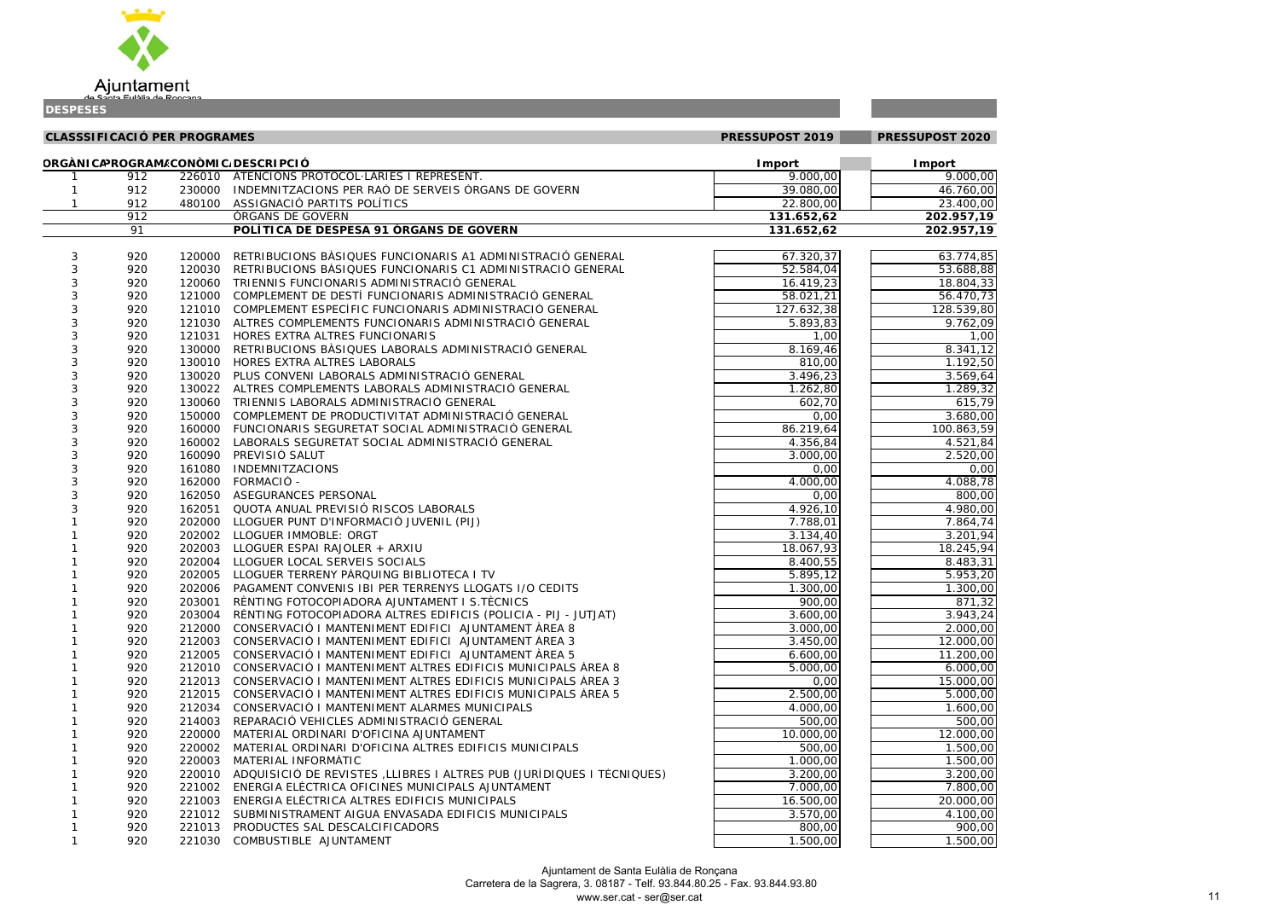

|                                                   | $\overline{00}$ , 00                     |
|---------------------------------------------------|------------------------------------------|
| 0,00                                              | J                                        |
| $\frac{1}{7}$<br>$\overline{)}$                   | <u>َ (</u><br>)(<br>$\mathbf{C}$         |
|                                                   | 1<br>Ç                                   |
| j<br>$\overline{\mathbf{L}}$                      | 1                                        |
|                                                   |                                          |
| $\frac{1}{4,85}$                                  | $\mathbf{c}$                             |
|                                                   | $\overline{88,}88$                       |
| $\overline{)4}$                                   | 3.<br>3                                  |
| $\overline{0}$                                    | 7:<br>3                                  |
| $\overline{1}$                                    | $\overline{80}$                          |
|                                                   |                                          |
|                                                   |                                          |
|                                                   | $\frac{17.80}{2,09}$ $\frac{1,00}{1,12}$ |
| $\overline{a}$                                    |                                          |
| $\frac{1}{2}$<br>$\overline{1}$                   | $\overline{5}$<br>)                      |
| $\overline{1}$                                    | $\tilde{\epsilon}$<br>$\sqrt{4}$         |
| $\overline{9}$<br>$\overline{1}$                  | 3<br>$\overline{\mathbf{c}}$             |
| $\frac{1}{5}$<br>$\overline{a}$<br>$\overline{1}$ | $\overline{7}$<br>冫                      |
| $\overline{50}$<br>$\overline{1}$                 | J<br>O                                   |
| $\frac{1}{2}$<br>ś<br>$\overline{ }$              | ₹<br>į<br>$\mathfrak{z}$                 |
| $\overline{21}$<br>$\overline{ }$                 | $\overline{84}$                          |
| $\frac{1}{2}$                                     | $\overline{00}$                          |
| $\frac{18}{0}$<br>$\overline{1}$                  | 00                                       |
| $\overline{8}$<br>$\overline{1}$                  | 78                                       |
| )O                                                | $\overline{00}$                          |
| $\overline{3}$ O                                  | .00                                      |
| $\overline{4}$                                    | $\overline{74}$                          |
|                                                   | 94                                       |
| $\frac{1}{5}$                                     | 94                                       |
| $\overline{ }$<br>$\overline{\mathbf{S}}$         | $\overline{31}$                          |
| $\frac{33}{2}$<br>$\overline{ }$                  | 20                                       |
| $\overline{\phantom{a}}$                          | 2۱,<br>00,<br>?<br>)                     |
| $\frac{1}{2}$<br>$\mathbf{1}$                     | $\overline{\mathbf{3}}$                  |
| $\overline{1}$<br>$\frac{1}{3}$                   | )<br>4                                   |
|                                                   |                                          |
| )0,00                                             | )                                        |
| $\overline{)0}$                                   | $\overline{OC}$<br>)                     |
| ) (<br>)                                          | I<br>) (<br>)                            |
| $\mathfrak{z}$<br>)<br>l                          | (<br>X<br>)                              |
| X<br>)                                            | )(<br>)<br>(                             |
| $\mathfrak{z}$<br>)                               | (<br>X<br>)                              |
| $\mathfrak{z}$<br>$\mathbf{)}$                    | (<br>X<br>)                              |
| $\mathfrak{z}$<br>)<br>,                          | X<br>(<br>)                              |
| )(<br>)<br>,                                      | (<br>X<br>)                              |
| $\overline{\mathfrak{z}}$<br>)<br>l               | (<br>)(<br>)                             |
| $\overline{\mathfrak{z}}$<br>)<br>l               | )(<br>)<br>(                             |
| $\overline{\mathfrak{z}}$<br>)<br>l               | )<br>(<br>)(                             |
| $\overline{\mathfrak{z}}$<br>)<br>$\overline{1}$  | )<br>(<br>X                              |
| $\overline{\mathfrak{z}}$<br>)<br>$\overline{ }$  | $\overline{\phantom{a}}$<br>X<br>)       |
| $\overline{\mathfrak{z}}$<br>)<br>l               | (<br>X<br>)                              |
| $\overline{\mathfrak{z}}$<br>)<br>l               | X<br>)<br>(                              |
| $\overline{)0}$                                   |                                          |
| )<br>ı                                            | X<br>I<br>)                              |

|   | <b>CLASSSIFICACIÓ PER PROGRAMES</b> |        |                                                                                             | PRESSUPOST 2019      | PRESSUPOST 2020        |
|---|-------------------------------------|--------|---------------------------------------------------------------------------------------------|----------------------|------------------------|
|   |                                     |        | ORGÀNICAPROGRAM/CONÒMIC/DESCRIPCIÓ                                                          | <b>I</b> mport       | <b>I</b> mport         |
|   | 912                                 |        | 226010 ATENCIONS PROTOCOL·LÀRIES I REPRESENT.                                               | 9.000,00             | 9.000,00               |
|   | 912                                 |        | 230000 INDEMNITZACIONS PER RAÓ DE SERVEIS ÒRGANS DE GOVERN                                  | 39.080,00            | $\overline{46.760,00}$ |
|   | 912                                 |        | 480100 ASSIGNACIÓ PARTITS POLÍTICS                                                          | 22.800,00            | 23.400,00              |
|   | 912                                 |        | <b>ORGANS DE GOVERN</b>                                                                     | 131.652,62           | 202.957,19             |
|   | 91                                  |        | POLÍTICA DE DESPESA 91 ÒRGANS DE GOVERN                                                     | 131.652,62           | 202.957,19             |
| 3 | 920                                 | 120000 | RETRIBUCIONS BASIQUES FUNCIONARIS A1 ADMINISTRACIÓ GENERAL                                  | 67.320,37            | 63.774,85              |
| 3 | 920                                 | 120030 | RETRIBUCIONS BÀSIQUES FUNCIONARIS C1 ADMINISTRACIÓ GENERAL                                  | 52.584,04            | 53.688,88              |
|   | 920                                 |        | 120060 TRIENNIS FUNCIONARIS ADMINISTRACIÓ GENERAL                                           | 16.419,23            | 18.804,33              |
|   | 920                                 |        | 121000 COMPLEMENT DE DESTÍ FUNCIONARIS ADMINISTRACIÓ GENERAL                                | 58.021,21            | 56.470,73              |
|   | 920                                 |        | 121010 COMPLEMENT ESPECÍFIC FUNCIONARIS ADMINISTRACIÓ GENERAL                               | 127.632,38           | 128.539,80             |
|   | 920                                 |        | 121030 ALTRES COMPLEMENTS FUNCIONARIS ADMINISTRACIÓ GENERAL                                 | 5.893,83             | 9.762,09               |
|   | 920                                 | 121031 | HORES EXTRA ALTRES FUNCIONARIS                                                              | 1,00                 | 1,00                   |
|   | 920                                 | 130000 | RETRIBUCIONS BÀSIQUES LABORALS ADMINISTRACIÓ GENERAL                                        | 8.169,46             | 8.341,12               |
|   | 920                                 |        | 130010 HORES EXTRA ALTRES LABORALS                                                          | 810,00               | 1.192,50               |
|   | 920                                 |        | 130020 PLUS CONVENI LABORALS ADMINISTRACIÓ GENERAL                                          | 3.496,23             | 3.569,64               |
|   | 920                                 |        | 130022 ALTRES COMPLEMENTS LABORALS ADMINISTRACIÓ GENERAL                                    | 1.262,80             | 1.289,32               |
|   | 920                                 | 130060 | TRIENNIS LABORALS ADMINISTRACIÓ GENERAL                                                     | 602,70               | 615,79                 |
|   | 920                                 | 150000 | COMPLEMENT DE PRODUCTIVITAT ADMINISTRACIÓ GENERAL                                           | 0,00                 | 3.680,00               |
|   | 920                                 | 160000 | FUNCIONARIS SEGURETAT SOCIAL ADMINISTRACIÓ GENERAL                                          | 86.219,64            | 100.863,59             |
|   | 920                                 | 160002 | LABORALS SEGURETAT SOCIAL ADMINISTRACIÓ GENERAL                                             | 4.356,84             | 4.521,84               |
|   | 920                                 | 160090 | PREVISIÓ SALUT                                                                              | 3.000,00             | 2.520,00               |
|   | 920                                 | 161080 | <b>INDEMNITZACIONS</b>                                                                      | 0,00                 | 0,00                   |
|   | 920                                 | 162000 | <b>FORMACIÓ -</b>                                                                           | 4.000,00             | 4.088,78               |
|   | 920                                 |        | 162050 ASEGURANCES PERSONAL                                                                 | 0,00                 | 800,00                 |
|   | 920                                 |        | 162051 QUOTA ANUAL PREVISIÓ RISCOS LABORALS                                                 | 4.926, 10            | 4.980,00               |
|   | 920                                 |        | 202000 LLOGUER PUNT D'INFORMACIÓ JUVENIL (PIJ)                                              | 7.788,01             | 7.864,74               |
|   | 920                                 |        | 202002 LLOGUER IMMOBLE: ORGT                                                                | 3.134,40             | 3.201,94               |
|   | 920                                 |        | 202003 LLOGUER ESPAI RAJOLER + ARXIU                                                        | 18.067,93            | 18.245,94              |
|   | 920                                 |        | 202004 LLOGUER LOCAL SERVEIS SOCIALS                                                        | 8.400,55             | 8.483,31               |
|   | 920                                 |        | 202005 LLOGUER TERRENY PÀRQUING BIBLIOTECA I TV                                             | 5.895,12             | $\overline{5.953,20}$  |
|   | 920                                 |        | 202006 PAGAMENT CONVENIS IBI PER TERRENYS LLOGATS I/O CEDITS                                | 1.300,00             | 1.300,00               |
|   | 920                                 |        | 203001 RÈNTING FOTOCOPIADORA AJUNTAMENT I S. TÈCNICS                                        | 900,00               | 871,32                 |
|   | 920                                 | 203004 | RÈNTING FOTOCOPIADORA ALTRES EDIFICIS (POLICIA - PIJ - JUTJAT)                              | 3.600,00             | 3.943,24               |
|   | 920                                 |        | 212000 CONSERVACIÓ I MANTENIMENT EDIFICI AJUNTAMENT ÀREA 8                                  | 3.000,00             | 2.000,00               |
|   | 920                                 |        | 212003 CONSERVACIÓ I MANTENIMENT EDIFICI AJUNTAMENT ÀREA 3                                  | 3.450,00             | 12.000,00              |
|   | 920                                 | 212005 | CONSERVACIÓ I MANTENIMENT EDIFICI AJUNTAMENT ÀREA 5                                         | 6.600,00             | 11.200,00              |
|   | 920                                 |        | 212010 CONSERVACIÓ I MANTENIMENT ALTRES EDIFICIS MUNICIPALS ÀREA 8                          | 5.000,00             | 6.000,00               |
|   | 920                                 |        | 212013 CONSERVACIÓ I MANTENIMENT ALTRES EDIFICIS MUNICIPALS ÀREA 3                          | 0,00                 | 15.000,00              |
|   | 920                                 |        | 212015 CONSERVACIÓ I MANTENIMENT ALTRES EDIFICIS MUNICIPALS ÀREA 5                          | 2.500,00             | 5.000,00               |
|   | 920                                 | 212034 | CONSERVACIÓ I MANTENIMENT ALARMES MUNICIPALS                                                | 4.000,00             | 1.600,00               |
|   | 920                                 | 214003 | REPARACIÓ VEHICLES ADMINISTRACIÓ GENERAL                                                    | 500,00               | 500,00                 |
|   | 920                                 |        | 220000 MATERIAL ORDINARI D'OFICINA AJUNTAMENT                                               | 10.000,00            | 12.000,00              |
|   | 920<br>920                          |        | 220002 MATERIAL ORDINARI D'OFICINA ALTRES EDIFICIS MUNICIPALS<br>220003 MATERIAL INFORMATIC | 500,00               | 1.500,00               |
|   | 920                                 |        | 220010 ADQUISICIÓ DE REVISTES , LLIBRES I ALTRES PUB (JURÍDIQUES I TÈCNIQUES)               | 1.000,00<br>3.200,00 | 1.500,00               |
|   | 920                                 |        | 221002 ENERGIA ELECTRICA OFICINES MUNICIPALS AJUNTAMENT                                     | 7.000,00             | 3.200,00<br>7.800,00   |
|   | 920                                 |        | 221003 ENERGIA ELÈCTRICA ALTRES EDIFICIS MUNICIPALS                                         | 16.500,00            | 20.000,00              |
|   | 920                                 |        | 221012 SUBMINISTRAMENT AIGUA ENVASADA EDIFICIS MUNICIPALS                                   | 3.570,00             | 4.100,00               |
|   | 920                                 |        | 221013 PRODUCTES SAL DESCALCIFICADORS                                                       | 800,00               | 900,00                 |
|   | 920                                 |        | 221030 COMBUSTIBLE AJUNTAMENT                                                               | 1.500,00             | 1.500,00               |
|   |                                     |        |                                                                                             |                      |                        |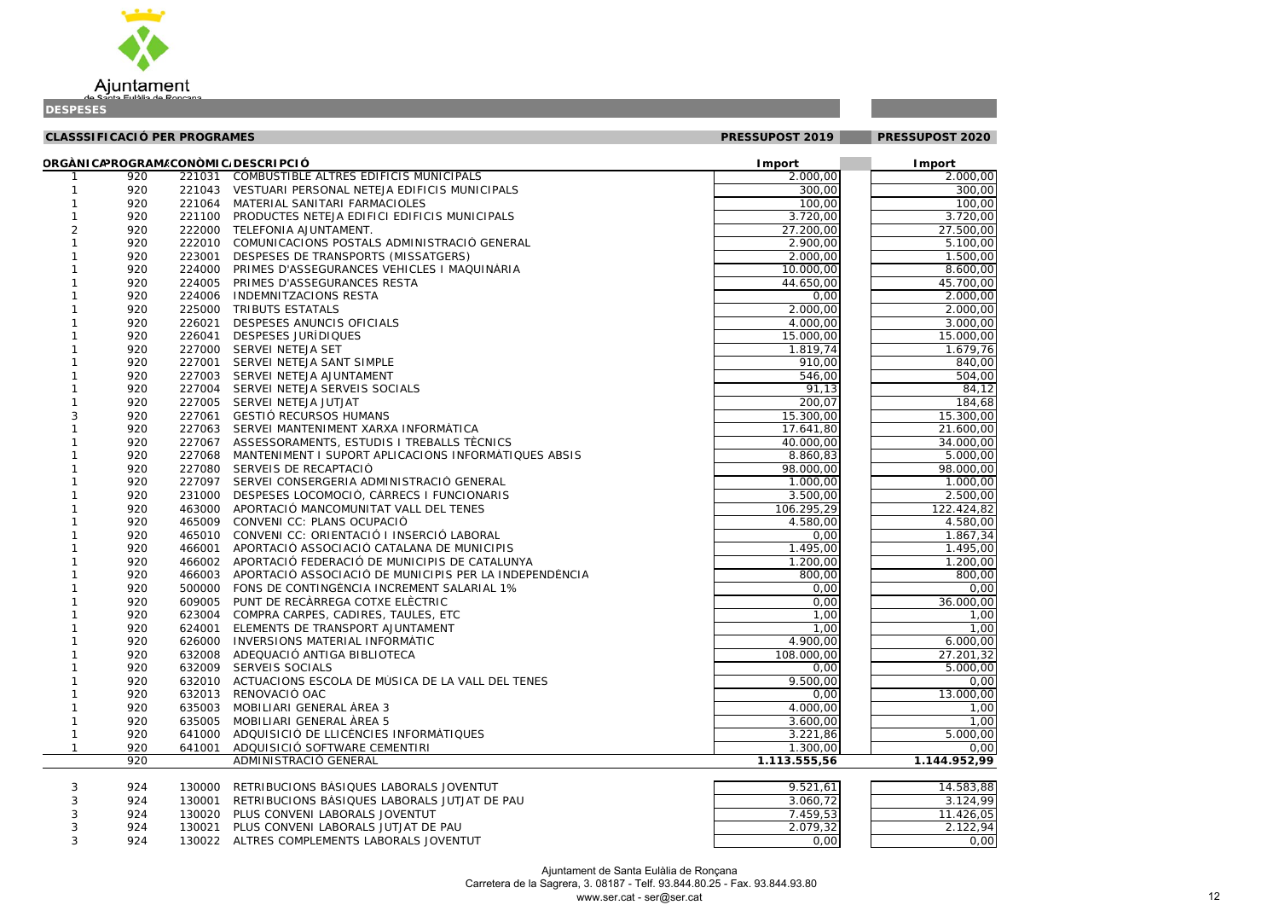

|              | <b>CLASSSIFICACIÓ PER PROGRAMES</b> |        |                                                        | PRESSUPOST 2019 | PRESSUPOST 2020 |  |
|--------------|-------------------------------------|--------|--------------------------------------------------------|-----------------|-----------------|--|
|              |                                     |        | ORGÀNICAPROGRAM/CONÒMIC/DESCRIPCIÓ                     | <b>I</b> mport  | <b>Import</b>   |  |
|              | 920                                 | 221031 | COMBUSTIBLE ALTRES EDIFICIS MUNICIPALS                 | 2.000,00        | 2.000,00        |  |
|              | 920                                 | 221043 | VESTUARI PERSONAL NETEJA EDIFICIS MUNICIPALS           | 300,00          | 300,00          |  |
|              | 920                                 | 221064 | MATERIAL SANITARI FARMACIOLES                          | 100,00          | 100,00          |  |
|              | 920                                 | 221100 | PRODUCTES NETEJA EDIFICI EDIFICIS MUNICIPALS           | 3.720,00        | 3.720,00        |  |
|              | 920                                 | 222000 | TELEFONIA AJUNTAMENT.                                  | 27.200,00       | 27.500,00       |  |
|              | 920                                 | 222010 | COMUNICACIONS POSTALS ADMINISTRACIÓ GENERAL            | 2.900,00        | 5.100,00        |  |
|              | 920                                 | 223001 | DESPESES DE TRANSPORTS (MISSATGERS)                    | 2.000,00        | 1.500,00        |  |
|              | 920                                 | 224000 | PRIMES D'ASSEGURANCES VEHICLES I MAQUINÀRIA            | 10.000,00       | 8.600,00        |  |
|              | 920                                 | 224005 | PRIMES D'ASSEGURANCES RESTA                            | 44.650,00       | 45.700,00       |  |
|              | 920                                 | 224006 | <b>INDEMNITZACIONS RESTA</b>                           | 0,00            | 2.000,00        |  |
|              | 920                                 | 225000 | TRIBUTS ESTATALS                                       | 2.000,00        | 2.000,00        |  |
|              | 920                                 | 226021 | DESPESES ANUNCIS OFICIALS                              | 4.000,00        | 3.000,00        |  |
|              | 920                                 | 226041 | DESPESES JURÍDIQUES                                    | 15.000,00       | 15.000,00       |  |
|              | 920                                 | 227000 | SERVEI NETEJA SET                                      | 1.819,74        | 1.679,76        |  |
|              | 920                                 | 227001 | SERVEI NETEJA SANT SIMPLE                              | 910,00          | 840,00          |  |
|              | 920                                 | 227003 | SERVEI NETEJA AJUNTAMENT                               | 546,00          | 504,00          |  |
|              | 920                                 | 227004 | SERVEI NETEJA SERVEIS SOCIALS                          | 91,13           | 84,12           |  |
|              | 920                                 | 227005 | SERVEI NETEJA JUTJAT                                   | 200,07          | 184,68          |  |
| 3            | 920                                 | 227061 | <b>GESTIÓ RECURSOS HUMANS</b>                          | 15.300,00       | 15.300,00       |  |
|              | 920                                 | 227063 | SERVEI MANTENIMENT XARXA INFORMÀTICA                   | 17.641,80       | 21.600,00       |  |
|              | 920                                 | 227067 | ASSESSORAMENTS, ESTUDIS I TREBALLS TÈCNICS             | 40.000,00       | 34.000,00       |  |
|              | 920                                 | 227068 | MANTENIMENT I SUPORT APLICACIONS INFORMATIQUES ABSIS   | 8.860,83        | 5.000,00        |  |
|              | 920                                 | 227080 | SERVEIS DE RECAPTACIÓ                                  | 98.000,00       | 98.000,00       |  |
|              | 920                                 | 227097 | SERVEI CONSERGERIA ADMINISTRACIÓ GENERAL               | 1.000,00        | 1.000,00        |  |
|              | 920                                 | 231000 | DESPESES LOCOMOCIÓ, CÀRRECS I FUNCIONARIS              | 3.500,00        | 2.500,00        |  |
|              | 920                                 | 463000 | APORTACIÓ MANCOMUNITAT VALL DEL TENES                  | 106.295,29      | 122.424,82      |  |
|              | 920                                 | 465009 | CONVENI CC: PLANS OCUPACIÓ                             | 4.580,00        | 4.580,00        |  |
|              | 920                                 | 465010 | CONVENI CC: ORIENTACIÓ I INSERCIÓ LABORAL              | 0,00            | 1.867,34        |  |
|              | 920                                 | 466001 | APORTACIÓ ASSOCIACIÓ CATALANA DE MUNICIPIS             | 1.495,00        | 1.495,00        |  |
|              | 920                                 | 466002 | APORTACIÓ FEDERACIÓ DE MUNICIPIS DE CATALUNYA          | 1.200,00        | 1.200,00        |  |
|              | 920                                 | 466003 | APORTACIÓ ASSOCIACIÓ DE MUNICIPIS PER LA INDEPENDÈNCIA | 800,00          | 800,00          |  |
|              | 920                                 | 500000 | FONS DE CONTINGÈNCIA INCREMENT SALARIAL 1%             | 0,00            | 0,00            |  |
|              | 920                                 | 609005 | PUNT DE RECÀRREGA COTXE ELÈCTRIC                       | 0,00            | 36.000,00       |  |
|              | 920                                 | 623004 | COMPRA CARPES, CADIRES, TAULES, ETC                    | 1,00            | 1,00            |  |
|              | 920                                 | 624001 | ELEMENTS DE TRANSPORT AJUNTAMENT                       | 1,00            | 1,00            |  |
|              | 920                                 | 626000 | INVERSIONS MATERIAL INFORMATIC                         | 4.900,00        | 6.000,00        |  |
|              | 920                                 | 632008 | ADEQUACIÓ ANTIGA BIBLIOTECA                            | 108.000,00      | 27.201,32       |  |
|              | 920                                 | 632009 | <b>SERVEIS SOCIALS</b>                                 | 0,00            | 5.000,00        |  |
|              | 920                                 | 632010 | ACTUACIONS ESCOLA DE MÚSICA DE LA VALL DEL TENES       | 9.500,00        | 0,00            |  |
|              | 920                                 | 632013 | RENOVACIÓ OAC                                          | 0,00            | 13.000,00       |  |
|              | 920                                 | 635003 | MOBILIARI GENERAL ÀREA 3                               | 4.000,00        | 1,00            |  |
|              | 920                                 | 635005 | MOBILIARI GENERAL ÀREA 5                               | 3.600,00        | 1,00            |  |
|              | 920                                 | 641000 | ADQUISICIÓ DE LLICÈNCIES INFORMÀTIQUES                 | 3.221,86        | 5.000,00        |  |
| $\mathbf{1}$ | 920                                 | 641001 | ADQUISICIÓ SOFTWARE CEMENTIRI                          | 1.300,00        | 0,00            |  |
|              | 920                                 |        | ADMINISTRACIÓ GENERAL                                  | 1.113.555,56    | 1.144.952,99    |  |
| 3            | 924                                 | 130000 | RETRIBUCIONS BASIQUES LABORALS JOVENTUT                | 9.521,61        | 14.583,88       |  |
| $\sqrt{3}$   | 924                                 | 130001 | RETRIBUCIONS BÀSIQUES LABORALS JUTJAT DE PAU           | 3.060,72        | 3.124, 99       |  |
| 3            | 924                                 | 130020 | PLUS CONVENI LABORALS JOVENTUT                         | 7.459,53        | 11.426,05       |  |

### 2020

| -1           | 920 |        | 221031 COMBUSTIBLE ALTRES EDIFICIS MUNICIPALS                 | 2.000,00      | 2.000,00     |
|--------------|-----|--------|---------------------------------------------------------------|---------------|--------------|
| $\mathbf 1$  | 920 |        | 221043 VESTUARI PERSONAL NETEJA EDIFICIS MUNICIPALS           | 300,00        | 300,00       |
| $\mathbf{1}$ | 920 |        | 221064 MATERIAL SANITARI FARMACIOLES                          | 100,00        | 100,00       |
| $\mathbf{1}$ | 920 |        | 221100 PRODUCTES NETEJA EDIFICI EDIFICIS MUNICIPALS           | 3.720,00      | 3.720,00     |
| 2            | 920 |        | 222000 TELEFONIA AJUNTAMENT.                                  | 27.200,00     | 27.500,00    |
| $\mathbf{1}$ | 920 |        | 222010 COMUNICACIONS POSTALS ADMINISTRACIÓ GENERAL            | 2.900,00      | 5.100,00     |
| $\mathbf{1}$ | 920 |        | 223001 DESPESES DE TRANSPORTS (MISSATGERS)                    | 2.000,00      | 1.500,00     |
| $\mathbf{1}$ | 920 |        | 224000 PRIMES D'ASSEGURANCES VEHICLES I MAQUINÀRIA            | 10.000,00     | 8.600,00     |
| $\mathbf{1}$ | 920 |        | 224005 PRIMES D'ASSEGURANCES RESTA                            | 44.650,00     | 45.700,00    |
| $\mathbf{1}$ | 920 |        | 224006 INDEMNITZACIONS RESTA                                  | 0,00          | 2.000,00     |
| $\mathbf{1}$ | 920 |        | 225000 TRIBUTS ESTATALS                                       | 2.000,00      | 2.000,00     |
|              | 920 | 226021 | DESPESES ANUNCIS OFICIALS                                     | 4.000,00      | 3.000,00     |
|              | 920 | 226041 | DESPESES JURÍDIQUES                                           | 15.000,00     | 15.000,00    |
|              | 920 |        | 227000 SERVEI NETEJA SET                                      | 1.819,74      | 1.679,76     |
|              | 920 |        | 227001 SERVEI NETEJA SANT SIMPLE                              | 910,00        | 840,00       |
|              | 920 |        | 227003 SERVEI NETEJA AJUNTAMENT                               | 546,00        | 504,00       |
| -1           | 920 |        | 227004 SERVEI NETEJA SERVEIS SOCIALS                          | 91,13         | 84,12        |
| $\mathbf{1}$ | 920 |        | 227005 SERVEI NETEJA JUTJAT                                   | 200,07        | 184,68       |
| 3            | 920 |        | 227061 GESTIÓ RECURSOS HUMANS                                 | 15.300,00     | 15.300,00    |
|              | 920 |        | 227063 SERVEI MANTENIMENT XARXA INFORMÀTICA                   | 17.641,80     | 21.600,00    |
| $\mathbf{1}$ | 920 |        | 227067 ASSESSORAMENTS, ESTUDIS I TREBALLS TÈCNICS             | 40.000,00     | 34.000,00    |
| $\mathbf{1}$ | 920 |        | 227068 MANTENIMENT I SUPORT APLICACIONS INFORMATIQUES ABSIS   | 8.860,83      | 5.000,00     |
|              | 920 |        | 227080 SERVEIS DE RECAPTACIÓ                                  | 98.000,00     | 98.000,00    |
| -1           | 920 |        | 227097 SERVEI CONSERGERIA ADMINISTRACIÓ GENERAL               | 1.000,00      | 1.000,00     |
| $\mathbf 1$  | 920 |        | 231000 DESPESES LOCOMOCIÓ, CÀRRECS I FUNCIONARIS              | 3.500,00      | 2.500,00     |
| $\mathbf{1}$ | 920 |        | 463000 APORTACIÓ MANCOMUNITAT VALL DEL TENES                  | 106.295,29    | 122.424,82   |
| 1            | 920 | 465009 | CONVENI CC: PLANS OCUPACIÓ                                    | 4.580,00      | 4.580,00     |
|              | 920 |        | 465010 CONVENI CC: ORIENTACIÓ I INSERCIÓ LABORAL              | 0,00          | 1.867,34     |
|              | 920 | 466001 | APORTACIÓ ASSOCIACIÓ CATALANA DE MUNICIPIS                    | 1.495,00      | 1.495,00     |
|              | 920 |        | 466002 APORTACIÓ FEDERACIÓ DE MUNICIPIS DE CATALUNYA          | 1.200,00      | 1.200,00     |
|              | 920 |        | 466003 APORTACIÓ ASSOCIACIÓ DE MUNICIPIS PER LA INDEPENDÈNCIA | 800,00        | 800,00       |
| -1           | 920 |        | 500000 FONS DE CONTINGÈNCIA INCREMENT SALARIAL 1%             | 0,00          | 0,00         |
| -1           | 920 |        | 609005 PUNT DE RECÀRREGA COTXE ELÈCTRIC                       | 0,00          | 36.000,00    |
| -1           | 920 |        | 623004 COMPRA CARPES, CADIRES, TAULES, ETC                    | 1,00          | 1,00         |
| $\mathbf{1}$ | 920 |        | 624001 ELEMENTS DE TRANSPORT AJUNTAMENT                       | 1,00          | 1,00         |
|              | 920 |        | 626000 INVERSIONS MATERIAL INFORMATIC                         | 4.900,00      | 6.000,00     |
| $\mathbf{1}$ | 920 |        | 632008 ADEQUACIÓ ANTIGA BIBLIOTECA                            | 108.000,00    | 27.201,32    |
| $\mathbf{1}$ | 920 |        | 632009 SERVEIS SOCIALS                                        | 0,00          | 5.000,00     |
| $\mathbf{1}$ | 920 |        | 632010 ACTUACIONS ESCOLA DE MÚSICA DE LA VALL DEL TENES       | 9.500,00      | 0,00         |
| $\mathbf{1}$ | 920 |        | 632013 RENOVACIÓ OAC                                          | 0,00          | 13.000,00    |
| $\mathbf{1}$ | 920 | 635003 | MOBILIARI GENERAL ÀREA 3                                      | 4.000,00      | 1,00         |
| $\mathbf{1}$ | 920 |        | 635005 MOBILIARI GENERAL ÀREA 5                               | 3.600,00      | 1,00         |
| $\mathbf{1}$ | 920 |        | 641000 ADQUISICIÓ DE LLICÈNCIES INFORMÀTIQUES                 | 3.221,86      | 5.000,00     |
| $\mathbf{1}$ | 920 |        | 641001 ADQUISICIÓ SOFTWARE CEMENTIRI                          | 1.300,00      | 0,00         |
|              | 920 |        | ADMINISTRACIÓ GENERAL                                         | 1.113.555, 56 | 1.144.952,99 |
| 3            | 924 |        | 130000 RETRIBUCIONS BASIQUES LABORALS JOVENTUT                | 9.521,61      | 14.583,88    |
| 3            | 924 |        | 130001 RETRIBUCIONS BASIQUES LABORALS JUTJAT DE PAU           | 3.060,72      | 3.124,99     |
| 3            | 924 |        | 130020 PLUS CONVENI LABORALS JOVENTUT                         | 7.459,53      | 11.426,05    |
| 3            | 924 |        | 130021 PLUS CONVENI LABORALS JUTJAT DE PAU                    | 2.079,32      | 2.122,94     |
| 3            | 924 |        | 130022 ALTRES COMPLEMENTS LABORALS JOVENTUT                   | 0,00          | 0,00         |
|              |     |        |                                                               |               |              |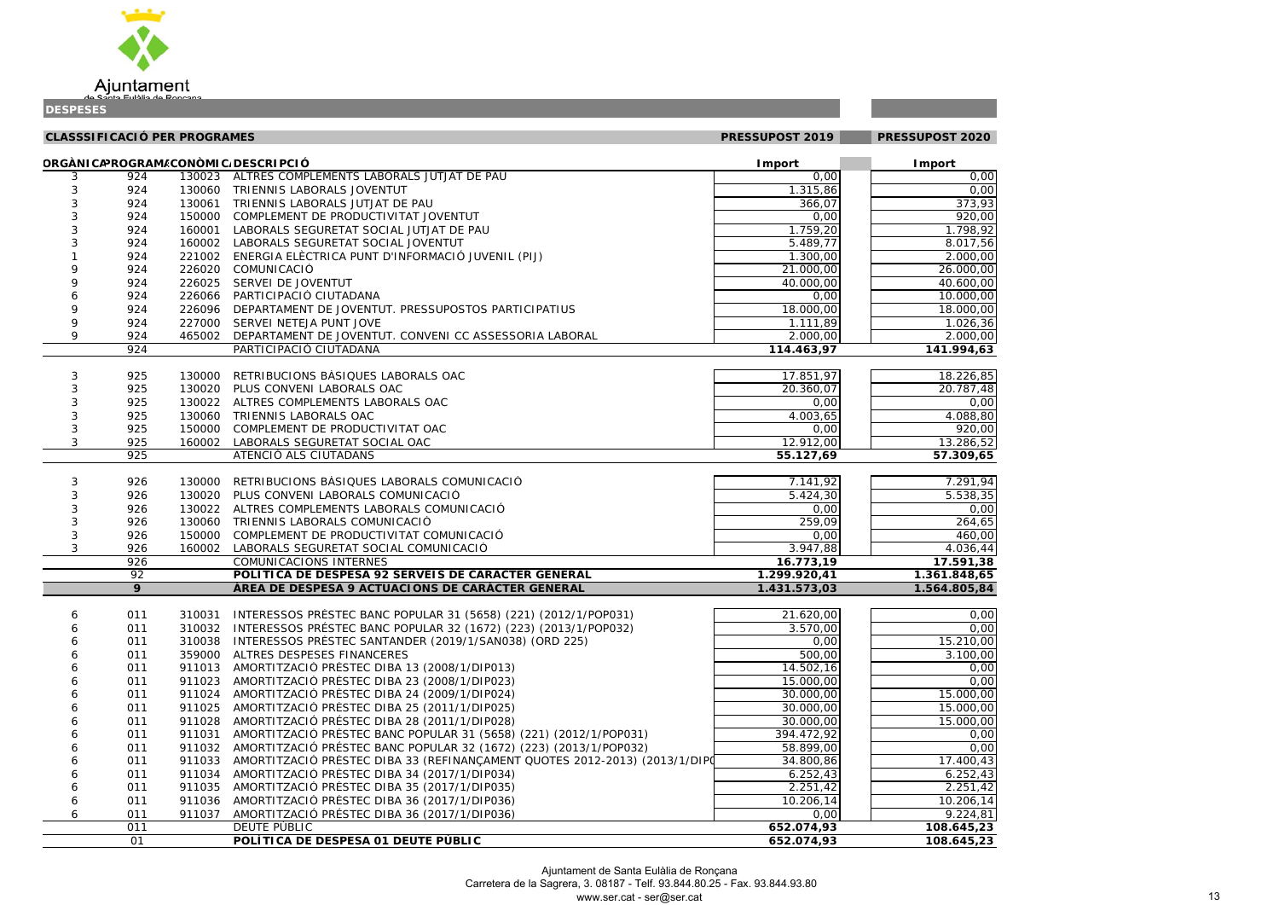|            | <b>CLASSSIFICACIÓ PER PROGRAMES</b> |        |                                                                            | PRESSUPOST 2019         | PRESSUPOST 2020 |
|------------|-------------------------------------|--------|----------------------------------------------------------------------------|-------------------------|-----------------|
|            |                                     |        | ORGÀNICAPROGRAM/CONÒMIC/DESCRIPCIÓ                                         | Import                  | <b>Import</b>   |
| 3          | 924                                 |        | 130023 ALTRES COMPLEMENTS LABORALS JUTJAT DE PAU                           | 0,00                    | 0,00            |
| 3          | 924                                 |        | 130060 TRIENNIS LABORALS JOVENTUT                                          | 1.315,86                | 0,00            |
| 3          | 924                                 |        | 130061 TRIENNIS LABORALS JUTJAT DE PAU                                     | 366,07                  | 373,93          |
| 3          | 924                                 | 150000 | COMPLEMENT DE PRODUCTIVITAT JOVENTUT                                       | 0,00                    | 920,00          |
| 3          | 924                                 | 160001 | LABORALS SEGURETAT SOCIAL JUTJAT DE PAU                                    | 1.759,20                | 1.798,92        |
| 3          | 924                                 | 160002 | LABORALS SEGURETAT SOCIAL JOVENTUT                                         | 5.489,77                | 8.017,56        |
|            | 924                                 | 221002 | ENERGIA ELÈCTRICA PUNT D'INFORMACIÓ JUVENIL (PIJ)                          | 1.300,00                | 2.000,00        |
| 9          | 924                                 | 226020 | COMUNICACIÓ                                                                | 21.000,00               | 26.000,00       |
| 9          | 924                                 | 226025 | SERVEI DE JOVENTUT                                                         | 40.000,00               | 40.600,00       |
| 6          | 924                                 | 226066 | PARTICIPACIÓ CIUTADANA                                                     | 0,00                    | 10.000,00       |
| 9          | 924                                 | 226096 | DEPARTAMENT DE JOVENTUT. PRESSUPOSTOS PARTICIPATIUS                        | 18.000,00               | 18.000,00       |
| 9          | 924                                 | 227000 | SERVEI NETEJA PUNT JOVE                                                    | 1.111,89                | 1.026, 36       |
| 9          | 924                                 | 465002 | DEPARTAMENT DE JOVENTUT. CONVENI CC ASSESSORIA LABORAL                     | 2.000,00                | 2.000,00        |
|            | 924                                 |        | PARTICIPACIÓ CIUTADANA                                                     | 114.463,97              | 141.994,63      |
| 3          | 925                                 | 130000 | RETRIBUCIONS BASIQUES LABORALS OAC                                         | 17.851,97               | 18.226,85       |
| 3          | 925                                 |        | 130020 PLUS CONVENI LABORALS OAC                                           | 20.360,07               | 20.787,48       |
|            | 925                                 |        | 130022 ALTRES COMPLEMENTS LABORALS OAC                                     | 0,00                    | 0,00            |
| 3          | 925                                 |        | 130060 TRIENNIS LABORALS OAC                                               | 4.003,65                | 4.088,80        |
| $\sqrt{3}$ | 925                                 | 150000 | COMPLEMENT DE PRODUCTIVITAT OAC                                            | 0,00                    | 920,00          |
| 3          | 925                                 | 160002 | LABORALS SEGURETAT SOCIAL OAC                                              | 12.912,00               | 13.286,52       |
|            | 925                                 |        | ATENCIÓ ALS CIUTADANS                                                      | 55.127,69               | 57.309,65       |
| 3          | 926                                 | 130000 | RETRIBUCIONS BÀSIQUES LABORALS COMUNICACIÓ                                 | 7.141,92                | 7.291,94        |
| 3          | 926                                 | 130020 | PLUS CONVENI LABORALS COMUNICACIÓ                                          | 5.424,30                | 5.538,35        |
| 3          | 926                                 | 130022 | ALTRES COMPLEMENTS LABORALS COMUNICACIÓ                                    | 0,00                    | 0,00            |
| 3          | 926                                 | 130060 | TRIENNIS LABORALS COMUNICACIÓ                                              | 259,09                  | 264,65          |
| 3          | 926                                 | 150000 | COMPLEMENT DE PRODUCTIVITAT COMUNICACIÓ                                    | 0,00                    | 460,00          |
| $\sqrt{3}$ | 926                                 | 160002 | LABORALS SEGURETAT SOCIAL COMUNICACIÓ                                      | 3.947,88                | 4.036,44        |
|            | 926                                 |        | COMUNICACIONS INTERNES                                                     | $\overline{16.773, 19}$ | 17.591,38       |
|            | 92                                  |        | POLÍTICA DE DESPESA 92 SERVEIS DE CARÀCTER GENERAL                         | 1.299.920,41            | 1.361.848,65    |
|            | 9                                   |        | ÀREA DE DESPESA 9 ACTUACIONS DE CARÀCTER GENERAL                           | 1.431.573,03            | 1.564.805,84    |
| 6          | 011                                 | 310031 | INTERESSOS PRÉSTEC BANC POPULAR 31 (5658) (221) (2012/1/POP031)            | 21.620,00               | 0,00            |
| 6          | 011                                 |        | 310032 INTERESSOS PRÉSTEC BANC POPULAR 32 (1672) (223) (2013/1/POP032)     | 3.570,00                | 0,00            |
| 6          | 011                                 | 310038 | INTERESSOS PRÉSTEC SANTANDER (2019/1/SAN038) (ORD 225)                     | 0,00                    | 15.210,00       |
| 6          | 011                                 | 359000 | ALTRES DESPESES FINANCERES                                                 | 500,00                  | 3.100,00        |
| 6          | 011                                 | 911013 | AMORTITZACIÓ PRÉSTEC DIBA 13 (2008/1/DIP013)                               | 14.502,16               | 0,00            |
|            | 011                                 | 911023 | AMORTITZACIÓ PRÉSTEC DIBA 23 (2008/1/DIP023)                               | 15.000,00               | 0,00            |
| 6          | 011                                 | 911024 | AMORTITZACIÓ PRÉSTEC DIBA 24 (2009/1/DIP024)                               | 30.000,00               | 15.000,00       |
| 6          | 011                                 | 911025 | AMORTITZACIÓ PRÉSTEC DIBA 25 (2011/1/DIP025)                               | 30.000,00               | 15.000,00       |
| 6          | 011                                 | 911028 | AMORTITZACIÓ PRÉSTEC DIBA 28 (2011/1/DIP028)                               | 30.000,00               | 15.000,00       |
| 6          | 011                                 | 911031 | AMORTITZACIÓ PRÉSTEC BANC POPULAR 31 (5658) (221) (2012/1/POP031)          | 394.472,92              | 0,00            |
| 6          | 011                                 | 911032 | AMORTITZACIÓ PRÉSTEC BANC POPULAR 32 (1672) (223) (2013/1/POP032)          | 58.899,00               | 0,00            |
| 6          | 011                                 | 911033 | AMORTITZACIÓ PRÉSTEC DIBA 33 (REFINANÇAMENT QUOTES 2012-2013) (2013/1/DIPC | 34.800,86               | 17.400,43       |
| 6          | 011                                 | 911034 | AMORTITZACIÓ PRÉSTEC DIBA 34 (2017/1/DIP034)                               | 6.252,43                | 6.252,43        |
| 6          | 011                                 | 911035 | AMORTITZACIÓ PRÉSTEC DIBA 35 (2017/1/DIP035)                               | 2.251,42                | 2.251,42        |
| 6          | 011                                 | 911036 | AMORTITZACIÓ PRÉSTEC DIBA 36 (2017/1/DIP036)                               | 10.206, 14              | 10.206,14       |
| 6          | 011                                 | 911037 | AMORTITZACIÓ PRÉSTEC DIBA 36 (2017/1/DIP036)                               | 0,00                    | 9.224,81        |
|            | 011                                 |        | <b>DEUTE PÚBLIC</b>                                                        | 652.074,93              | 108.645,23      |

## 



| ALTRES COMPLEMENTS LADORALS JUTJAT DE PAU                                  | U,UU                     | U, UU                    |
|----------------------------------------------------------------------------|--------------------------|--------------------------|
| TRIENNIS LABORALS JOVENTUT                                                 | 1.315,86                 | 0,00                     |
| TRIENNIS LABORALS JUTJAT DE PAU                                            | 366,07                   | 373,93                   |
| COMPLEMENT DE PRODUCTIVITAT JOVENTUT                                       | 0,00                     | 920,00                   |
| LABORALS SEGURETAT SOCIAL JUTJAT DE PAU                                    | 1.759,20                 | 1.798,92                 |
| LABORALS SEGURETAT SOCIAL JOVENTUT                                         | 5.489,77                 | 8.017,56                 |
| ENERGIA ELÈCTRICA PUNT D'INFORMACIÓ JUVENIL (PIJ)                          | 1.300,00                 | 2.000,00                 |
| COMUNICACIÓ                                                                | 21.000,00                | 26.000,00                |
| SERVEI DE JOVENTUT                                                         | 40.000,00                | 40.600,00                |
| PARTICIPACIÓ CIUTADANA                                                     | 0,00                     | 10.000,00                |
| DEPARTAMENT DE JOVENTUT. PRESSUPOSTOS PARTICIPATIUS                        | 18.000,00                | 18.000,00                |
| SERVEI NETEJA PUNT JOVE                                                    | 1.111,89                 | 1.026, 36                |
| DEPARTAMENT DE JOVENTUT. CONVENI CC ASSESSORIA LABORAL                     | 2.000,00                 | 2.000,00                 |
| PARTICIPACIÓ CIUTADANA                                                     | 114.463,97               | 141.994,63               |
|                                                                            |                          |                          |
| RETRIBUCIONS BÀSIQUES LABORALS OAC                                         | 17.851,97                | 18.226,85                |
| PLUS CONVENI LABORALS OAC                                                  | 20.360,07                | 20.787,48                |
| ALTRES COMPLEMENTS LABORALS OAC                                            | 0,00                     | 0,00                     |
| TRIENNIS LABORALS OAC                                                      | 4.003,65                 | 4.088,80                 |
| COMPLEMENT DE PRODUCTIVITAT OAC                                            | 0,00                     | 920,00                   |
| LABORALS SEGURETAT SOCIAL OAC                                              | 12.912,00                | 13.286,52                |
| ATENCIÓ ALS CIUTADANS                                                      | 55.127,69                | 57.309,65                |
|                                                                            |                          |                          |
| RETRIBUCIONS BÀSIQUES LABORALS COMUNICACIÓ                                 | 7.141,92                 | 7.291,94                 |
| PLUS CONVENI LABORALS COMUNICACIÓ                                          | 5.424,30                 | 5.538,35                 |
| ALTRES COMPLEMENTS LABORALS COMUNICACIÓ                                    | 0,00                     | 0,00                     |
|                                                                            |                          |                          |
|                                                                            |                          |                          |
| TRIENNIS LABORALS COMUNICACIÓ                                              | 259,09                   | $\overline{264,65}$      |
| COMPLEMENT DE PRODUCTIVITAT COMUNICACIÓ                                    | 0,00                     | 460,00                   |
| LABORALS SEGURETAT SOCIAL COMUNICACIÓ                                      | 3.947,88                 | 4.036,44                 |
| COMUNICACIONS INTERNES                                                     | 16.773,19                | 17.591,38                |
| POLÍTICA DE DESPESA 92 SERVEIS DE CARÀCTER GENERAL                         | 1.299.920,41             | 1.361.848,65             |
| ÀREA DE DESPESA 9 ACTUACIONS DE CARÀCTER GENERAL                           | 1.431.573,03             | 1.564.805,84             |
|                                                                            |                          |                          |
| INTERESSOS PRÉSTEC BANC POPULAR 31 (5658) (221) (2012/1/POP031)            | 21.620,00                | 0,00                     |
| INTERESSOS PRÉSTEC BANC POPULAR 32 (1672) (223) (2013/1/POP032)            | 3.570,00                 | 0,00                     |
| INTERESSOS PRÉSTEC SANTANDER (2019/1/SAN038) (ORD 225)                     | 0,00                     | 15.210,00                |
| ALTRES DESPESES FINANCERES                                                 | 500,00                   | 3.100,00                 |
| AMORTITZACIÓ PRÉSTEC DIBA 13 (2008/1/DIP013)                               | 14.502,16                | 0,00                     |
| AMORTITZACIÓ PRÉSTEC DIBA 23 (2008/1/DIP023)                               | 15.000,00                | 0,00                     |
| AMORTITZACIÓ PRÉSTEC DIBA 24 (2009/1/DIP024)                               | 30.000,00                | 15.000,00                |
| AMORTITZACIÓ PRÉSTEC DIBA 25 (2011/1/DIP025)                               | 30.000,00                | 15.000,00                |
| AMORTITZACIÓ PRÉSTEC DIBA 28 (2011/1/DIP028)                               | 30.000,00                | 15.000,00                |
| AMORTITZACIÓ PRÉSTEC BANC POPULAR 31 (5658) (221) (2012/1/POP031)          | 394.472,92               | 0,00                     |
| AMORTITZACIÓ PRÉSTEC BANC POPULAR 32 (1672) (223) (2013/1/POP032)          | 58.899,00                | 0,00                     |
| AMORTITZACIÓ PRÉSTEC DIBA 33 (REFINANÇAMENT QUOTES 2012-2013) (2013/1/DIPO | 34.800,86                | 17.400,43                |
| AMORTITZACIÓ PRÉSTEC DIBA 34 (2017/1/DIP034)                               | 6.252,43                 | 6.252,43                 |
| AMORTITZACIÓ PRÉSTEC DIBA 35 (2017/1/DIP035)                               | 2.251,42                 | 2.251,42                 |
| AMORTITZACIÓ PRÉSTEC DIBA 36 (2017/1/DIP036)                               | 10.206,14                | 10.206,14                |
| AMORTITZACIÓ PRÉSTEC DIBA 36 (2017/1/DIP036)                               | 0,00                     | 9.224,81                 |
| <b>DEUTE PÚBLIC</b><br>POLÍTICA DE DESPESA 01 DEUTE PÚBLIC                 | 652.074,93<br>652.074,93 | 108.645,23<br>108.645,23 |